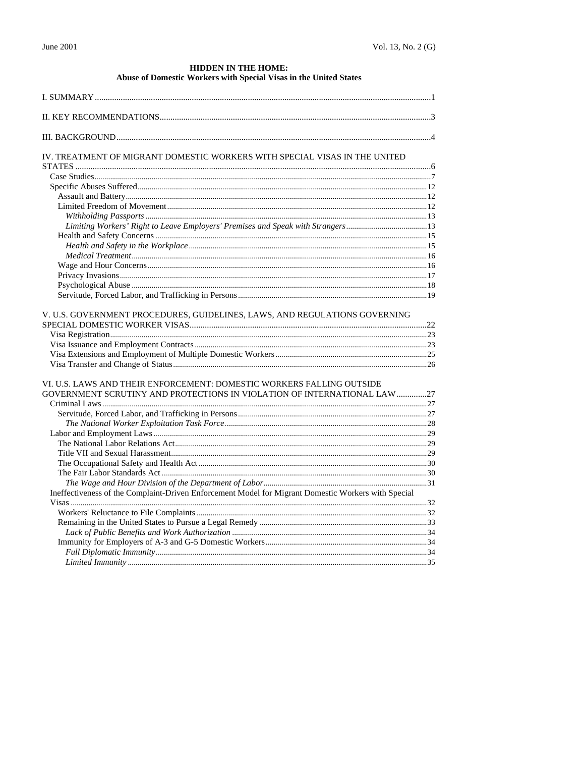# HIDDEN IN THE HOME: Abuse of Domestic Workers with Special Visas in the United States

| IV. TREATMENT OF MIGRANT DOMESTIC WORKERS WITH SPECIAL VISAS IN THE UNITED                          |  |
|-----------------------------------------------------------------------------------------------------|--|
|                                                                                                     |  |
|                                                                                                     |  |
|                                                                                                     |  |
|                                                                                                     |  |
|                                                                                                     |  |
|                                                                                                     |  |
|                                                                                                     |  |
|                                                                                                     |  |
|                                                                                                     |  |
|                                                                                                     |  |
|                                                                                                     |  |
|                                                                                                     |  |
|                                                                                                     |  |
| V. U.S. GOVERNMENT PROCEDURES, GUIDELINES, LAWS, AND REGULATIONS GOVERNING                          |  |
|                                                                                                     |  |
|                                                                                                     |  |
|                                                                                                     |  |
|                                                                                                     |  |
|                                                                                                     |  |
| VI. U.S. LAWS AND THEIR ENFORCEMENT: DOMESTIC WORKERS FALLING OUTSIDE                               |  |
| GOVERNMENT SCRUTINY AND PROTECTIONS IN VIOLATION OF INTERNATIONAL LAW 27                            |  |
|                                                                                                     |  |
|                                                                                                     |  |
|                                                                                                     |  |
|                                                                                                     |  |
|                                                                                                     |  |
|                                                                                                     |  |
|                                                                                                     |  |
|                                                                                                     |  |
| Ineffectiveness of the Complaint-Driven Enforcement Model for Migrant Domestic Workers with Special |  |
|                                                                                                     |  |
|                                                                                                     |  |
|                                                                                                     |  |
|                                                                                                     |  |
|                                                                                                     |  |
|                                                                                                     |  |
|                                                                                                     |  |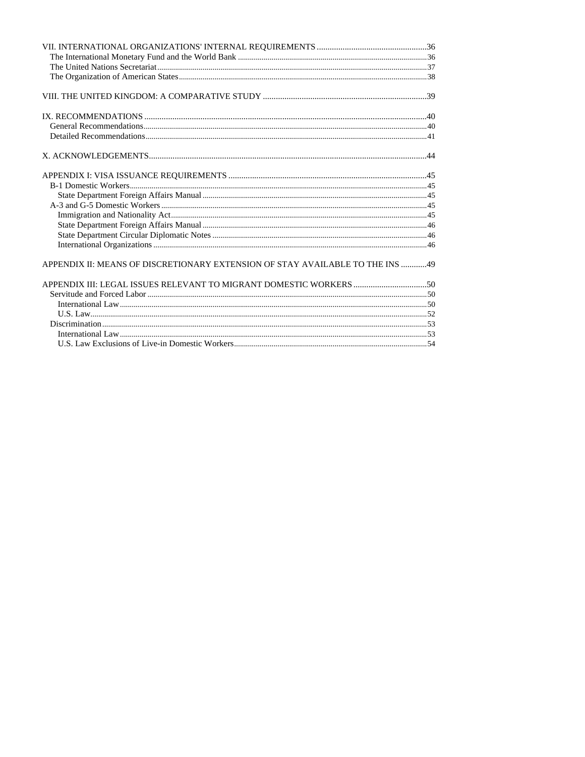| APPENDIX II: MEANS OF DISCRETIONARY EXTENSION OF STAY AVAILABLE TO THE INS 49 |  |
|-------------------------------------------------------------------------------|--|
|                                                                               |  |
|                                                                               |  |
|                                                                               |  |
|                                                                               |  |
|                                                                               |  |
|                                                                               |  |
|                                                                               |  |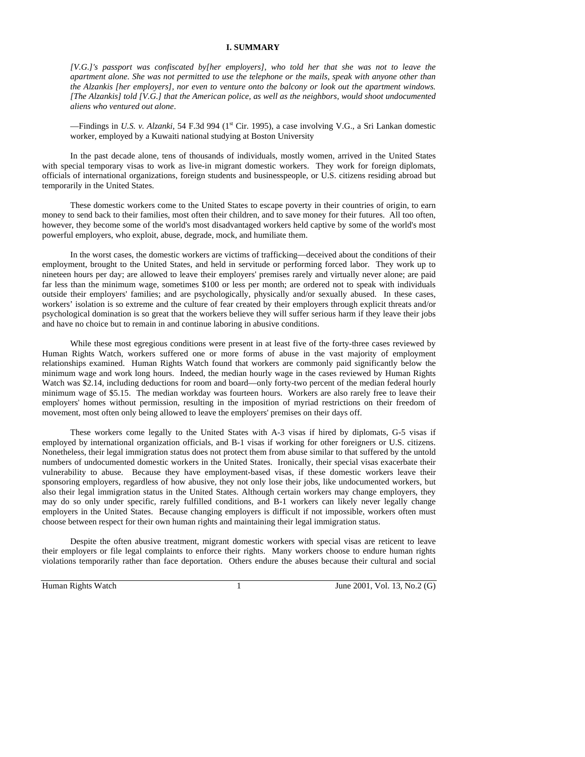### **I. SUMMARY**

*[V.G.]'s passport was confiscated by[her employers], who told her that she was not to leave the apartment alone. She was not permitted to use the telephone or the mails, speak with anyone other than the Alzankis [her employers], nor even to venture onto the balcony or look out the apartment windows. [The Alzankis] told [V.G.] that the American police, as well as the neighbors, would shoot undocumented aliens who ventured out alone*.

—Findings in *U.S. v. Alzanki*, 54 F.3d 994 (1<sup>st</sup> Cir. 1995), a case involving V.G., a Sri Lankan domestic worker, employed by a Kuwaiti national studying at Boston University

In the past decade alone, tens of thousands of individuals, mostly women, arrived in the United States with special temporary visas to work as live-in migrant domestic workers. They work for foreign diplomats, officials of international organizations, foreign students and businesspeople, or U.S. citizens residing abroad but temporarily in the United States.

These domestic workers come to the United States to escape poverty in their countries of origin, to earn money to send back to their families, most often their children, and to save money for their futures. All too often, however, they become some of the world's most disadvantaged workers held captive by some of the world's most powerful employers, who exploit, abuse, degrade, mock, and humiliate them.

In the worst cases, the domestic workers are victims of trafficking—deceived about the conditions of their employment, brought to the United States, and held in servitude or performing forced labor. They work up to nineteen hours per day; are allowed to leave their employers' premises rarely and virtually never alone; are paid far less than the minimum wage, sometimes \$100 or less per month; are ordered not to speak with individuals outside their employers' families; and are psychologically, physically and/or sexually abused. In these cases, workers' isolation is so extreme and the culture of fear created by their employers through explicit threats and/or psychological domination is so great that the workers believe they will suffer serious harm if they leave their jobs and have no choice but to remain in and continue laboring in abusive conditions.

While these most egregious conditions were present in at least five of the forty-three cases reviewed by Human Rights Watch, workers suffered one or more forms of abuse in the vast majority of employment relationships examined. Human Rights Watch found that workers are commonly paid significantly below the minimum wage and work long hours. Indeed, the median hourly wage in the cases reviewed by Human Rights Watch was \$2.14, including deductions for room and board—only forty-two percent of the median federal hourly minimum wage of \$5.15. The median workday was fourteen hours. Workers are also rarely free to leave their employers' homes without permission, resulting in the imposition of myriad restrictions on their freedom of movement, most often only being allowed to leave the employers' premises on their days off.

These workers come legally to the United States with A-3 visas if hired by diplomats, G-5 visas if employed by international organization officials, and B-1 visas if working for other foreigners or U.S. citizens. Nonetheless, their legal immigration status does not protect them from abuse similar to that suffered by the untold numbers of undocumented domestic workers in the United States. Ironically, their special visas exacerbate their vulnerability to abuse. Because they have employment-based visas, if these domestic workers leave their sponsoring employers, regardless of how abusive, they not only lose their jobs, like undocumented workers, but also their legal immigration status in the United States. Although certain workers may change employers, they may do so only under specific, rarely fulfilled conditions, and B-1 workers can likely never legally change employers in the United States. Because changing employers is difficult if not impossible, workers often must choose between respect for their own human rights and maintaining their legal immigration status.

Despite the often abusive treatment, migrant domestic workers with special visas are reticent to leave their employers or file legal complaints to enforce their rights. Many workers choose to endure human rights violations temporarily rather than face deportation. Others endure the abuses because their cultural and social

Human Rights Watch 1 June 2001, Vol. 13, No.2 (G)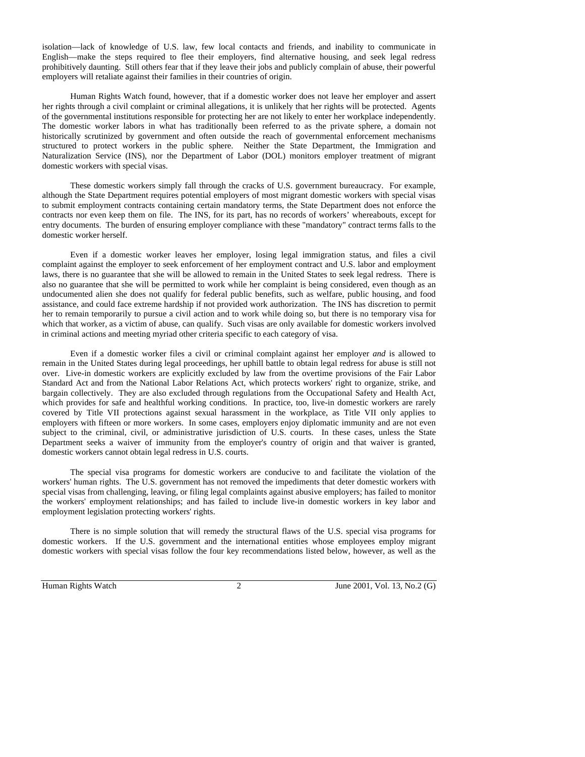isolation—lack of knowledge of U.S. law, few local contacts and friends, and inability to communicate in English—make the steps required to flee their employers, find alternative housing, and seek legal redress prohibitively daunting. Still others fear that if they leave their jobs and publicly complain of abuse, their powerful employers will retaliate against their families in their countries of origin.

Human Rights Watch found, however, that if a domestic worker does not leave her employer and assert her rights through a civil complaint or criminal allegations, it is unlikely that her rights will be protected. Agents of the governmental institutions responsible for protecting her are not likely to enter her workplace independently. The domestic worker labors in what has traditionally been referred to as the private sphere, a domain not historically scrutinized by government and often outside the reach of governmental enforcement mechanisms structured to protect workers in the public sphere. Neither the State Department, the Immigration and Naturalization Service (INS), nor the Department of Labor (DOL) monitors employer treatment of migrant domestic workers with special visas.

These domestic workers simply fall through the cracks of U.S. government bureaucracy. For example, although the State Department requires potential employers of most migrant domestic workers with special visas to submit employment contracts containing certain mandatory terms, the State Department does not enforce the contracts nor even keep them on file. The INS, for its part, has no records of workers' whereabouts, except for entry documents. The burden of ensuring employer compliance with these "mandatory" contract terms falls to the domestic worker herself.

Even if a domestic worker leaves her employer, losing legal immigration status, and files a civil complaint against the employer to seek enforcement of her employment contract and U.S. labor and employment laws, there is no guarantee that she will be allowed to remain in the United States to seek legal redress. There is also no guarantee that she will be permitted to work while her complaint is being considered, even though as an undocumented alien she does not qualify for federal public benefits, such as welfare, public housing, and food assistance, and could face extreme hardship if not provided work authorization. The INS has discretion to permit her to remain temporarily to pursue a civil action and to work while doing so, but there is no temporary visa for which that worker, as a victim of abuse, can qualify. Such visas are only available for domestic workers involved in criminal actions and meeting myriad other criteria specific to each category of visa.

Even if a domestic worker files a civil or criminal complaint against her employer *and* is allowed to remain in the United States during legal proceedings, her uphill battle to obtain legal redress for abuse is still not over. Live-in domestic workers are explicitly excluded by law from the overtime provisions of the Fair Labor Standard Act and from the National Labor Relations Act, which protects workers' right to organize, strike, and bargain collectively. They are also excluded through regulations from the Occupational Safety and Health Act, which provides for safe and healthful working conditions. In practice, too, live-in domestic workers are rarely covered by Title VII protections against sexual harassment in the workplace, as Title VII only applies to employers with fifteen or more workers. In some cases, employers enjoy diplomatic immunity and are not even subject to the criminal, civil, or administrative jurisdiction of U.S. courts. In these cases, unless the State Department seeks a waiver of immunity from the employer's country of origin and that waiver is granted, domestic workers cannot obtain legal redress in U.S. courts.

The special visa programs for domestic workers are conducive to and facilitate the violation of the workers' human rights. The U.S. government has not removed the impediments that deter domestic workers with special visas from challenging, leaving, or filing legal complaints against abusive employers; has failed to monitor the workers' employment relationships; and has failed to include live-in domestic workers in key labor and employment legislation protecting workers' rights.

There is no simple solution that will remedy the structural flaws of the U.S. special visa programs for domestic workers. If the U.S. government and the international entities whose employees employ migrant domestic workers with special visas follow the four key recommendations listed below, however, as well as the

Human Rights Watch 2 June 2001, Vol. 13, No.2 (G)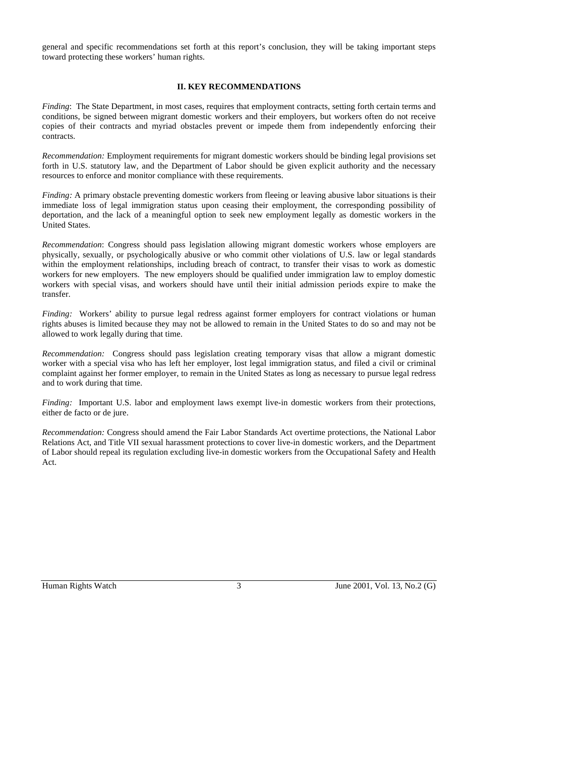general and specific recommendations set forth at this report's conclusion, they will be taking important steps toward protecting these workers' human rights.

### **II. KEY RECOMMENDATIONS**

*Finding*: The State Department, in most cases, requires that employment contracts, setting forth certain terms and conditions, be signed between migrant domestic workers and their employers, but workers often do not receive copies of their contracts and myriad obstacles prevent or impede them from independently enforcing their contracts.

*Recommendation:* Employment requirements for migrant domestic workers should be binding legal provisions set forth in U.S. statutory law, and the Department of Labor should be given explicit authority and the necessary resources to enforce and monitor compliance with these requirements.

*Finding:* A primary obstacle preventing domestic workers from fleeing or leaving abusive labor situations is their immediate loss of legal immigration status upon ceasing their employment, the corresponding possibility of deportation, and the lack of a meaningful option to seek new employment legally as domestic workers in the United States.

*Recommendation*: Congress should pass legislation allowing migrant domestic workers whose employers are physically, sexually, or psychologically abusive or who commit other violations of U.S. law or legal standards within the employment relationships, including breach of contract, to transfer their visas to work as domestic workers for new employers. The new employers should be qualified under immigration law to employ domestic workers with special visas, and workers should have until their initial admission periods expire to make the transfer.

*Finding:* Workers' ability to pursue legal redress against former employers for contract violations or human rights abuses is limited because they may not be allowed to remain in the United States to do so and may not be allowed to work legally during that time.

*Recommendation:* Congress should pass legislation creating temporary visas that allow a migrant domestic worker with a special visa who has left her employer, lost legal immigration status, and filed a civil or criminal complaint against her former employer, to remain in the United States as long as necessary to pursue legal redress and to work during that time.

*Finding:* Important U.S. labor and employment laws exempt live-in domestic workers from their protections, either de facto or de jure.

*Recommendation:* Congress should amend the Fair Labor Standards Act overtime protections, the National Labor Relations Act, and Title VII sexual harassment protections to cover live-in domestic workers, and the Department of Labor should repeal its regulation excluding live-in domestic workers from the Occupational Safety and Health Act.

Human Rights Watch 3 June 2001, Vol. 13, No.2 (G)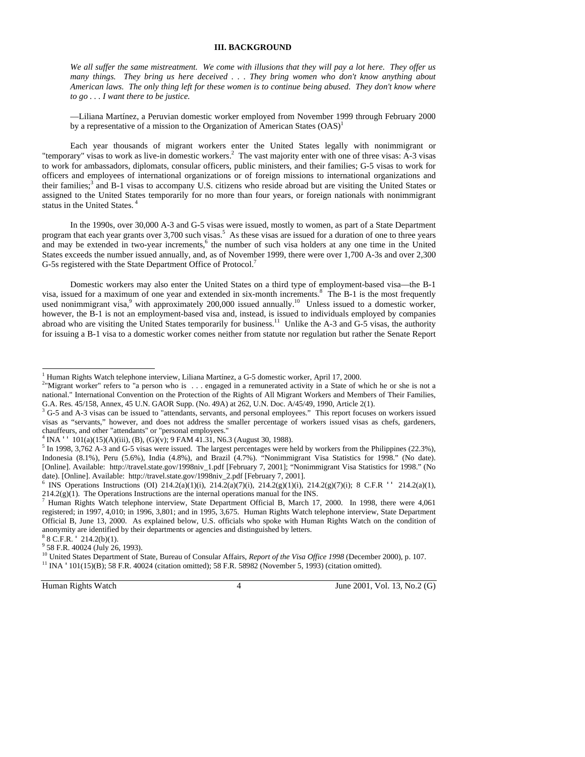### **III. BACKGROUND**

*We all suffer the same mistreatment. We come with illusions that they will pay a lot here. They offer us many things. They bring us here deceived . . . They bring women who don't know anything about American laws. The only thing left for these women is to continue being abused. They don't know where to go . . . I want there to be justice.* 

—Liliana Martínez, a Peruvian domestic worker employed from November 1999 through February 2000 by a representative of a mission to the Organization of American States  $(OAS)^1$ 

Each year thousands of migrant workers enter the United States legally with nonimmigrant or "temporary" visas to work as live-in domestic workers.<sup>2</sup> The vast majority enter with one of three visas: A-3 visas to work for ambassadors, diplomats, consular officers, public ministers, and their families; G-5 visas to work for officers and employees of international organizations or of foreign missions to international organizations and their families;<sup>3</sup> and B-1 visas to accompany U.S. citizens who reside abroad but are visiting the United States or assigned to the United States temporarily for no more than four years, or foreign nationals with nonimmigrant status in the United States. 4

In the 1990s, over 30,000 A-3 and G-5 visas were issued, mostly to women, as part of a State Department program that each year grants over 3,700 such visas.<sup>5</sup> As these visas are issued for a duration of one to three years and may be extended in two-year increments,<sup>6</sup> the number of such visa holders at any one time in the United States exceeds the number issued annually, and, as of November 1999, there were over 1,700 A-3s and over 2,300 G-5s registered with the State Department Office of Protocol.<sup>7</sup>

Domestic workers may also enter the United States on a third type of employment-based visa—the B-1 visa, issued for a maximum of one year and extended in six-month increments.<sup>8</sup> The B-1 is the most frequently used nonimmigrant visa,<sup>9</sup> with approximately 200,000 issued annually.<sup>10</sup> Unless issued to a domestic worker, however, the B-1 is not an employment-based visa and, instead, is issued to individuals employed by companies abroad who are visiting the United States temporarily for business.<sup>11</sup> Unlike the A-3 and G-5 visas, the authority for issuing a B-1 visa to a domestic worker comes neither from statute nor regulation but rather the Senate Report

 $8$  C.F.R.  $\blacksquare$  214.2(b)(1).

-

<sup>9</sup> 58 F.R. 40024 (July 26, 1993).

Human Rights Watch 4 June 2001, Vol. 13, No.2 (G)

<sup>&</sup>lt;sup>1</sup> Human Rights Watch telephone interview, Liliana Martínez, a G-5 domestic worker, April 17, 2000.

<sup>&</sup>lt;sup>2</sup>"Migrant worker" refers to "a person who is  $\dots$  engaged in a remunerated activity in a State of which he or she is not a national." International Convention on the Protection of the Rights of All Migrant Workers and Members of Their Families, G.A. Res. 45/158, Annex, 45 U.N. GAOR Supp. (No. 49A) at 262, U.N. Doc. A/45/49, 1990, Article 2(1).

 $3$  G-5 and A-3 visas can be issued to "attendants, servants, and personal employees." This report focuses on workers issued visas as "servants," however, and does not address the smaller percentage of workers issued visas as chefs, gardeners, chauffeurs, and other "attendants" or "personal employees."

 $^{4}$  INA  $^{11}$  101(a)(15)(A)(iii), (B), (G)(v); 9 FAM 41.31, N6.3 (August 30, 1988).

 $<sup>5</sup>$  In 1998, 3,762 A-3 and G-5 visas were issued. The largest percentages were held by workers from the Philippines (22.3%),</sup> Indonesia (8.1%), Peru (5.6%), India (4.8%), and Brazil (4.7%). "Nonimmigrant Visa Statistics for 1998." (No date). [Online]. Available: http://travel.state.gov/1998niv\_1.pdf [February 7, 2001]; "Nonimmigrant Visa Statistics for 1998." (No date). [Online]. Available: http://travel.state.gov/1998niv\_2.pdf [February 7, 2001].

<sup>&</sup>lt;sup>6</sup> INS Operations Instructions (OI) 214.2(a)(1)(i), 214.2(a)(7)(i), 214.2(g)(1)(i), 214.2(g)(7)(i); 8 C.F.R <sup>\*\*</sup> 214.2(a)(1), 214.2(g)(1). The Operations Instructions are the internal operations manual for the INS.<br>  $\frac{7 \text{ Human}}{2}$  Human Bights Wetch 4:1

Human Rights Watch telephone interview, State Department Official B, March 17, 2000. In 1998, there were 4,061 registered; in 1997, 4,010; in 1996, 3,801; and in 1995, 3,675. Human Rights Watch telephone interview, State Department Official B, June 13, 2000. As explained below, U.S. officials who spoke with Human Rights Watch on the condition of anonymity are identified by their departments or agencies and distinguished by letters. 8

<sup>&</sup>lt;sup>10</sup> United States Department of State, Bureau of Consular Affairs, *Report of the Visa Office 1998* (December 2000), p. 107.<br><sup>11</sup> INA **\*** 101(15)(B); 58 F.R. 40024 (citation omitted); 58 F.R. 58982 (November 5, 1993) (ci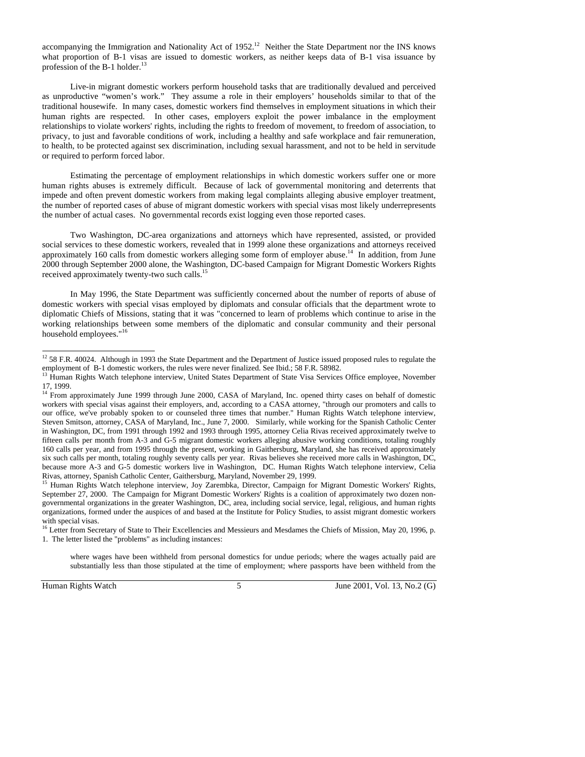accompanying the Immigration and Nationality Act of 1952.<sup>12</sup> Neither the State Department nor the INS knows what proportion of B-1 visas are issued to domestic workers, as neither keeps data of B-1 visa issuance by profession of the B-1 holder. $<sup>1</sup>$ </sup>

Live-in migrant domestic workers perform household tasks that are traditionally devalued and perceived as unproductive "women's work." They assume a role in their employers' households similar to that of the traditional housewife. In many cases, domestic workers find themselves in employment situations in which their human rights are respected. In other cases, employers exploit the power imbalance in the employment relationships to violate workers' rights, including the rights to freedom of movement, to freedom of association, to privacy, to just and favorable conditions of work, including a healthy and safe workplace and fair remuneration, to health, to be protected against sex discrimination, including sexual harassment, and not to be held in servitude or required to perform forced labor.

Estimating the percentage of employment relationships in which domestic workers suffer one or more human rights abuses is extremely difficult. Because of lack of governmental monitoring and deterrents that impede and often prevent domestic workers from making legal complaints alleging abusive employer treatment, the number of reported cases of abuse of migrant domestic workers with special visas most likely underrepresents the number of actual cases. No governmental records exist logging even those reported cases.

Two Washington, DC-area organizations and attorneys which have represented, assisted, or provided social services to these domestic workers, revealed that in 1999 alone these organizations and attorneys received approximately 160 calls from domestic workers alleging some form of employer abuse.<sup>14</sup> In addition, from June 2000 through September 2000 alone, the Washington, DC-based Campaign for Migrant Domestic Workers Rights received approximately twenty-two such calls.<sup>15</sup>

In May 1996, the State Department was sufficiently concerned about the number of reports of abuse of domestic workers with special visas employed by diplomats and consular officials that the department wrote to diplomatic Chiefs of Missions, stating that it was "concerned to learn of problems which continue to arise in the working relationships between some members of the diplomatic and consular community and their personal household employees."<sup>16</sup>

15 Human Rights Watch telephone interview, Joy Zarembka, Director, Campaign for Migrant Domestic Workers' Rights, September 27, 2000. The Campaign for Migrant Domestic Workers' Rights is a coalition of approximately two dozen nongovernmental organizations in the greater Washington, DC, area, including social service, legal, religious, and human rights organizations, formed under the auspices of and based at the Institute for Policy Studies, to assist migrant domestic workers with special visas.

<sup>16</sup> Letter from Secretary of State to Their Excellencies and Messieurs and Mesdames the Chiefs of Mission, May 20, 1996, p. 1. The letter listed the "problems" as including instances:

where wages have been withheld from personal domestics for undue periods; where the wages actually paid are substantially less than those stipulated at the time of employment; where passports have been withheld from the

-

Human Rights Watch 5 June 2001, Vol. 13, No.2 (G)

 $12$  58 F.R. 40024. Although in 1993 the State Department and the Department of Justice issued proposed rules to regulate the employment of B-1 domestic workers, the rules were never finalized. See Ibid.; 58 F.R. 58982.

<sup>&</sup>lt;sup>13</sup> Human Rights Watch telephone interview, United States Department of State Visa Services Office employee, November 17, 1999.

<sup>&</sup>lt;sup>14</sup> From approximately June 1999 through June 2000, CASA of Maryland, Inc. opened thirty cases on behalf of domestic workers with special visas against their employers, and, according to a CASA attorney, "through our promoters and calls to our office, we've probably spoken to or counseled three times that number." Human Rights Watch telephone interview, Steven Smitson, attorney, CASA of Maryland, Inc., June 7, 2000. Similarly, while working for the Spanish Catholic Center in Washington, DC, from 1991 through 1992 and 1993 through 1995, attorney Celia Rivas received approximately twelve to fifteen calls per month from A-3 and G-5 migrant domestic workers alleging abusive working conditions, totaling roughly 160 calls per year, and from 1995 through the present, working in Gaithersburg, Maryland, she has received approximately six such calls per month, totaling roughly seventy calls per year. Rivas believes she received more calls in Washington, DC, because more A-3 and G-5 domestic workers live in Washington, DC. Human Rights Watch telephone interview, Celia Rivas, attorney, Spanish Catholic Center, Gaithersburg, Maryland, November 29, 1999.<br><sup>15</sup> Human Biskis West Lister, Warsh Catholic Center, Gaithersburg, Maryland, November 29, 1999.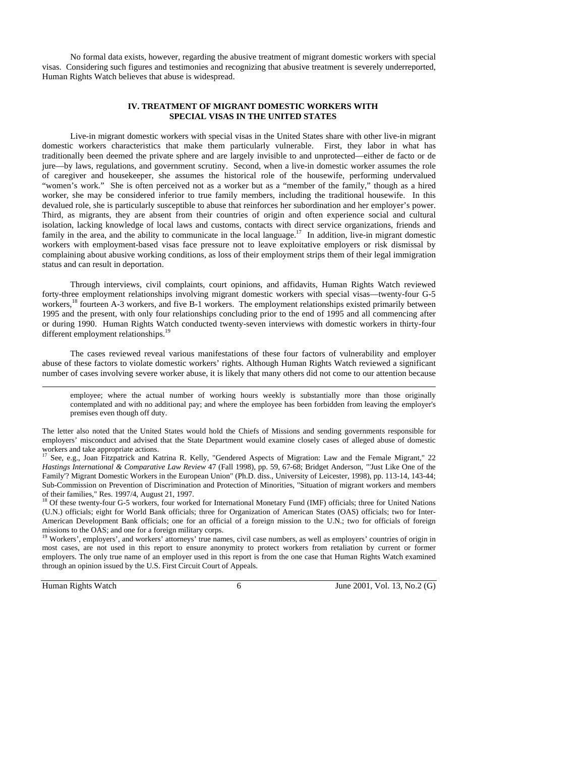No formal data exists, however, regarding the abusive treatment of migrant domestic workers with special visas. Considering such figures and testimonies and recognizing that abusive treatment is severely underreported, Human Rights Watch believes that abuse is widespread.

### **IV. TREATMENT OF MIGRANT DOMESTIC WORKERS WITH SPECIAL VISAS IN THE UNITED STATES**

Live-in migrant domestic workers with special visas in the United States share with other live-in migrant domestic workers characteristics that make them particularly vulnerable. First, they labor in what has traditionally been deemed the private sphere and are largely invisible to and unprotected—either de facto or de jure—by laws, regulations, and government scrutiny. Second, when a live-in domestic worker assumes the role of caregiver and housekeeper, she assumes the historical role of the housewife, performing undervalued "women's work." She is often perceived not as a worker but as a "member of the family," though as a hired worker, she may be considered inferior to true family members, including the traditional housewife. In this devalued role, she is particularly susceptible to abuse that reinforces her subordination and her employer's power. Third, as migrants, they are absent from their countries of origin and often experience social and cultural isolation, lacking knowledge of local laws and customs, contacts with direct service organizations, friends and family in the area, and the ability to communicate in the local language.<sup>17</sup> In addition, live-in migrant domestic workers with employment-based visas face pressure not to leave exploitative employers or risk dismissal by complaining about abusive working conditions, as loss of their employment strips them of their legal immigration status and can result in deportation.

Through interviews, civil complaints, court opinions, and affidavits, Human Rights Watch reviewed forty-three employment relationships involving migrant domestic workers with special visas—twenty-four G-5 workers,<sup>18</sup> fourteen A-3 workers, and five B-1 workers. The employment relationships existed primarily between 1995 and the present, with only four relationships concluding prior to the end of 1995 and all commencing after or during 1990. Human Rights Watch conducted twenty-seven interviews with domestic workers in thirty-four different employment relationships. $1$ <sup>1</sup>

The cases reviewed reveal various manifestations of these four factors of vulnerability and employer abuse of these factors to violate domestic workers' rights. Although Human Rights Watch reviewed a significant number of cases involving severe worker abuse, it is likely that many others did not come to our attention because

employee; where the actual number of working hours weekly is substantially more than those originally contemplated and with no additional pay; and where the employee has been forbidden from leaving the employer's premises even though off duty.

The letter also noted that the United States would hold the Chiefs of Missions and sending governments responsible for employers' misconduct and advised that the State Department would examine closely cases of alleged abuse of domestic workers and take appropriate actions.

<sup>17</sup> See, e.g., Joan Fitzpatrick and Katrina R. Kelly, "Gendered Aspects of Migration: Law and the Female Migrant," 22 *Hastings International & Comparative Law Review* 47 (Fall 1998), pp. 59, 67-68; Bridget Anderson, *"'*Just Like One of the Family'? Migrant Domestic Workers in the European Union" (Ph.D. diss., University of Leicester, 1998), pp. 113-14, 143-44; Sub-Commission on Prevention of Discrimination and Protection of Minorities, "Situation of migrant workers and members of their families," Res. 1997/4, August 21, 1997.

<sup>18</sup> Of these twenty-four G-5 workers, four worked for International Monetary Fund (IMF) officials; three for United Nations (U.N.) officials; eight for World Bank officials; three for Organization of American States (OAS) officials; two for Inter-American Development Bank officials; one for an official of a foreign mission to the U.N.; two for officials of foreign missions to the OAS; and one for a foreign military corps.

<sup>19</sup> Workers', employers', and workers' attorneys' true names, civil case numbers, as well as employers' countries of origin in most cases, are not used in this report to ensure anonymity to protect workers from retaliation by current or former employers. The only true name of an employer used in this report is from the one case that Human Rights Watch examined through an opinion issued by the U.S. First Circuit Court of Appeals.

-

Human Rights Watch 6 June 2001, Vol. 13, No.2 (G)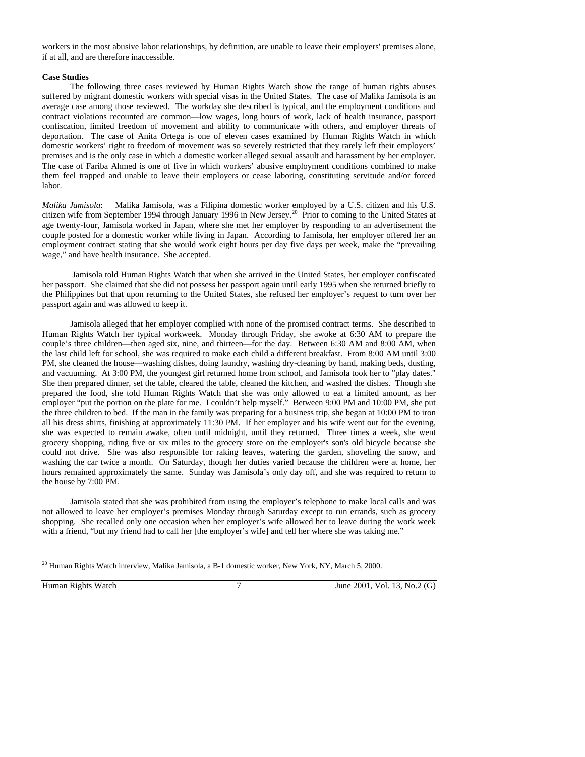workers in the most abusive labor relationships, by definition, are unable to leave their employers' premises alone, if at all, and are therefore inaccessible.

### **Case Studies**

The following three cases reviewed by Human Rights Watch show the range of human rights abuses suffered by migrant domestic workers with special visas in the United States. The case of Malika Jamisola is an average case among those reviewed. The workday she described is typical, and the employment conditions and contract violations recounted are common—low wages, long hours of work, lack of health insurance, passport confiscation, limited freedom of movement and ability to communicate with others, and employer threats of deportation. The case of Anita Ortega is one of eleven cases examined by Human Rights Watch in which domestic workers' right to freedom of movement was so severely restricted that they rarely left their employers' premises and is the only case in which a domestic worker alleged sexual assault and harassment by her employer. The case of Fariba Ahmed is one of five in which workers' abusive employment conditions combined to make them feel trapped and unable to leave their employers or cease laboring, constituting servitude and/or forced labor.

*Malika Jamisola*:Malika Jamisola, was a Filipina domestic worker employed by a U.S. citizen and his U.S. citizen wife from September 1994 through January 1996 in New Jersey.<sup>20</sup> Prior to coming to the United States at age twenty-four, Jamisola worked in Japan, where she met her employer by responding to an advertisement the couple posted for a domestic worker while living in Japan. According to Jamisola, her employer offered her an employment contract stating that she would work eight hours per day five days per week, make the "prevailing wage," and have health insurance. She accepted.

 Jamisola told Human Rights Watch that when she arrived in the United States, her employer confiscated her passport. She claimed that she did not possess her passport again until early 1995 when she returned briefly to the Philippines but that upon returning to the United States, she refused her employer's request to turn over her passport again and was allowed to keep it.

Jamisola alleged that her employer complied with none of the promised contract terms. She described to Human Rights Watch her typical workweek. Monday through Friday, she awoke at 6:30 AM to prepare the couple's three children—then aged six, nine, and thirteen—for the day. Between 6:30 AM and 8:00 AM, when the last child left for school, she was required to make each child a different breakfast. From 8:00 AM until 3:00 PM, she cleaned the house—washing dishes, doing laundry, washing dry-cleaning by hand, making beds, dusting, and vacuuming. At 3:00 PM, the youngest girl returned home from school, and Jamisola took her to "play dates." She then prepared dinner, set the table, cleared the table, cleaned the kitchen, and washed the dishes. Though she prepared the food, she told Human Rights Watch that she was only allowed to eat a limited amount, as her employer "put the portion on the plate for me. I couldn't help myself." Between 9:00 PM and 10:00 PM, she put the three children to bed. If the man in the family was preparing for a business trip, she began at 10:00 PM to iron all his dress shirts, finishing at approximately 11:30 PM. If her employer and his wife went out for the evening, she was expected to remain awake, often until midnight, until they returned. Three times a week, she went grocery shopping, riding five or six miles to the grocery store on the employer's son's old bicycle because she could not drive. She was also responsible for raking leaves, watering the garden, shoveling the snow, and washing the car twice a month. On Saturday, though her duties varied because the children were at home, her hours remained approximately the same. Sunday was Jamisola's only day off, and she was required to return to the house by 7:00 PM.

Jamisola stated that she was prohibited from using the employer's telephone to make local calls and was not allowed to leave her employer's premises Monday through Saturday except to run errands, such as grocery shopping. She recalled only one occasion when her employer's wife allowed her to leave during the work week with a friend, "but my friend had to call her [the employer's wife] and tell her where she was taking me."

-

Human Rights Watch 7 June 2001, Vol. 13, No.2 (G)

 $^{20}$  Human Rights Watch interview, Malika Jamisola, a B-1 domestic worker, New York, NY, March 5, 2000.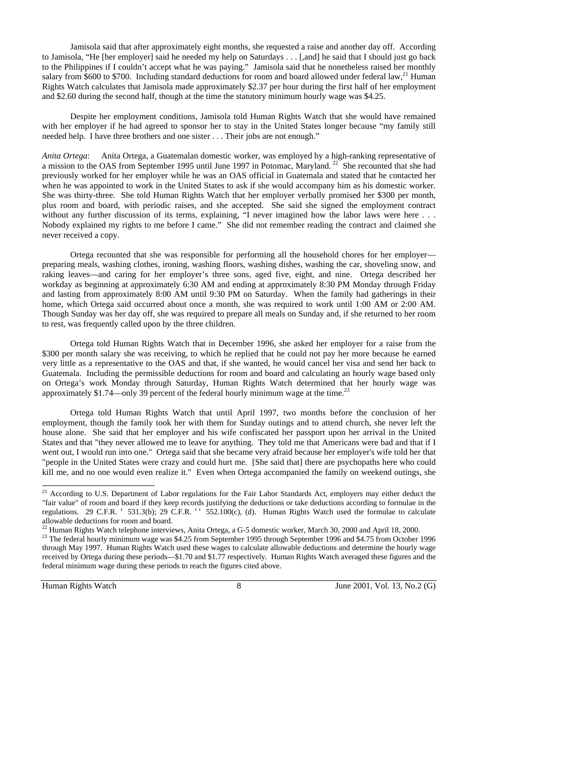Jamisola said that after approximately eight months, she requested a raise and another day off. According to Jamisola, "He [her employer] said he needed my help on Saturdays . . . [,and] he said that I should just go back to the Philippines if I couldn't accept what he was paying." Jamisola said that he nonetheless raised her monthly salary from \$600 to \$700. Including standard deductions for room and board allowed under federal law,<sup>21</sup> Human Rights Watch calculates that Jamisola made approximately \$2.37 per hour during the first half of her employment and \$2.60 during the second half, though at the time the statutory minimum hourly wage was \$4.25.

Despite her employment conditions, Jamisola told Human Rights Watch that she would have remained with her employer if he had agreed to sponsor her to stay in the United States longer because "my family still needed help. I have three brothers and one sister . . . Their jobs are not enough."

*Anita Ortega*: Anita Ortega, a Guatemalan domestic worker, was employed by a high-ranking representative of a mission to the OAS from September 1995 until June 1997 in Potomac, Maryland. 22 She recounted that she had previously worked for her employer while he was an OAS official in Guatemala and stated that he contacted her when he was appointed to work in the United States to ask if she would accompany him as his domestic worker. She was thirty-three. She told Human Rights Watch that her employer verbally promised her \$300 per month, plus room and board, with periodic raises, and she accepted. She said she signed the employment contract without any further discussion of its terms, explaining, "I never imagined how the labor laws were here . . . Nobody explained my rights to me before I came." She did not remember reading the contract and claimed she never received a copy.

Ortega recounted that she was responsible for performing all the household chores for her employer preparing meals, washing clothes, ironing, washing floors, washing dishes, washing the car, shoveling snow, and raking leaves—and caring for her employer's three sons, aged five, eight, and nine. Ortega described her workday as beginning at approximately 6:30 AM and ending at approximately 8:30 PM Monday through Friday and lasting from approximately 8:00 AM until 9:30 PM on Saturday. When the family had gatherings in their home, which Ortega said occurred about once a month, she was required to work until 1:00 AM or 2:00 AM. Though Sunday was her day off, she was required to prepare all meals on Sunday and, if she returned to her room to rest, was frequently called upon by the three children.

Ortega told Human Rights Watch that in December 1996, she asked her employer for a raise from the \$300 per month salary she was receiving, to which he replied that he could not pay her more because he earned very little as a representative to the OAS and that, if she wanted, he would cancel her visa and send her back to Guatemala. Including the permissible deductions for room and board and calculating an hourly wage based only on Ortega's work Monday through Saturday, Human Rights Watch determined that her hourly wage was approximately  $$1.74$ —only 39 percent of the federal hourly minimum wage at the time.<sup>23</sup>

Ortega told Human Rights Watch that until April 1997, two months before the conclusion of her employment, though the family took her with them for Sunday outings and to attend church, she never left the house alone. She said that her employer and his wife confiscated her passport upon her arrival in the United States and that "they never allowed me to leave for anything. They told me that Americans were bad and that if I went out, I would run into one." Ortega said that she became very afraid because her employer's wife told her that "people in the United States were crazy and could hurt me. [She said that] there are psychopaths here who could kill me, and no one would even realize it." Even when Ortega accompanied the family on weekend outings, she

-

Human Rights Watch 8 June 2001, Vol. 13, No.2 (G)

<sup>&</sup>lt;sup>21</sup> According to U.S. Department of Labor regulations for the Fair Labor Standards Act, employers may either deduct the "fair value" of room and board if they keep records justifying the deductions or take deductions according to formulae in the regulations. 29 C.F.R.  $\blacksquare$  531.3(b); 29 C.F.R.  $\blacksquare$  552.100(c), (d). Human Rights Watch used the formulae to calculate allowable deductions for room and board.<br><sup>22</sup> Human Rights Watch telephone interviews, Anita Ortega, a G-5 domestic worker, March 30, 2000 and April 18, 2000.

<sup>&</sup>lt;sup>23</sup> The federal hourly minimum wage was \$4.25 from September 1995 through September 1996 and \$4.75 from October 1996 through May 1997. Human Rights Watch used these wages to calculate allowable deductions and determine the hourly wage received by Ortega during these periods—\$1.70 and \$1.77 respectively. Human Rights Watch averaged these figures and the federal minimum wage during these periods to reach the figures cited above.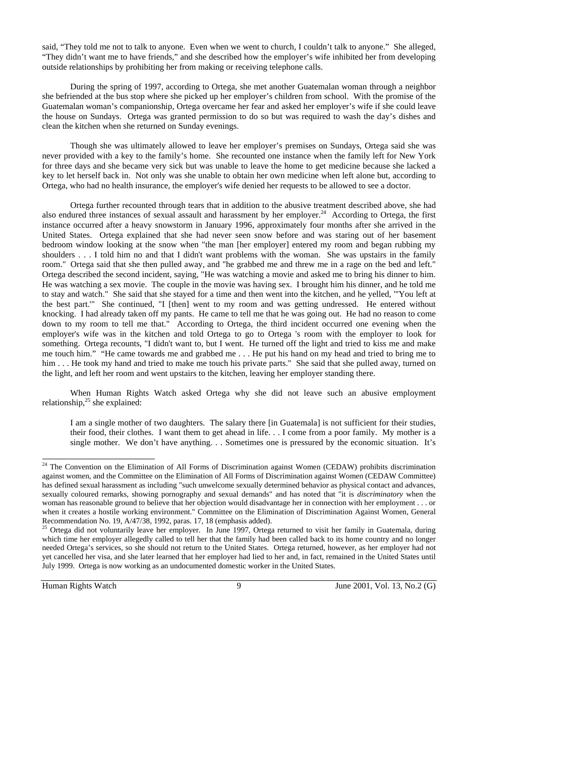said, "They told me not to talk to anyone. Even when we went to church, I couldn't talk to anyone." She alleged, "They didn't want me to have friends," and she described how the employer's wife inhibited her from developing outside relationships by prohibiting her from making or receiving telephone calls.

During the spring of 1997, according to Ortega, she met another Guatemalan woman through a neighbor she befriended at the bus stop where she picked up her employer's children from school. With the promise of the Guatemalan woman's companionship, Ortega overcame her fear and asked her employer's wife if she could leave the house on Sundays. Ortega was granted permission to do so but was required to wash the day's dishes and clean the kitchen when she returned on Sunday evenings.

Though she was ultimately allowed to leave her employer's premises on Sundays, Ortega said she was never provided with a key to the family's home. She recounted one instance when the family left for New York for three days and she became very sick but was unable to leave the home to get medicine because she lacked a key to let herself back in. Not only was she unable to obtain her own medicine when left alone but, according to Ortega, who had no health insurance, the employer's wife denied her requests to be allowed to see a doctor.

Ortega further recounted through tears that in addition to the abusive treatment described above, she had also endured three instances of sexual assault and harassment by her employer.<sup>24</sup> According to Ortega, the first instance occurred after a heavy snowstorm in January 1996, approximately four months after she arrived in the United States. Ortega explained that she had never seen snow before and was staring out of her basement bedroom window looking at the snow when "the man [her employer] entered my room and began rubbing my shoulders . . . I told him no and that I didn't want problems with the woman. She was upstairs in the family room." Ortega said that she then pulled away, and "he grabbed me and threw me in a rage on the bed and left." Ortega described the second incident, saying, "He was watching a movie and asked me to bring his dinner to him. He was watching a sex movie. The couple in the movie was having sex. I brought him his dinner, and he told me to stay and watch." She said that she stayed for a time and then went into the kitchen, and he yelled, "'You left at the best part.'" She continued, "I [then] went to my room and was getting undressed. He entered without knocking. I had already taken off my pants. He came to tell me that he was going out. He had no reason to come down to my room to tell me that." According to Ortega, the third incident occurred one evening when the employer's wife was in the kitchen and told Ortega to go to Ortega 's room with the employer to look for something. Ortega recounts, "I didn't want to, but I went. He turned off the light and tried to kiss me and make me touch him." "He came towards me and grabbed me . . . He put his hand on my head and tried to bring me to him . . . He took my hand and tried to make me touch his private parts." She said that she pulled away, turned on the light, and left her room and went upstairs to the kitchen, leaving her employer standing there.

When Human Rights Watch asked Ortega why she did not leave such an abusive employment relationship, $2<sup>5</sup>$  she explained:

I am a single mother of two daughters. The salary there [in Guatemala] is not sufficient for their studies, their food, their clothes. I want them to get ahead in life. . . I come from a poor family. My mother is a single mother. We don't have anything. . . Sometimes one is pressured by the economic situation. It's

-

Human Rights Watch 9 June 2001, Vol. 13, No.2 (G)

 $^{24}$  The Convention on the Elimination of All Forms of Discrimination against Women (CEDAW) prohibits discrimination against women, and the Committee on the Elimination of All Forms of Discrimination against Women (CEDAW Committee) has defined sexual harassment as including "such unwelcome sexually determined behavior as physical contact and advances, sexually coloured remarks, showing pornography and sexual demands" and has noted that "it is *discriminatory* when the woman has reasonable ground to believe that her objection would disadvantage her in connection with her employment . . . or when it creates a hostile working environment." Committee on the Elimination of Discrimination Against Women, General Recommendation No. 19, A/47/38, 1992, paras. 17, 18 (emphasis added).

<sup>&</sup>lt;sup>25</sup> Ortega did not voluntarily leave her employer. In June 1997, Ortega returned to visit her family in Guatemala, during which time her employer allegedly called to tell her that the family had been called back to its home country and no longer needed Ortega's services, so she should not return to the United States. Ortega returned, however, as her employer had not yet cancelled her visa, and she later learned that her employer had lied to her and, in fact, remained in the United States until July 1999. Ortega is now working as an undocumented domestic worker in the United States.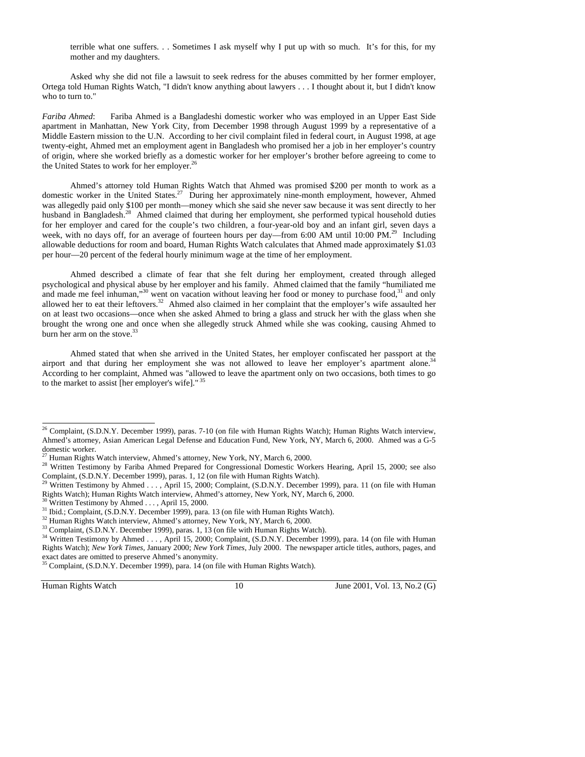terrible what one suffers. . . Sometimes I ask myself why I put up with so much. It's for this, for my mother and my daughters.

Asked why she did not file a lawsuit to seek redress for the abuses committed by her former employer, Ortega told Human Rights Watch, "I didn't know anything about lawyers . . . I thought about it, but I didn't know who to turn to."

*Fariba Ahmed*: Fariba Ahmed is a Bangladeshi domestic worker who was employed in an Upper East Side apartment in Manhattan, New York City, from December 1998 through August 1999 by a representative of a Middle Eastern mission to the U.N. According to her civil complaint filed in federal court, in August 1998, at age twenty-eight, Ahmed met an employment agent in Bangladesh who promised her a job in her employer's country of origin, where she worked briefly as a domestic worker for her employer's brother before agreeing to come to the United States to work for her employer.<sup>26</sup>

Ahmed's attorney told Human Rights Watch that Ahmed was promised \$200 per month to work as a domestic worker in the United States.<sup>27</sup> During her approximately nine-month employment, however, Ahmed was allegedly paid only \$100 per month—money which she said she never saw because it was sent directly to her husband in Bangladesh.28 Ahmed claimed that during her employment, she performed typical household duties for her employer and cared for the couple's two children, a four-year-old boy and an infant girl, seven days a week, with no days off, for an average of fourteen hours per day—from 6:00 AM until 10:00 PM.<sup>29</sup> Including allowable deductions for room and board, Human Rights Watch calculates that Ahmed made approximately \$1.03 per hour—20 percent of the federal hourly minimum wage at the time of her employment.

Ahmed described a climate of fear that she felt during her employment, created through alleged psychological and physical abuse by her employer and his family. Ahmed claimed that the family "humiliated me and made me feel inhuman,"<sup>30</sup> went on vacation without leaving her food or money to purchase food,<sup>31</sup> and only allowed her to eat their leftovers.<sup>32</sup> Ahmed also claimed in her complaint that the employer's wife assaulted her on at least two occasions—once when she asked Ahmed to bring a glass and struck her with the glass when she brought the wrong one and once when she allegedly struck Ahmed while she was cooking, causing Ahmed to burn her arm on the stove. $3\frac{3}{2}$ 

Ahmed stated that when she arrived in the United States, her employer confiscated her passport at the airport and that during her employment she was not allowed to leave her employer's apartment alone.<sup>3</sup> According to her complaint, Ahmed was "allowed to leave the apartment only on two occasions, both times to go to the market to assist [her employer's wife]." 35

-

Human Rights Watch 10 June 2001, Vol. 13, No.2 (G)

<sup>&</sup>lt;sup>26</sup> Complaint, (S.D.N.Y. December 1999), paras. 7-10 (on file with Human Rights Watch); Human Rights Watch interview, Ahmed's attorney, Asian American Legal Defense and Education Fund, New York, NY, March 6, 2000. Ahmed was a G-5 domestic worker.<br><sup>27</sup> Human Rights Watch interview, Ahmed's attorney, New York, NY, March 6, 2000.

<sup>&</sup>lt;sup>28</sup> Written Testimony by Fariba Ahmed Prepared for Congressional Domestic Workers Hearing, April 15, 2000; see also Complaint, (S.D.N.Y. December 1999), paras. 1, 12 (on file with Human Rights Watch).

Written Testimony by Ahmed . . . , April 15, 2000; Complaint, (S.D.N.Y. December 1999), para. 11 (on file with Human Rights Watch); Human Rights Watch interview, Ahmed's attorney, New York, NY, March 6, 2000.<br><sup>30</sup> Written Testimony by Ahmed . . . , April 15, 2000.<br><sup>31</sup> Ibid.; Complaint, (S.D.N.Y. December 1999), para. 13 (on file with H

<sup>&</sup>lt;sup>32</sup> Human Rights Watch interview, Ahmed's attorney, New York, NY, March 6, 2000.<br><sup>33</sup> Complaint, (S.D.N.Y. December 1999), paras. 1, 13 (on file with Human Rights Watch).<br><sup>34</sup> Written Testimony by Ahmed . . . , April 15, Rights Watch); *New York Times*, January 2000; *New York Times*, July 2000. The newspaper article titles, authors, pages, and exact dates are omitted to preserve Ahmed's anonymity.

<sup>&</sup>lt;sup>35</sup> Complaint, (S.D.N.Y. December 1999), para. 14 (on file with Human Rights Watch).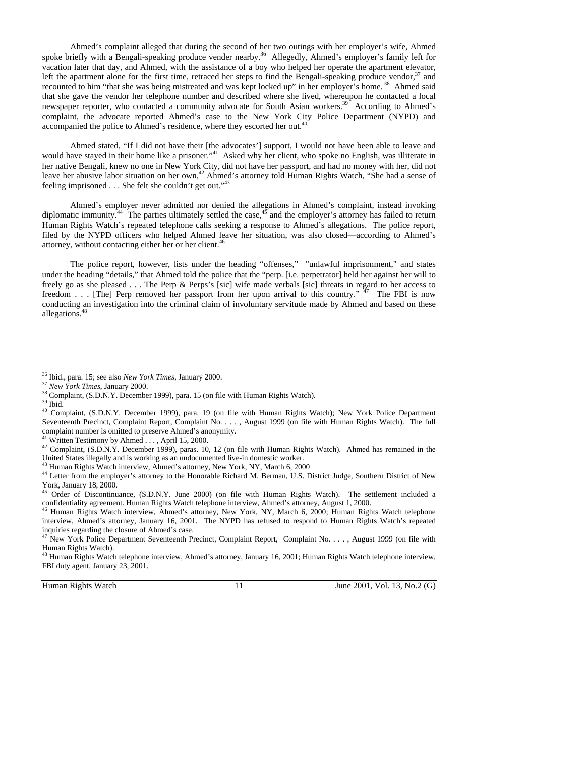Ahmed's complaint alleged that during the second of her two outings with her employer's wife, Ahmed spoke briefly with a Bengali-speaking produce vender nearby.<sup>36</sup> Allegedly, Ahmed's employer's family left for vacation later that day, and Ahmed, with the assistance of a boy who helped her operate the apartment elevator, left the apartment alone for the first time, retraced her steps to find the Bengali-speaking produce vendor,<sup>37</sup> and recounted to him "that she was being mistreated and was kept locked up" in her employer's home. 38 Ahmed said that she gave the vendor her telephone number and described where she lived, whereupon he contacted a local newspaper reporter, who contacted a community advocate for South Asian workers.<sup>39</sup> According to Ahmed's complaint, the advocate reported Ahmed's case to the New York City Police Department (NYPD) and accompanied the police to Ahmed's residence, where they escorted her out.<sup>40</sup>

Ahmed stated, "If I did not have their [the advocates'] support, I would not have been able to leave and would have stayed in their home like a prisoner."<sup>41</sup> Asked why her client, who spoke no English, was illiterate in her native Bengali, knew no one in New York City, did not have her passport, and had no money with her, did not leave her abusive labor situation on her own,<sup>42</sup> Ahmed's attorney told Human Rights Watch, "She had a sense of feeling imprisoned . . . She felt she couldn't get out."43

Ahmed's employer never admitted nor denied the allegations in Ahmed's complaint, instead invoking diplomatic immunity.<sup>44</sup> The parties ultimately settled the case, $45$  and the employer's attorney has failed to return Human Rights Watch's repeated telephone calls seeking a response to Ahmed's allegations. The police report, filed by the NYPD officers who helped Ahmed leave her situation, was also closed—according to Ahmed's attorney, without contacting either her or her client.46

The police report, however, lists under the heading "offenses," "unlawful imprisonment," and states under the heading "details," that Ahmed told the police that the "perp. [i.e. perpetrator] held her against her will to freely go as she pleased . . . The Perp & Perps's [sic] wife made verbals [sic] threats in regard to her access to freedom . . . [The] Perp removed her passport from her upon arrival to this country."  $\frac{37}{47}$  The FBI is now conducting an investigation into the criminal claim of involuntary servitude made by Ahmed and based on these allegations.48

<sup>41</sup> Written Testimony by Ahmed . . . , April 15, 2000.

Human Rights Watch 11 June 2001, Vol. 13, No.2 (G)

<sup>&</sup>lt;sup>36</sup> Ibid., para. 15; see also New York Times, January 2000.

<sup>&</sup>lt;sup>37</sup> *New York Times*, January 2000. <sup>38</sup> *New York Times*, January 2000. <sup>38</sup> *Complaint*, (S.D.N.Y. December 1999), para. 15 (on file with Human Rights Watch). <sup>39</sup> Ibid.

<sup>40</sup> Complaint, (S.D.N.Y. December 1999), para. 19 (on file with Human Rights Watch); New York Police Department Seventeenth Precinct, Complaint Report, Complaint No. . . . , August 1999 (on file with Human Rights Watch). The full complaint number is omitted to preserve Ahmed's anonymity.

<sup>&</sup>lt;sup>42</sup> Complaint, (S.D.N.Y. December 1999), paras. 10, 12 (on file with Human Rights Watch). Ahmed has remained in the United States illegally and is working as an undocumented live-in domestic worker.

<sup>&</sup>lt;sup>43</sup> Human Rights Watch interview, Ahmed's attorney, New York, NY, March 6, 2000<br><sup>44</sup> Letter from the employer's attorney to the Honorable Richard M. Berman, U.S. District Judge, Southern District of New York, January 18, 2000.

 $45$  Order of Discontinuance, (S.D.N.Y. June 2000) (on file with Human Rights Watch). The settlement included a confidentiality agreement. Human Rights Watch telephone interview, Ahmed's attorney, August 1, 2000.

<sup>&</sup>lt;sup>46</sup> Human Rights Watch interview, Ahmed's attorney, New York, NY, March 6, 2000; Human Rights Watch telephone interview, Ahmed's attorney, January 16, 2001. The NYPD has refused to respond to Human Rights Watch's repeated inquiries regarding the closure of Ahmed's case.

<sup>&</sup>lt;sup>47</sup> New York Police Department Seventeenth Precinct, Complaint Report, Complaint No. . . . , August 1999 (on file with Human Rights Watch).

<sup>48</sup> Human Rights Watch telephone interview, Ahmed's attorney, January 16, 2001; Human Rights Watch telephone interview, FBI duty agent, January 23, 2001.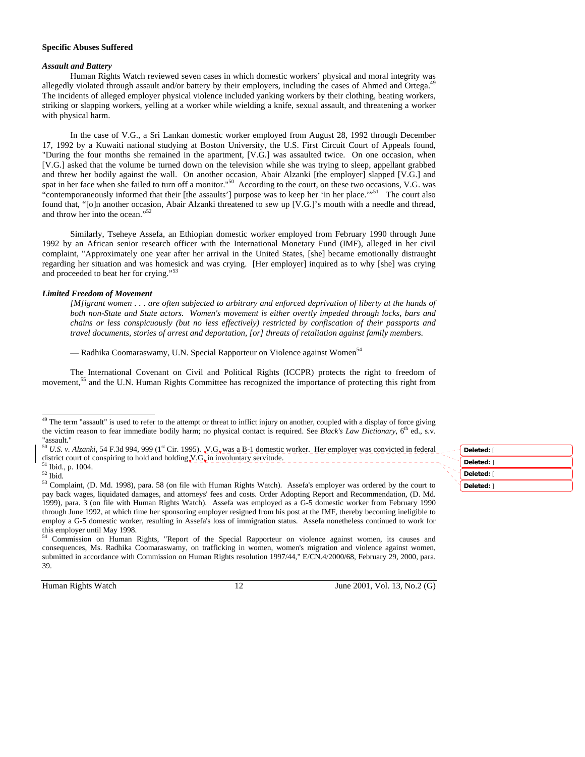### **Specific Abuses Suffered**

#### *Assault and Battery*

Human Rights Watch reviewed seven cases in which domestic workers' physical and moral integrity was allegedly violated through assault and/or battery by their employers, including the cases of Ahmed and Ortega.<sup>4</sup> The incidents of alleged employer physical violence included yanking workers by their clothing, beating workers, striking or slapping workers, yelling at a worker while wielding a knife, sexual assault, and threatening a worker with physical harm.

In the case of V.G., a Sri Lankan domestic worker employed from August 28, 1992 through December 17, 1992 by a Kuwaiti national studying at Boston University, the U.S. First Circuit Court of Appeals found, "During the four months she remained in the apartment, [V.G.] was assaulted twice. On one occasion, when [V.G.] asked that the volume be turned down on the television while she was trying to sleep, appellant grabbed and threw her bodily against the wall. On another occasion, Abair Alzanki [the employer] slapped [V.G.] and spat in her face when she failed to turn off a monitor."<sup>50</sup> According to the court, on these two occasions, V.G. was "contemporaneously informed that their [the assaults'] purpose was to keep her 'in her place."<sup>51</sup> The court also found that, "[o]n another occasion, Abair Alzanki threatened to sew up [V.G.]'s mouth with a needle and thread, and throw her into the ocean."52

Similarly, Tseheye Assefa, an Ethiopian domestic worker employed from February 1990 through June 1992 by an African senior research officer with the International Monetary Fund (IMF), alleged in her civil complaint, "Approximately one year after her arrival in the United States, [she] became emotionally distraught regarding her situation and was homesick and was crying. [Her employer] inquired as to why [she] was crying and proceeded to beat her for crying."53

### *Limited Freedom of Movement*

*[M]igrant women . . . are often subjected to arbitrary and enforced deprivation of liberty at the hands of both non-State and State actors. Women's movement is either overtly impeded through locks, bars and chains or less conspicuously (but no less effectively) restricted by confiscation of their passports and travel documents, stories of arrest and deportation, [or] threats of retaliation against family members.* 

— Radhika Coomaraswamy, U.N. Special Rapporteur on Violence against Women<sup>54</sup>

The International Covenant on Civil and Political Rights (ICCPR) protects the right to freedom of movement,<sup>55</sup> and the U.N. Human Rights Committee has recognized the importance of protecting this right from

 $^{\rm 52}$  Ibid.

-

54 Commission on Human Rights, "Report of the Special Rapporteur on violence against women, its causes and consequences, Ms. Radhika Coomaraswamy, on trafficking in women, women's migration and violence against women, submitted in accordance with Commission on Human Rights resolution 1997/44," E/CN.4/2000/68, February 29, 2000, para. 39.

Human Rights Watch 12 June 2001, Vol. 13, No.2 (G)

 $49$  The term "assault" is used to refer to the attempt or threat to inflict injury on another, coupled with a display of force giving the victim reason to fear immediate bodily harm; no physical contact is required. See *Black's Law Dictionary*, 6<sup>th</sup> ed., s.v. "assault."<br><sup>50</sup> U.S. v. Alz*anki*, 54 F.3d 994, 999 (1<sup>st</sup> Cir. 1995). <sub>"</sub>V.G<sub>"</sub> was a B-1 domestic worker. Her employer was convicted in federal

district court of conspiring to hold and holding  $\sqrt{C_{\text{eff}}}$  involuntary servitude.

**Deleted:** [ **Deleted:** ] **Deleted:** [ **Deleted:** ]

<sup>53</sup> Complaint, (D. Md. 1998), para. 58 (on file with Human Rights Watch). Assefa's employer was ordered by the court to pay back wages, liquidated damages, and attorneys' fees and costs. Order Adopting Report and Recommendation, (D. Md. 1999), para. 3 (on file with Human Rights Watch). Assefa was employed as a G-5 domestic worker from February 1990 through June 1992, at which time her sponsoring employer resigned from his post at the IMF, thereby becoming ineligible to employ a G-5 domestic worker, resulting in Assefa's loss of immigration status. Assefa nonetheless continued to work for this employer until May 1998.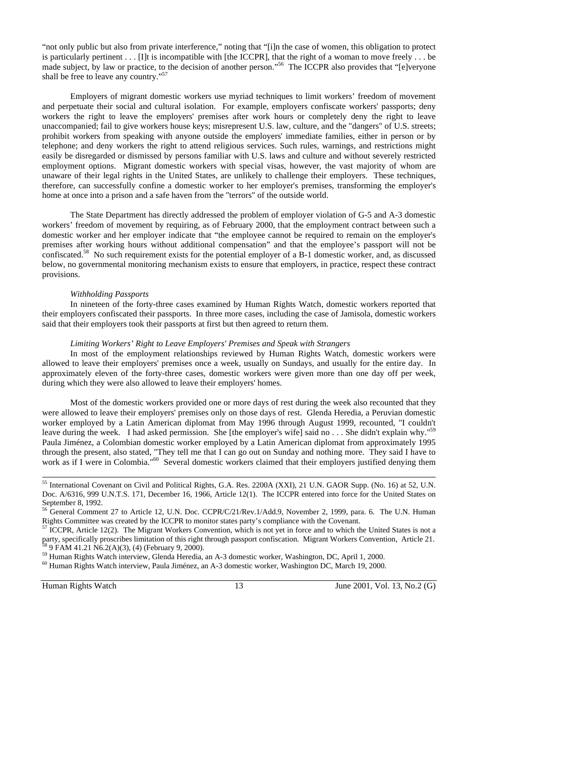"not only public but also from private interference," noting that "[i]n the case of women, this obligation to protect is particularly pertinent . . . [I]t is incompatible with [the ICCPR], that the right of a woman to move freely . . . be made subject, by law or practice, to the decision of another person."<sup>56</sup> The ICCPR also provides that "[e]veryone shall be free to leave any country."<sup>57</sup>

 Employers of migrant domestic workers use myriad techniques to limit workers' freedom of movement and perpetuate their social and cultural isolation. For example, employers confiscate workers' passports; deny workers the right to leave the employers' premises after work hours or completely deny the right to leave unaccompanied; fail to give workers house keys; misrepresent U.S. law, culture, and the "dangers" of U.S. streets; prohibit workers from speaking with anyone outside the employers' immediate families, either in person or by telephone; and deny workers the right to attend religious services. Such rules, warnings, and restrictions might easily be disregarded or dismissed by persons familiar with U.S. laws and culture and without severely restricted employment options. Migrant domestic workers with special visas, however, the vast majority of whom are unaware of their legal rights in the United States, are unlikely to challenge their employers. These techniques, therefore, can successfully confine a domestic worker to her employer's premises, transforming the employer's home at once into a prison and a safe haven from the "terrors" of the outside world.

The State Department has directly addressed the problem of employer violation of G-5 and A-3 domestic workers' freedom of movement by requiring, as of February 2000, that the employment contract between such a domestic worker and her employer indicate that "the employee cannot be required to remain on the employer's premises after working hours without additional compensation" and that the employee's passport will not be confiscated.58 No such requirement exists for the potential employer of a B-1 domestic worker, and, as discussed below, no governmental monitoring mechanism exists to ensure that employers, in practice, respect these contract provisions.

### *Withholding Passports*

In nineteen of the forty-three cases examined by Human Rights Watch, domestic workers reported that their employers confiscated their passports. In three more cases, including the case of Jamisola, domestic workers said that their employers took their passports at first but then agreed to return them.

#### *Limiting Workers' Right to Leave Employers' Premises and Speak with Strangers*

 In most of the employment relationships reviewed by Human Rights Watch, domestic workers were allowed to leave their employers' premises once a week, usually on Sundays, and usually for the entire day. In approximately eleven of the forty-three cases, domestic workers were given more than one day off per week, during which they were also allowed to leave their employers' homes.

Most of the domestic workers provided one or more days of rest during the week also recounted that they were allowed to leave their employers' premises only on those days of rest. Glenda Heredia, a Peruvian domestic worker employed by a Latin American diplomat from May 1996 through August 1999, recounted, "I couldn't leave during the week. I had asked permission. She [the employer's wife] said no . . . She didn't explain why."<sup>59</sup> Paula Jiménez, a Colombian domestic worker employed by a Latin American diplomat from approximately 1995 through the present, also stated, "They tell me that I can go out on Sunday and nothing more. They said I have to work as if I were in Colombia.<sup>"60</sup> Several domestic workers claimed that their employers justified denying them

<sup>59</sup> Human Rights Watch interview, Glenda Heredia, an A-3 domestic worker, Washington, DC, April 1, 2000. 60 Human Rights Watch interview, Paula Jiménez, an A-3 domestic worker, Washington DC, March 19, 2000.

Human Rights Watch 13 June 2001, Vol. 13, No.2 (G)

 <sup>55</sup> International Covenant on Civil and Political Rights, G.A. Res. 2200A (XXI), 21 U.N. GAOR Supp. (No. 16) at 52, U.N. Doc. A/6316, 999 U.N.T.S. 171, December 16, 1966, Article 12(1). The ICCPR entered into force for the United States on September 8, 1992.

<sup>56</sup> General Comment 27 to Article 12, U.N. Doc. CCPR/C/21/Rev.1/Add.9, November 2, 1999, para. 6. The U.N. Human Rights Committee was created by the ICCPR to monitor states party's compliance with the Covenant.<br><sup>57</sup> ICCPR Article 12(2). The Migrant Workers Convention, which is not yet in force and to which the

<sup>57</sup> ICCPR, Article 12(2). The Migrant Workers Convention, which is not yet in force and to which the United States is not a party, specifically proscribes limitation of this right through passport confiscation. Migrant Workers Convention, Article 21.<br><sup>58</sup> 9 FAM 41.21 N6.2(A)(3), (4) (February 9, 2000).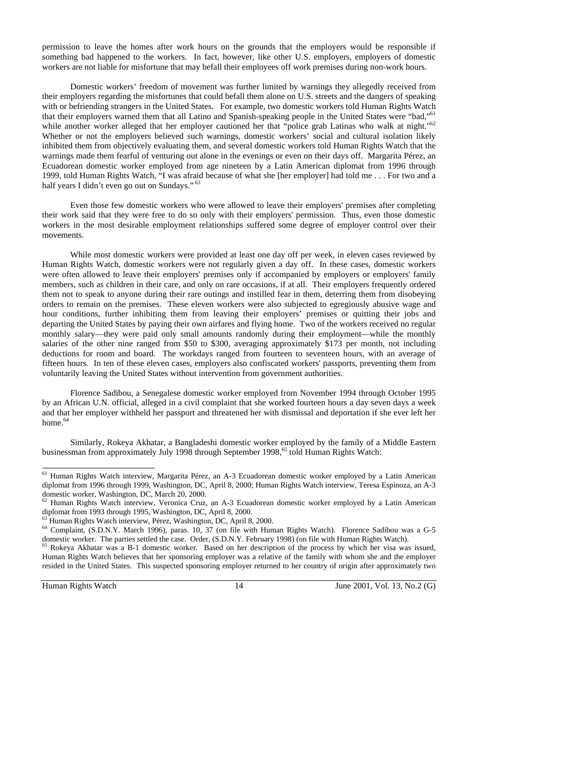permission to leave the homes after work hours on the grounds that the employers would be responsible if something bad happened to the workers. In fact, however, like other U.S. employers, employers of domestic workers are not liable for misfortune that may befall their employees off work premises during non-work hours.

Domestic workers' freedom of movement was further limited by warnings they allegedly received from their employers regarding the misfortunes that could befall them alone on U.S. streets and the dangers of speaking with or befriending strangers in the United States. For example, two domestic workers told Human Rights Watch that their employers warned them that all Latino and Spanish-speaking people in the United States were "bad,"61 while another worker alleged that her employer cautioned her that "police grab Latinas who walk at night."<sup>62</sup> Whether or not the employers believed such warnings, domestic workers' social and cultural isolation likely inhibited them from objectively evaluating them, and several domestic workers told Human Rights Watch that the warnings made them fearful of venturing out alone in the evenings or even on their days off. Margarita Pérez, an Ecuadorean domestic worker employed from age nineteen by a Latin American diplomat from 1996 through 1999, told Human Rights Watch, "I was afraid because of what she [her employer] had told me . . . For two and a half years I didn't even go out on Sundays."<sup>63</sup>

Even those few domestic workers who were allowed to leave their employers' premises after completing their work said that they were free to do so only with their employers' permission. Thus, even those domestic workers in the most desirable employment relationships suffered some degree of employer control over their movements.

While most domestic workers were provided at least one day off per week, in eleven cases reviewed by Human Rights Watch, domestic workers were not regularly given a day off. In these cases, domestic workers were often allowed to leave their employers' premises only if accompanied by employers or employers' family members, such as children in their care, and only on rare occasions, if at all. Their employers frequently ordered them not to speak to anyone during their rare outings and instilled fear in them, deterring them from disobeying orders to remain on the premises. These eleven workers were also subjected to egregiously abusive wage and hour conditions, further inhibiting them from leaving their employers' premises or quitting their jobs and departing the United States by paying their own airfares and flying home. Two of the workers received no regular monthly salary—they were paid only small amounts randomly during their employment—while the monthly salaries of the other nine ranged from \$50 to \$300, averaging approximately \$173 per month, not including deductions for room and board. The workdays ranged from fourteen to seventeen hours, with an average of fifteen hours. In ten of these eleven cases, employers also confiscated workers' passports, preventing them from voluntarily leaving the United States without intervention from government authorities.

Florence Sadibou, a Senegalese domestic worker employed from November 1994 through October 1995 by an African U.N. official, alleged in a civil complaint that she worked fourteen hours a day seven days a week and that her employer withheld her passport and threatened her with dismissal and deportation if she ever left her home.<sup>64</sup>

Similarly, Rokeya Akhatar, a Bangladeshi domestic worker employed by the family of a Middle Eastern businessman from approximately July 1998 through September 1998,<sup>65</sup> told Human Rights Watch:

Human Rights Watch 14 June 2001, Vol. 13, No.2 (G)

 61 Human Rights Watch interview, Margarita Pérez, an A-3 Ecuadorean domestic worker employed by a Latin American diplomat from 1996 through 1999, Washington, DC, April 8, 2000; Human Rights Watch interview, Teresa Espinoza, an A-3

domestic worker, Washington, DC, March 20, 2000.<br><sup>62</sup> Human Rights Watch interview, Veronica Cruz, an A-3 Ecuadorean domestic worker employed by a Latin American diplomat from 1993 through 1995, Washington, DC, April 8, 2000.

<sup>&</sup>lt;sup>63</sup> Human Rights Watch interview, Pérez, Washington, DC, April 8, 2000.

<sup>&</sup>lt;sup>64</sup> Complaint, (S.D.N.Y. March 1996), paras. 10, 37 (on file with Human Rights Watch). Florence Sadibou was a G-5 domestic worker. The parties settled the case. Order, (S.D.N.Y. February 1998) (on file with Human Rights W

<sup>&</sup>lt;sup>65</sup> Rokeya Akhatar was a B-1 domestic worker. Based on her description of the process by which her visa was issued, Human Rights Watch believes that her sponsoring employer was a relative of the family with whom she and the employer resided in the United States. This suspected sponsoring employer returned to her country of origin after approximately two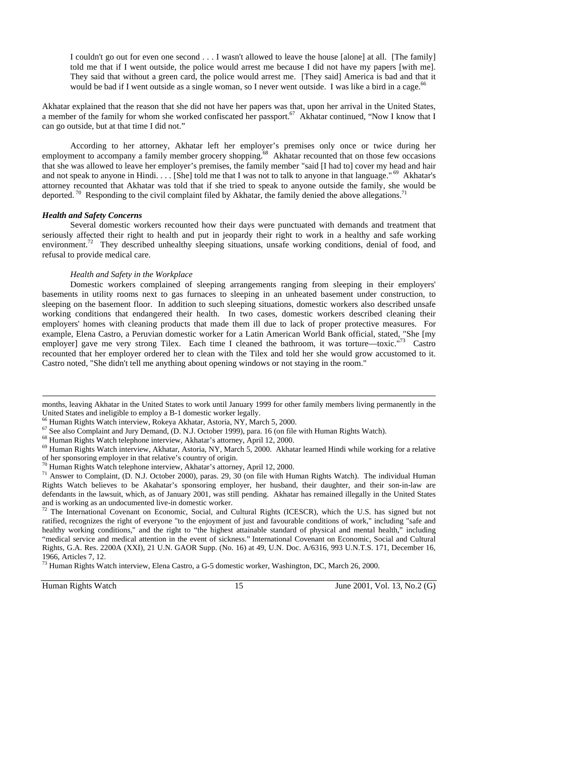I couldn't go out for even one second . . . I wasn't allowed to leave the house [alone] at all. [The family] told me that if I went outside, the police would arrest me because I did not have my papers [with me]. They said that without a green card, the police would arrest me. [They said] America is bad and that it would be bad if I went outside as a single woman, so I never went outside. I was like a bird in a cage.<sup>66</sup>

Akhatar explained that the reason that she did not have her papers was that, upon her arrival in the United States, a member of the family for whom she worked confiscated her passport.<sup>67</sup> Akhatar continued, "Now I know that I can go outside, but at that time I did not."

According to her attorney, Akhatar left her employer's premises only once or twice during her employment to accompany a family member grocery shopping.<sup>68</sup> Akhatar recounted that on those few occasions that she was allowed to leave her employer's premises, the family member "said [I had to] cover my head and hair and not speak to anyone in Hindi.  $\ldots$  [She] told me that I was not to talk to anyone in that language." <sup>69</sup> Akhatar's attorney recounted that Akhatar was told that if she tried to speak to anyone outside the family, she would be deported.<sup>70</sup> Responding to the civil complaint filed by Akhatar, the family denied the above allegations.<sup>71</sup>

# *Health and Safety Concerns*

Several domestic workers recounted how their days were punctuated with demands and treatment that seriously affected their right to health and put in jeopardy their right to work in a healthy and safe working environment.<sup>72</sup> They described unhealthy sleeping situations, unsafe working conditions, denial of food, and refusal to provide medical care.

#### *Health and Safety in the Workplace*

Domestic workers complained of sleeping arrangements ranging from sleeping in their employers' basements in utility rooms next to gas furnaces to sleeping in an unheated basement under construction, to sleeping on the basement floor. In addition to such sleeping situations, domestic workers also described unsafe working conditions that endangered their health. In two cases, domestic workers described cleaning their employers' homes with cleaning products that made them ill due to lack of proper protective measures. For example, Elena Castro, a Peruvian domestic worker for a Latin American World Bank official, stated, "She [my employer] gave me very strong Tilex. Each time I cleaned the bathroom, it was torture—toxic."<sup>73</sup> Castro recounted that her employer ordered her to clean with the Tilex and told her she would grow accustomed to it. Castro noted, "She didn't tell me anything about opening windows or not staying in the room."

<sup>73</sup> Human Rights Watch interview, Elena Castro, a G-5 domestic worker, Washington, DC, March 26, 2000.

-

Human Rights Watch 15 June 2001, Vol. 13, No.2 (G)

months, leaving Akhatar in the United States to work until January 1999 for other family members living permanently in the United States and ineligible to employ a B-1 domestic worker legally.<br><sup>66</sup> Human Rights Watch interview, Rokeya Akhatar, Astoria, NY, March 5, 2000.

<sup>&</sup>lt;sup>67</sup> See also Complaint and Jury Demand, (D. N.J. October 1999), para. 16 (on file with Human Rights Watch).<br><sup>68</sup> Human Rights Watch telephone interview, Akhatar's attorney, April 12, 2000.<br><sup>69</sup> Human Rights Watch intervi

 $^{70}$  Human Rights Watch telephone interview, Akhatar's attorney, April 12, 2000.<br><sup>71</sup> Answer to Complaint, (D. N.J. October 2000), paras. 29, 30 (on file with Human Rights Watch). The individual Human Rights Watch believes to be Akahatar's sponsoring employer, her husband, their daughter, and their son-in-law are defendants in the lawsuit, which, as of January 2001, was still pending. Akhatar has remained illegally in the United States and is working as an undocumented live-in domestic worker.

<sup>&</sup>lt;sup>72</sup> The International Covenant on Economic, Social, and Cultural Rights (ICESCR), which the U.S. has signed but not ratified, recognizes the right of everyone "to the enjoyment of just and favourable conditions of work," including "safe and healthy working conditions," and the right to "the highest attainable standard of physical and mental health," including "medical service and medical attention in the event of sickness." International Covenant on Economic, Social and Cultural Rights, G.A. Res. 2200A (XXI), 21 U.N. GAOR Supp. (No. 16) at 49, U.N. Doc. A/6316, 993 U.N.T.S. 171, December 16, 1966, Articles 7, 12.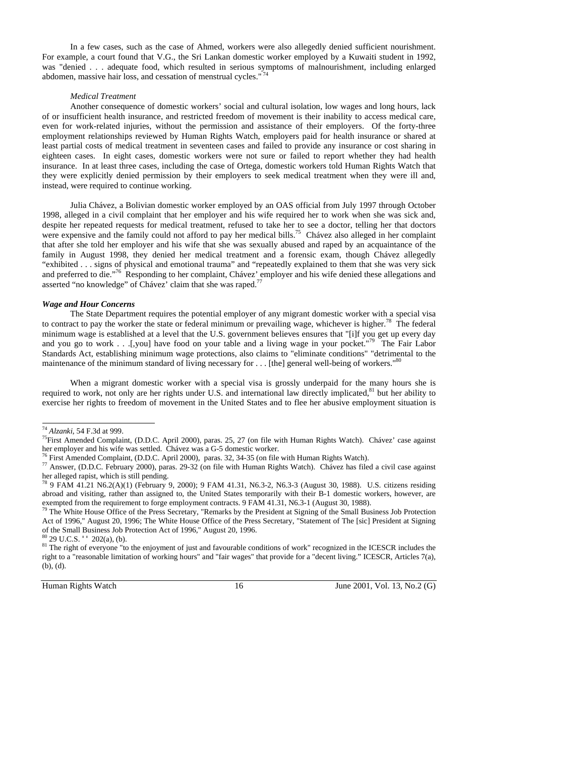In a few cases, such as the case of Ahmed, workers were also allegedly denied sufficient nourishment. For example, a court found that V.G., the Sri Lankan domestic worker employed by a Kuwaiti student in 1992, was "denied . . . adequate food, which resulted in serious symptoms of malnourishment, including enlarged abdomen, massive hair loss, and cessation of menstrual cycles." 74

#### *Medical Treatment*

Another consequence of domestic workers' social and cultural isolation, low wages and long hours, lack of or insufficient health insurance, and restricted freedom of movement is their inability to access medical care, even for work-related injuries, without the permission and assistance of their employers. Of the forty-three employment relationships reviewed by Human Rights Watch, employers paid for health insurance or shared at least partial costs of medical treatment in seventeen cases and failed to provide any insurance or cost sharing in eighteen cases. In eight cases, domestic workers were not sure or failed to report whether they had health insurance. In at least three cases, including the case of Ortega, domestic workers told Human Rights Watch that they were explicitly denied permission by their employers to seek medical treatment when they were ill and, instead, were required to continue working.

Julia Chávez, a Bolivian domestic worker employed by an OAS official from July 1997 through October 1998, alleged in a civil complaint that her employer and his wife required her to work when she was sick and, despite her repeated requests for medical treatment, refused to take her to see a doctor, telling her that doctors were expensive and the family could not afford to pay her medical bills.<sup>75</sup> Chávez also alleged in her complaint that after she told her employer and his wife that she was sexually abused and raped by an acquaintance of the family in August 1998, they denied her medical treatment and a forensic exam, though Chávez allegedly "exhibited . . . signs of physical and emotional trauma" and "repeatedly explained to them that she was very sick and preferred to die."76 Responding to her complaint, Chávez' employer and his wife denied these allegations and asserted "no knowledge" of Chávez' claim that she was raped.<sup>77</sup>

#### *Wage and Hour Concerns*

The State Department requires the potential employer of any migrant domestic worker with a special visa to contract to pay the worker the state or federal minimum or prevailing wage, whichever is higher.<sup>78</sup> The federal minimum wage is established at a level that the U.S. government believes ensures that "[i]f you get up every day and you go to work  $\ldots$  [,you] have food on your table and a living wage in your pocket."<sup>79</sup> The Fair Labor Standards Act, establishing minimum wage protections, also claims to "eliminate conditions" "detrimental to the maintenance of the minimum standard of living necessary for . . . [the] general well-being of workers." $80$ 

When a migrant domestic worker with a special visa is grossly underpaid for the many hours she is required to work, not only are her rights under U.S. and international law directly implicated,<sup>81</sup> but her ability to exercise her rights to freedom of movement in the United States and to flee her abusive employment situation is

Human Rights Watch 16 June 2001, Vol. 13, No.2 (G)

<sup>&</sup>lt;sup>74</sup> Alzanki, 54 F.3d at 999.

<sup>&</sup>lt;sup>75</sup> First Amended Complaint, (D.D.C. April 2000), paras. 25, 27 (on file with Human Rights Watch). Chávez' case against her employer and his wife was settled. Chávez was a G-5 domestic worker.<br><sup>76</sup> First Amended Complaint, (D.D.C. April 2000), paras. 32, 34-35 (on file with Human Rights Watch).

 $\frac{77}{20}$  Answer, (D.D.C. February 2000), paras. 29-32 (on file with Human Rights Watch). Chávez has filed a civil case against her alleged rapist, which is still pending.

<sup>78 9</sup> FAM 41.21 N6.2(A)(1) (February 9, 2000); 9 FAM 41.31, N6.3-2, N6.3-3 (August 30, 1988). U.S. citizens residing abroad and visiting, rather than assigned to, the United States temporarily with their B-1 domestic workers, however, are exempted from the requirement to forge employment contracts. 9 FAM 41.31, N6.3-1 (August 30, 1988).

The White House Office of the Press Secretary, "Remarks by the President at Signing of the Small Business Job Protection Act of 1996," August 20, 1996; The White House Office of the Press Secretary, "Statement of The [sic] President at Signing of the Small Business Job Protection Act of 1996," August 20, 1996.  ${}^{80}$  29 U.C.S.  ${}^{11}$  202(a), (b).

<sup>&</sup>lt;sup>81</sup> The right of everyone "to the enjoyment of just and favourable conditions of work" recognized in the ICESCR includes the right to a "reasonable limitation of working hours" and "fair wages" that provide for a "decent living." ICESCR, Articles 7(a), (b), (d).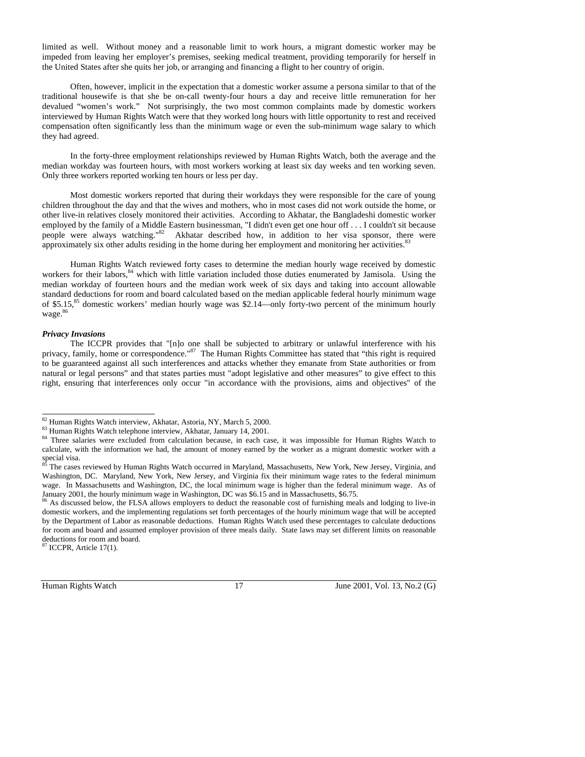limited as well. Without money and a reasonable limit to work hours, a migrant domestic worker may be impeded from leaving her employer's premises, seeking medical treatment, providing temporarily for herself in the United States after she quits her job, or arranging and financing a flight to her country of origin.

Often, however, implicit in the expectation that a domestic worker assume a persona similar to that of the traditional housewife is that she be on-call twenty-four hours a day and receive little remuneration for her devalued "women's work." Not surprisingly, the two most common complaints made by domestic workers interviewed by Human Rights Watch were that they worked long hours with little opportunity to rest and received compensation often significantly less than the minimum wage or even the sub-minimum wage salary to which they had agreed.

In the forty-three employment relationships reviewed by Human Rights Watch, both the average and the median workday was fourteen hours, with most workers working at least six day weeks and ten working seven. Only three workers reported working ten hours or less per day.

Most domestic workers reported that during their workdays they were responsible for the care of young children throughout the day and that the wives and mothers, who in most cases did not work outside the home, or other live-in relatives closely monitored their activities. According to Akhatar, the Bangladeshi domestic worker employed by the family of a Middle Eastern businessman, "I didn't even get one hour off . . . I couldn't sit because people were always watching."<sup>82</sup> Akhatar described how, in addition to her visa sponsor, there were approximately six other adults residing in the home during her employment and monitoring her activities. $83$ 

Human Rights Watch reviewed forty cases to determine the median hourly wage received by domestic workers for their labors,<sup>84</sup> which with little variation included those duties enumerated by Jamisola. Using the median workday of fourteen hours and the median work week of six days and taking into account allowable standard deductions for room and board calculated based on the median applicable federal hourly minimum wage of \$5.15,<sup>85</sup> domestic workers' median hourly wage was \$2.14—only forty-two percent of the minimum hourly wage.<sup>86</sup>

#### *Privacy Invasions*

The ICCPR provides that "[n]o one shall be subjected to arbitrary or unlawful interference with his privacy, family, home or correspondence."<sup>87</sup> The Human Rights Committee has stated that "this right is required" to be guaranteed against all such interferences and attacks whether they emanate from State authorities or from natural or legal persons" and that states parties must "adopt legislative and other measures" to give effect to this right, ensuring that interferences only occur "in accordance with the provisions, aims and objectives" of the

 $87$  ICCPR, Article 17(1).

Human Rights Watch 17 June 2001, Vol. 13, No.2 (G)

<sup>82</sup> Human Rights Watch interview, Akhatar, Astoria, NY, March 5, 2000.

<sup>&</sup>lt;sup>83</sup> Human Rights Watch telephone interview, Akhatar, January 14, 2001.<br><sup>84</sup> Three salaries were excluded from calculation because, in each case, it was impossible for Human Rights Watch to calculate, with the information we had, the amount of money earned by the worker as a migrant domestic worker with a special visa.<br> $85 \text{ T1}$ 

The cases reviewed by Human Rights Watch occurred in Maryland, Massachusetts, New York, New Jersey, Virginia, and Washington, DC. Maryland, New York, New Jersey, and Virginia fix their minimum wage rates to the federal minimum wage. In Massachusetts and Washington, DC, the local minimum wage is higher than the federal minimum wage. As of January 2001, the hourly minimum wage in Washington, DC was \$6.15 and in Massachusetts, \$6.75. <sup>86</sup> As discussed below, the FLSA allows employers to deduct the reasonable cost of furnishing meals and lodging to live-in

domestic workers, and the implementing regulations set forth percentages of the hourly minimum wage that will be accepted by the Department of Labor as reasonable deductions. Human Rights Watch used these percentages to calculate deductions for room and board and assumed employer provision of three meals daily. State laws may set different limits on reasonable deductions for room and board.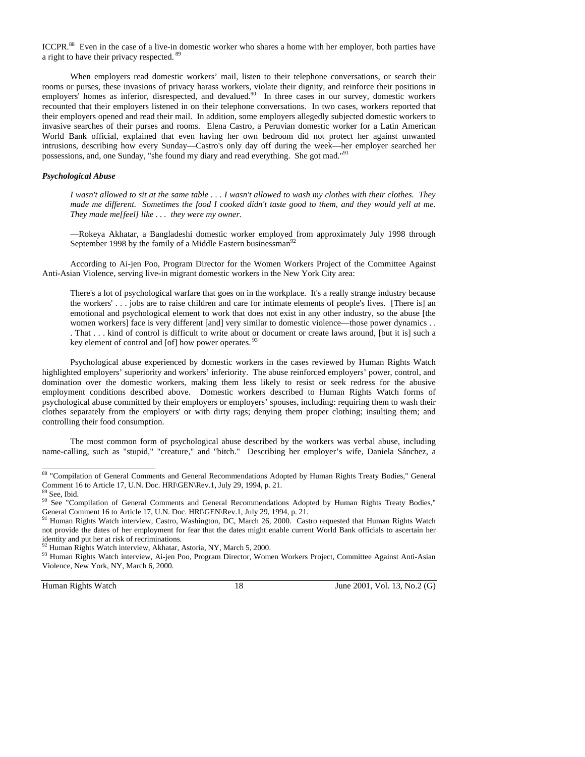ICCPR.88 Even in the case of a live-in domestic worker who shares a home with her employer, both parties have a right to have their privacy respected.<sup>89</sup>

When employers read domestic workers' mail, listen to their telephone conversations, or search their rooms or purses, these invasions of privacy harass workers, violate their dignity, and reinforce their positions in employers' homes as inferior, disrespected, and devalued.<sup>90</sup> In three cases in our survey, domestic workers recounted that their employers listened in on their telephone conversations. In two cases, workers reported that their employers opened and read their mail. In addition, some employers allegedly subjected domestic workers to invasive searches of their purses and rooms. Elena Castro, a Peruvian domestic worker for a Latin American World Bank official, explained that even having her own bedroom did not protect her against unwanted intrusions, describing how every Sunday—Castro's only day off during the week—her employer searched her possessions, and, one Sunday, "she found my diary and read everything. She got mad."91

#### *Psychological Abuse*

*I wasn't allowed to sit at the same table . . . I wasn't allowed to wash my clothes with their clothes. They made me different. Sometimes the food I cooked didn't taste good to them, and they would yell at me. They made me[feel] like . . . they were my owner*.

—Rokeya Akhatar, a Bangladeshi domestic worker employed from approximately July 1998 through September 1998 by the family of a Middle Eastern businessman<sup>92</sup>

According to Ai-jen Poo, Program Director for the Women Workers Project of the Committee Against Anti-Asian Violence, serving live-in migrant domestic workers in the New York City area:

There's a lot of psychological warfare that goes on in the workplace. It's a really strange industry because the workers' . . . jobs are to raise children and care for intimate elements of people's lives. [There is] an emotional and psychological element to work that does not exist in any other industry, so the abuse [the women workers] face is very different [and] very similar to domestic violence—those power dynamics . . . That . . . kind of control is difficult to write about or document or create laws around, [but it is] such a key element of control and [of] how power operates. <sup>93</sup>

 Psychological abuse experienced by domestic workers in the cases reviewed by Human Rights Watch highlighted employers' superiority and workers' inferiority. The abuse reinforced employers' power, control, and domination over the domestic workers, making them less likely to resist or seek redress for the abusive employment conditions described above. Domestic workers described to Human Rights Watch forms of psychological abuse committed by their employers or employers' spouses, including: requiring them to wash their clothes separately from the employers' or with dirty rags; denying them proper clothing; insulting them; and controlling their food consumption.

The most common form of psychological abuse described by the workers was verbal abuse, including name-calling, such as "stupid," "creature," and "bitch." Describing her employer's wife, Daniela Sánchez, a

Human Rights Watch 18 June 2001, Vol. 13, No.2 (G)

 88 "Compilation of General Comments and General Recommendations Adopted by Human Rights Treaty Bodies," General Comment 16 to Article 17, U.N. Doc. HRI\GEN\Rev.1, July 29, 1994, p. 21. 89 See, Ibid.

<sup>90</sup> See "Compilation of General Comments and General Recommendations Adopted by Human Rights Treaty Bodies,"<br>General Comment 16 to Article 17, U.N. Doc. HRI\GEN\Rev.1, July 29, 1994, p. 21.

 $<sup>91</sup>$  Human Rights Watch interview, Castro, Washington, DC, March 26, 2000. Castro requested that Human Rights Watch</sup> not provide the dates of her employment for fear that the dates might enable current World Bank officials to ascertain her identity and put her at risk of recriminations.<br><sup>92</sup> Human Rights Watch interview, Akhatar, Astoria, NY, March 5, 2000.

<sup>93</sup> Human Rights Watch interview, Ai-jen Poo, Program Director, Women Workers Project, Committee Against Anti-Asian Violence, New York, NY, March 6, 2000.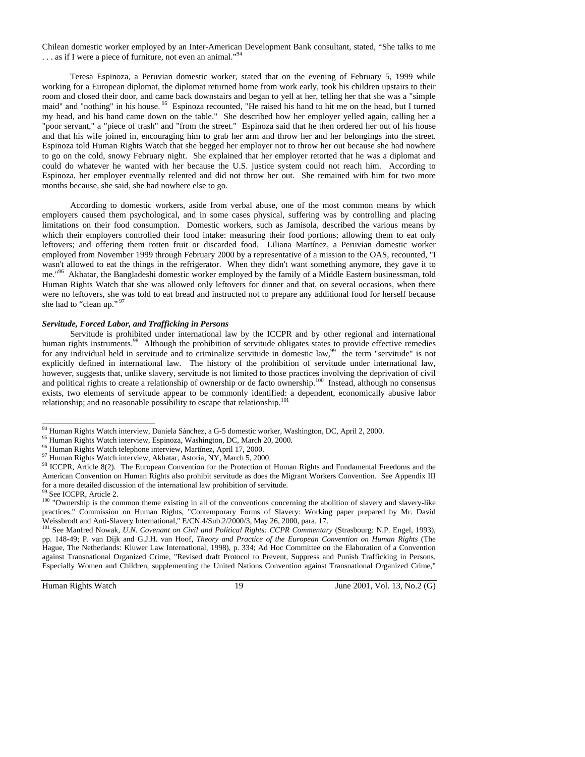Chilean domestic worker employed by an Inter-American Development Bank consultant, stated, "She talks to me ... as if I were a piece of furniture, not even an animal."<sup>94</sup>

Teresa Espinoza, a Peruvian domestic worker, stated that on the evening of February 5, 1999 while working for a European diplomat, the diplomat returned home from work early, took his children upstairs to their room and closed their door, and came back downstairs and began to yell at her, telling her that she was a "simple maid" and "nothing" in his house. <sup>95</sup> Espinoza recounted, "He raised his hand to hit me on the head, but I turned my head, and his hand came down on the table." She described how her employer yelled again, calling her a "poor servant," a "piece of trash" and "from the street." Espinoza said that he then ordered her out of his house and that his wife joined in, encouraging him to grab her arm and throw her and her belongings into the street. Espinoza told Human Rights Watch that she begged her employer not to throw her out because she had nowhere to go on the cold, snowy February night. She explained that her employer retorted that he was a diplomat and could do whatever he wanted with her because the U.S. justice system could not reach him. According to Espinoza, her employer eventually relented and did not throw her out. She remained with him for two more months because, she said, she had nowhere else to go.

According to domestic workers, aside from verbal abuse, one of the most common means by which employers caused them psychological, and in some cases physical, suffering was by controlling and placing limitations on their food consumption. Domestic workers, such as Jamisola, described the various means by which their employers controlled their food intake: measuring their food portions; allowing them to eat only leftovers; and offering them rotten fruit or discarded food. Liliana Martínez, a Peruvian domestic worker employed from November 1999 through February 2000 by a representative of a mission to the OAS, recounted, "I wasn't allowed to eat the things in the refrigerator. When they didn't want something anymore, they gave it to me."<sup>96</sup> Akhatar, the Bangladeshi domestic worker employed by the family of a Middle Eastern businessman, told Human Rights Watch that she was allowed only leftovers for dinner and that, on several occasions, when there were no leftovers, she was told to eat bread and instructed not to prepare any additional food for herself because she had to "clean up." 97

#### *Servitude, Forced Labor, and Trafficking in Persons*

Servitude is prohibited under international law by the ICCPR and by other regional and international human rights instruments.<sup>98</sup> Although the prohibition of servitude obligates states to provide effective remedies for any individual held in servitude and to criminalize servitude in domestic law,<sup>99</sup> the term "servitude" is not explicitly defined in international law. The history of the prohibition of servitude under international law, however, suggests that, unlike slavery, servitude is not limited to those practices involving the deprivation of civil and political rights to create a relationship of ownership or de facto ownership.<sup>100</sup> Instead, although no consensus exists, two elements of servitude appear to be commonly identified: a dependent, economically abusive labor relationship; and no reasonable possibility to escape that relationship.<sup>101</sup>

<sup>94</sup> Human Rights Watch interview, Daniela Sánchez, a G-5 domestic worker, Washington, DC, April 2, 2000.

<sup>&</sup>lt;sup>95</sup> Human Rights Watch interview, Espinoza, Washington, DC, March 20, 2000.<br><sup>96</sup> Human Rights Watch telephone interview, Martínez, April 17, 2000.<br><sup>97</sup> Human Rights Watch interview, Akhatar, Astoria, NY, March 5, 2000.<br><sup>9</sup> American Convention on Human Rights also prohibit servitude as does the Migrant Workers Convention. See Appendix III for a more detailed discussion of the international law prohibition of servitude. 99 See ICCPR, Article 2.

<sup>&</sup>lt;sup>100</sup> "Ownership is the common theme existing in all of the conventions concerning the abolition of slavery and slavery-like practices." Commission on Human Rights, "Contemporary Forms of Slavery: Working paper prepared by Mr. David Weissbrodt and Anti-Slavery International," E/CN.4/Sub.2/2000/3, May 26, 2000, para. 17.

Weissbrock and Anti-Slavery International, Theorem 2001, May 2000, parameters International, and Political Rights: CCPR Commentary (Strasbourg: N.P. Engel, 1993), pp. 148-49; P. van Dijk and G.J.H. van Hoof, *Theory and Practice of the European Convention on Human Rights* (The Hague, The Netherlands: Kluwer Law International, 1998), p. 334; Ad Hoc Committee on the Elaboration of a Convention against Transnational Organized Crime, "Revised draft Protocol to Prevent, Suppress and Punish Trafficking in Persons, Especially Women and Children, supplementing the United Nations Convention against Transnational Organized Crime,"

Human Rights Watch 19 June 2001, Vol. 13, No.2 (G)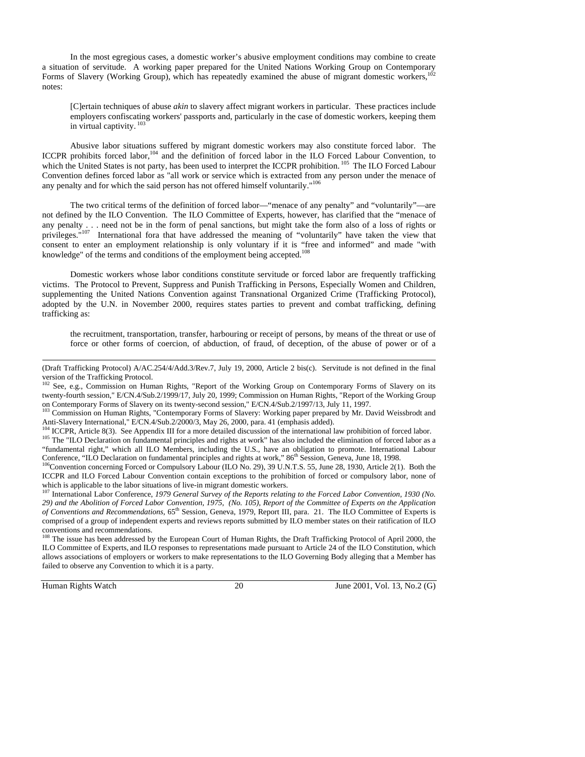In the most egregious cases, a domestic worker's abusive employment conditions may combine to create a situation of servitude. A working paper prepared for the United Nations Working Group on Contemporary Forms of Slavery (Working Group), which has repeatedly examined the abuse of migrant domestic workers,<sup>102</sup> notes:

[C]ertain techniques of abuse *akin* to slavery affect migrant workers in particular. These practices include employers confiscating workers' passports and, particularly in the case of domestic workers, keeping them in virtual captivity.<sup>103</sup>

Abusive labor situations suffered by migrant domestic workers may also constitute forced labor. The ICCPR prohibits forced labor,104 and the definition of forced labor in the ILO Forced Labour Convention, to which the United States is not party, has been used to interpret the ICCPR prohibition. <sup>105</sup> The ILO Forced Labour Convention defines forced labor as "all work or service which is extracted from any person under the menace of any penalty and for which the said person has not offered himself voluntarily."<sup>106</sup>

The two critical terms of the definition of forced labor—"menace of any penalty" and "voluntarily"—are not defined by the ILO Convention. The ILO Committee of Experts, however, has clarified that the "menace of any penalty . . . need not be in the form of penal sanctions, but might take the form also of a loss of rights or privileges."<sup>107</sup> International fora that have addressed the meaning of "voluntarily" have taken the view that consent to enter an employment relationship is only voluntary if it is "free and informed" and made "with knowledge" of the terms and conditions of the employment being accepted.<sup>108</sup>

Domestic workers whose labor conditions constitute servitude or forced labor are frequently trafficking victims. The Protocol to Prevent, Suppress and Punish Trafficking in Persons, Especially Women and Children, supplementing the United Nations Convention against Transnational Organized Crime (Trafficking Protocol), adopted by the U.N. in November 2000, requires states parties to prevent and combat trafficking, defining trafficking as:

the recruitment, transportation, transfer, harbouring or receipt of persons, by means of the threat or use of force or other forms of coercion, of abduction, of fraud, of deception, of the abuse of power or of a

<sup>108</sup> The issue has been addressed by the European Court of Human Rights, the Draft Trafficking Protocol of April 2000, the ILO Committee of Experts, and ILO responses to representations made pursuant to Article 24 of the ILO Constitution, which allows associations of employers or workers to make representations to the ILO Governing Body alleging that a Member has failed to observe any Convention to which it is a party.

<u>.</u>

Human Rights Watch 20 June 2001, Vol. 13, No.2 (G)

<sup>(</sup>Draft Trafficking Protocol) A/AC.254/4/Add.3/Rev.7, July 19, 2000, Article 2 bis(c). Servitude is not defined in the final version of the Trafficking Protocol.

<sup>&</sup>lt;sup>102</sup> See, e.g., Commission on Human Rights, "Report of the Working Group on Contemporary Forms of Slavery on its twenty-fourth session," E/CN.4/Sub.2/1999/17, July 20, 1999; Commission on Human Rights, "Report of the Working Group on Contemporary Forms of Slavery on its twenty-second session," E/CN.4/Sub.2/1997/13, July 11, 1997.

<sup>&</sup>lt;sup>103</sup> Commission on Human Rights, "Contemporary Forms of Slavery: Working paper prepared by Mr. David Weissbrodt and Anti-Slavery International," E/CN.4/Sub.2/2000/3, May 26, 2000, para. 41 (emphasis added).

<sup>&</sup>lt;sup>104</sup> ICCPR, Article 8(3). See Appendix III for a more detailed discussion of the international law prohibition of forced labor.<br><sup>105</sup> The "ILO Declaration on fundamental principles and rights at work" has also included t "fundamental right," which all ILO Members, including the U.S., have an obligation to promote. International Labour Conference, "ILO Declaration on fundamental principles and rights at work," 86<sup>th</sup> Session, Geneva, June 18, 1998.<br><sup>106</sup>Convention concerning Forced or Compulsory Labour (ILO No. 29), 39 U.N.T.S. 55, June 28, 1930, Article

ICCPR and ILO Forced Labour Convention contain exceptions to the prohibition of forced or compulsory labor, none of which is applicable to the labor situations of live-in migrant domestic workers.

<sup>107</sup> International Labor Conference, *1979 General Survey of the Reports relating to the Forced Labor Convention, 1930 (No. 29) and the Abolition of Forced Labor Convention, 1975, (No. 105), Report of the Committee of Experts on the Application of Conventions and Recommendations*, 65th Session, Geneva, 1979, Report III, para. 21. The ILO Committee of Experts is comprised of a group of independent experts and reviews reports submitted by ILO member states on their ratification of ILO conventions and recommendations.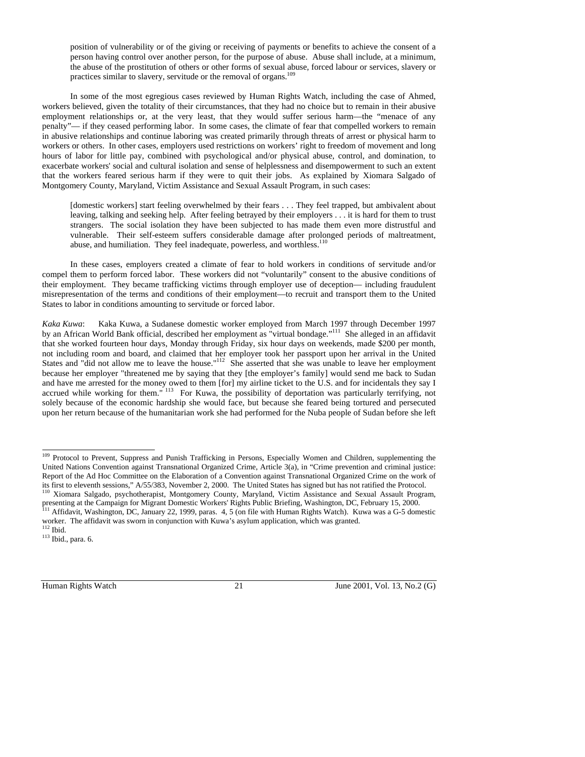position of vulnerability or of the giving or receiving of payments or benefits to achieve the consent of a person having control over another person, for the purpose of abuse. Abuse shall include, at a minimum, the abuse of the prostitution of others or other forms of sexual abuse, forced labour or services, slavery or practices similar to slavery, servitude or the removal of organs.<sup>109</sup>

In some of the most egregious cases reviewed by Human Rights Watch, including the case of Ahmed, workers believed, given the totality of their circumstances, that they had no choice but to remain in their abusive employment relationships or, at the very least, that they would suffer serious harm—the "menace of any penalty"— if they ceased performing labor. In some cases, the climate of fear that compelled workers to remain in abusive relationships and continue laboring was created primarily through threats of arrest or physical harm to workers or others. In other cases, employers used restrictions on workers' right to freedom of movement and long hours of labor for little pay, combined with psychological and/or physical abuse, control, and domination, to exacerbate workers' social and cultural isolation and sense of helplessness and disempowerment to such an extent that the workers feared serious harm if they were to quit their jobs. As explained by Xiomara Salgado of Montgomery County, Maryland, Victim Assistance and Sexual Assault Program, in such cases:

[domestic workers] start feeling overwhelmed by their fears . . . They feel trapped, but ambivalent about leaving, talking and seeking help. After feeling betrayed by their employers . . . it is hard for them to trust strangers. The social isolation they have been subjected to has made them even more distrustful and vulnerable. Their self-esteem suffers considerable damage after prolonged periods of maltreatment, abuse, and humiliation. They feel inadequate, powerless, and worthless.<sup>110</sup>

In these cases, employers created a climate of fear to hold workers in conditions of servitude and/or compel them to perform forced labor. These workers did not "voluntarily" consent to the abusive conditions of their employment. They became trafficking victims through employer use of deception— including fraudulent misrepresentation of the terms and conditions of their employment—to recruit and transport them to the United States to labor in conditions amounting to servitude or forced labor.

*Kaka Kuwa*: Kaka Kuwa, a Sudanese domestic worker employed from March 1997 through December 1997 by an African World Bank official, described her employment as "virtual bondage."<sup>111</sup> She alleged in an affidavit that she worked fourteen hour days, Monday through Friday, six hour days on weekends, made \$200 per month, not including room and board, and claimed that her employer took her passport upon her arrival in the United States and "did not allow me to leave the house."<sup>112</sup> She asserted that she was unable to leave her employment because her employer "threatened me by saying that they [the employer's family] would send me back to Sudan and have me arrested for the money owed to them [for] my airline ticket to the U.S. and for incidentals they say I accrued while working for them."<sup>113</sup> For Kuwa, the possibility of deportation was particularly terrifying, not solely because of the economic hardship she would face, but because she feared being tortured and persecuted upon her return because of the humanitarian work she had performed for the Nuba people of Sudan before she left

-

Human Rights Watch 21 June 2001, Vol. 13, No.2 (G)

<sup>&</sup>lt;sup>109</sup> Protocol to Prevent, Suppress and Punish Trafficking in Persons, Especially Women and Children, supplementing the United Nations Convention against Transnational Organized Crime, Article 3(a), in "Crime prevention and criminal justice: Report of the Ad Hoc Committee on the Elaboration of a Convention against Transnational Organized Crime on the work of its first to eleventh sessions," A/55/383, November 2, 2000. The United States has signed but has not r 110 Xiomara Salgado, psychotherapist, Montgomery County, Maryland, Victim Assistance and Sexual Assault Program,

presenting at the Campaign for Migrant Domestic Workers' Rights Public Briefing, Washington, DC, February 15, 2000.<br><sup>111</sup> Affidavit, Washington, DC, January 22, 1999, paras. 4, 5 (on file with Human Rights Watch). Kuwa was

worker. The affidavit was sworn in conjunction with Kuwa's asylum application, which was granted. <sup>112</sup> Ibid., para. 6.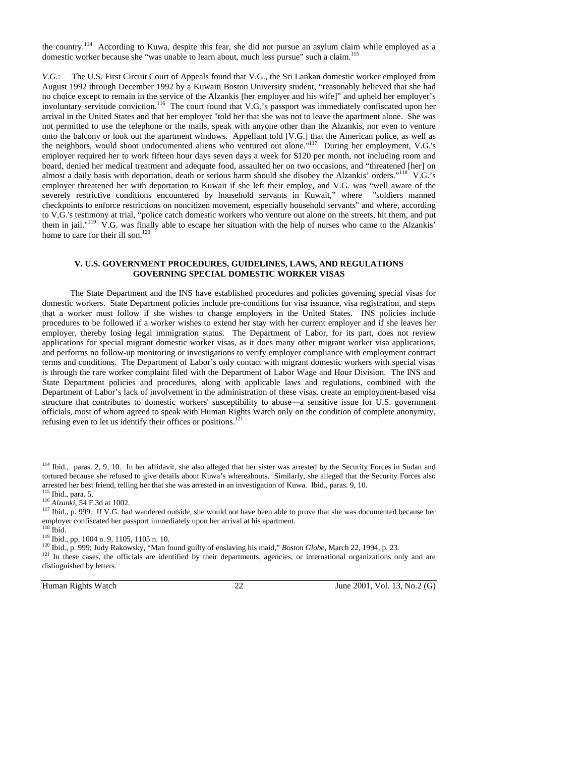the country.<sup>114</sup> According to Kuwa, despite this fear, she did not pursue an asylum claim while employed as a domestic worker because she "was unable to learn about, much less pursue" such a claim.<sup>11</sup>

*V.G.*: The U.S. First Circuit Court of Appeals found that V.G., the Sri Lankan domestic worker employed from August 1992 through December 1992 by a Kuwaiti Boston University student, "reasonably believed that she had no choice except to remain in the service of the Alzankis [her employer and his wife]" and upheld her employer's involuntary servitude conviction.<sup>116</sup> The court found that V.G.'s passport was immediately confiscated upon her arrival in the United States and that her employer "told her that she was not to leave the apartment alone. She was not permitted to use the telephone or the mails, speak with anyone other than the Alzankis, nor even to venture onto the balcony or look out the apartment windows. Appellant told [V.G.] that the American police, as well as the neighbors, would shoot undocumented aliens who ventured out alone."117 During her employment, V.G.'s employer required her to work fifteen hour days seven days a week for \$120 per month, not including room and board, denied her medical treatment and adequate food, assaulted her on two occasions, and "threatened [her] on almost a daily basis with deportation, death or serious harm should she disobey the Alzankis' orders."118 V.G.'s employer threatened her with deportation to Kuwait if she left their employ, and V.G. was "well aware of the severely restrictive conditions encountered by household servants in Kuwait," where "soldiers manned checkpoints to enforce restrictions on noncitizen movement, especially household servants" and where, according to V.G.'s testimony at trial, "police catch domestic workers who venture out alone on the streets, hit them, and put them in jail."119 V.G. was finally able to escape her situation with the help of nurses who came to the Alzankis' home to care for their ill son.<sup>120</sup>

### **V. U.S. GOVERNMENT PROCEDURES, GUIDELINES, LAWS, AND REGULATIONS GOVERNING SPECIAL DOMESTIC WORKER VISAS**

The State Department and the INS have established procedures and policies governing special visas for domestic workers. State Department policies include pre-conditions for visa issuance, visa registration, and steps that a worker must follow if she wishes to change employers in the United States. INS policies include procedures to be followed if a worker wishes to extend her stay with her current employer and if she leaves her employer, thereby losing legal immigration status. The Department of Labor, for its part, does not review applications for special migrant domestic worker visas, as it does many other migrant worker visa applications, and performs no follow-up monitoring or investigations to verify employer compliance with employment contract terms and conditions. The Department of Labor's only contact with migrant domestic workers with special visas is through the rare worker complaint filed with the Department of Labor Wage and Hour Division. The INS and State Department policies and procedures, along with applicable laws and regulations, combined with the Department of Labor's lack of involvement in the administration of these visas, create an employment-based visa structure that contributes to domestic workers' susceptibility to abuse—a sensitive issue for U.S. government officials, most of whom agreed to speak with Human Rights Watch only on the condition of complete anonymity, refusing even to let us identify their offices or positions.<sup>1</sup>

-

Human Rights Watch 22 June 2001, Vol. 13, No.2 (G)

<sup>&</sup>lt;sup>114</sup> Ibid., paras. 2, 9, 10. In her affidavit, she also alleged that her sister was arrested by the Security Forces in Sudan and tortured because she refused to give details about Kuwa's whereabouts. Similarly, she alleged that the Security Forces also arrested her best friend, telling her that she was arrested in an investigation of Kuwa. Ibid., paras. 9, 10.<br><sup>115</sup> Ibid., para. 5.<br><sup>116</sup> Alzanki, 54 F.3d at 1002.<br><sup>117</sup> Ibid., p. 999. If V.G. had wandered outside, she wou

employer confiscated her passport immediately upon her arrival at his apartment.  $^{118}$   $\rm{Thid}$ 

<sup>&</sup>lt;sup>119</sup> Ibid., pp. 1004 n. 9, 1105, 1105 n. 10.<br><sup>120</sup> Ibid., p. 999; Judy Rakowsky, "Man found guilty of enslaving his maid," *Boston Globe*, March 22, 1994, p. 23.<br><sup>121</sup> In these cases, the officials are identified by thei distinguished by letters.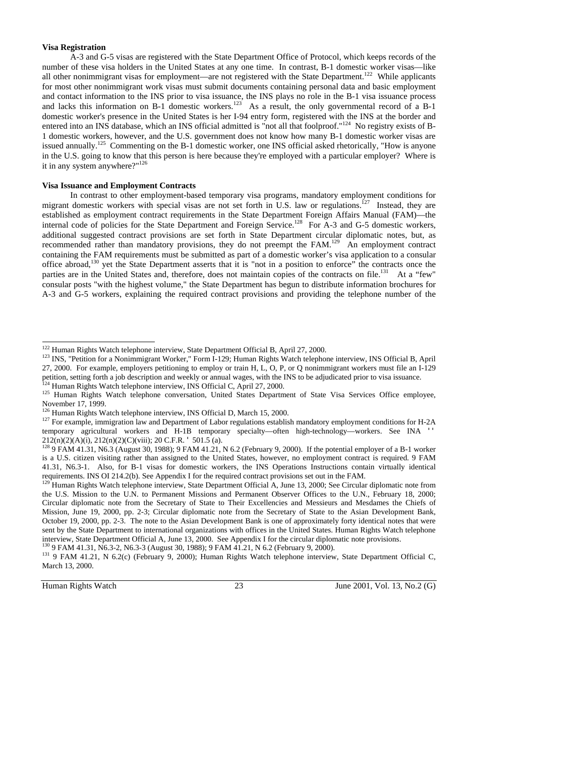#### **Visa Registration**

A-3 and G-5 visas are registered with the State Department Office of Protocol, which keeps records of the number of these visa holders in the United States at any one time. In contrast, B-1 domestic worker visas—like all other nonimmigrant visas for employment—are not registered with the State Department.<sup>122</sup> While applicants for most other nonimmigrant work visas must submit documents containing personal data and basic employment and contact information to the INS prior to visa issuance, the INS plays no role in the B-1 visa issuance process and lacks this information on B-1 domestic workers.<sup>123</sup> As a result, the only governmental record of a B-1 domestic worker's presence in the United States is her I-94 entry form, registered with the INS at the border and entered into an INS database, which an INS official admitted is "not all that foolproof."<sup>124</sup> No registry exists of B-1 domestic workers, however, and the U.S. government does not know how many B-1 domestic worker visas are issued annually.125 Commenting on the B-1 domestic worker, one INS official asked rhetorically, "How is anyone in the U.S. going to know that this person is here because they're employed with a particular employer? Where is it in any system anywhere?"126

#### **Visa Issuance and Employment Contracts**

In contrast to other employment-based temporary visa programs, mandatory employment conditions for migrant domestic workers with special visas are not set forth in U.S. law or regulations.<sup>127</sup> Instead, they are established as employment contract requirements in the State Department Foreign Affairs Manual (FAM)—the internal code of policies for the State Department and Foreign Service.<sup>128</sup> For A-3 and G-5 domestic workers, additional suggested contract provisions are set forth in State Department circular diplomatic notes, but, as recommended rather than mandatory provisions, they do not preempt the FAM.129 An employment contract containing the FAM requirements must be submitted as part of a domestic worker's visa application to a consular office abroad,<sup>130</sup> yet the State Department asserts that it is "not in a position to enforce" the contracts once the parties are in the United States and, therefore, does not maintain copies of the contracts on file.<sup>131</sup> At a "few" consular posts "with the highest volume," the State Department has begun to distribute information brochures for A-3 and G-5 workers, explaining the required contract provisions and providing the telephone number of the

Human Rights Watch 23 June 2001, Vol. 13, No.2 (G)

<sup>&</sup>lt;sup>122</sup> Human Rights Watch telephone interview, State Department Official B, April 27, 2000.

<sup>&</sup>lt;sup>123</sup> INS, "Petition for a Nonimmigrant Worker," Form I-129; Human Rights Watch telephone interview, INS Official B, April 27, 2000. For example, employers petitioning to employ or train H, L, O, P, or Q nonimmigrant workers must file an I-129 petition, setting forth a job description and weekly or annual wages, with the INS to be adjudicated

 $^{124}$  Human Rights Watch telephone interview, INS Official C, April 27, 2000.<br> $^{125}$  Human Rights Watch telephone conversation, United States Department of State Visa Services Office employee, November 17, 1999.<br><sup>126</sup> Human Rights Watch telephone interview, INS Official D, March 15, 2000.

<sup>127</sup> For example, immigration law and Department of Labor regulations establish mandatory employment conditions for H-2A temporary agricultural workers and H-1B temporary specialty—often high-technology—workers. See INA ''  $212(n)(2)(A)(i)$ ,  $212(n)(2)(C)(viii)$ ; 20 C.F.R. ' 501.5 (a). 128 9 FAM 41.21, N 6.2 (February 9, 2000). If the potential employer of a B-1 worker

is a U.S. citizen visiting rather than assigned to the United States, however, no employment contract is required. 9 FAM 41.31, N6.3-1. Also, for B-1 visas for domestic workers, the INS Operations Instructions contain virtually identical requirements. INS OI 214.2(b). See Appendix I for the required contract provisions set out in the FAM.<br><sup>129</sup> Human Rights Watch telephone interview, State Department Official A, June 13, 2000; See Circular diplomatic note

the U.S. Mission to the U.N. to Permanent Missions and Permanent Observer Offices to the U.N., February 18, 2000; Circular diplomatic note from the Secretary of State to Their Excellencies and Messieurs and Mesdames the Chiefs of Mission, June 19, 2000, pp. 2-3; Circular diplomatic note from the Secretary of State to the Asian Development Bank, October 19, 2000, pp. 2-3. The note to the Asian Development Bank is one of approximately forty identical notes that were sent by the State Department to international organizations with offices in the United States. Human Rights Watch telephone interview, State Department Official A, June 13, 2000. See Appendix I for the circular diplomatic note provisions.<br><sup>130</sup> 9 FAM 41.31, N6.3-2, N6.3-3 (August 30, 1988); 9 FAM 41.21, N 6.2 (February 9, 2000).<br><sup>131</sup> 9 FAM 41.

March 13, 2000.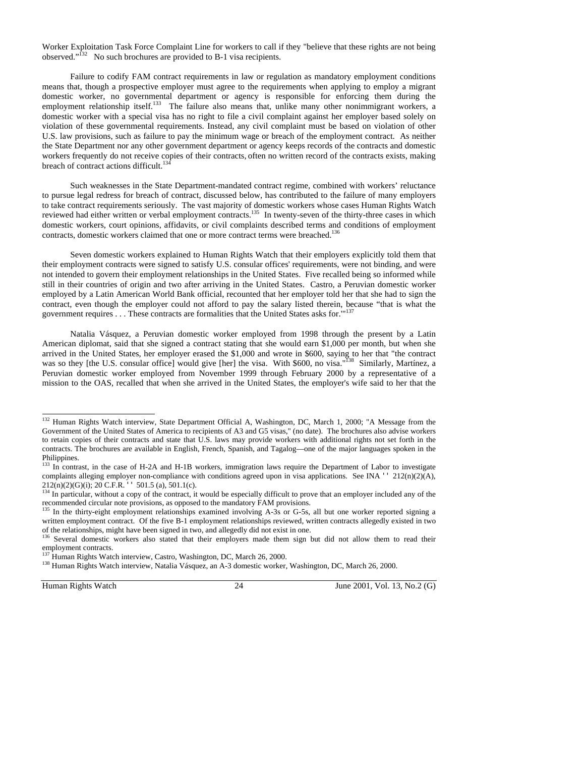Worker Exploitation Task Force Complaint Line for workers to call if they "believe that these rights are not being observed."132 No such brochures are provided to B-1 visa recipients.

Failure to codify FAM contract requirements in law or regulation as mandatory employment conditions means that, though a prospective employer must agree to the requirements when applying to employ a migrant domestic worker, no governmental department or agency is responsible for enforcing them during the employment relationship itself.<sup>133</sup> The failure also means that, unlike many other nonimmigrant workers, a domestic worker with a special visa has no right to file a civil complaint against her employer based solely on violation of these governmental requirements. Instead, any civil complaint must be based on violation of other U.S. law provisions, such as failure to pay the minimum wage or breach of the employment contract. As neither the State Department nor any other government department or agency keeps records of the contracts and domestic workers frequently do not receive copies of their contracts, often no written record of the contracts exists, making breach of contract actions difficult.<sup>134</sup>

Such weaknesses in the State Department-mandated contract regime, combined with workers' reluctance to pursue legal redress for breach of contract, discussed below, has contributed to the failure of many employers to take contract requirements seriously. The vast majority of domestic workers whose cases Human Rights Watch reviewed had either written or verbal employment contracts.135In twenty-seven of the thirty-three cases in which domestic workers, court opinions, affidavits, or civil complaints described terms and conditions of employment contracts, domestic workers claimed that one or more contract terms were breached.<sup>136</sup>

Seven domestic workers explained to Human Rights Watch that their employers explicitly told them that their employment contracts were signed to satisfy U.S. consular offices' requirements, were not binding, and were not intended to govern their employment relationships in the United States. Five recalled being so informed while still in their countries of origin and two after arriving in the United States. Castro, a Peruvian domestic worker employed by a Latin American World Bank official, recounted that her employer told her that she had to sign the contract, even though the employer could not afford to pay the salary listed therein, because "that is what the government requires . . . These contracts are formalities that the United States asks for.'"137

Natalia Vásquez, a Peruvian domestic worker employed from 1998 through the present by a Latin American diplomat, said that she signed a contract stating that she would earn \$1,000 per month, but when she arrived in the United States, her employer erased the \$1,000 and wrote in \$600, saying to her that "the contract was so they [the U.S. consular office] would give [her] the visa. With \$600, no visa."<sup>138</sup> Similarly, Martínez, a Peruvian domestic worker employed from November 1999 through February 2000 by a representative of a mission to the OAS, recalled that when she arrived in the United States, the employer's wife said to her that the

-

Human Rights Watch 24 June 2001, Vol. 13, No.2 (G)

<sup>&</sup>lt;sup>132</sup> Human Rights Watch interview, State Department Official A, Washington, DC, March 1, 2000; "A Message from the Government of the United States of America to recipients of A3 and G5 visas," (no date). The brochures also advise workers to retain copies of their contracts and state that U.S. laws may provide workers with additional rights not set forth in the contracts. The brochures are available in English, French, Spanish, and Tagalog—one of the major languages spoken in the Philippines.

<sup>&</sup>lt;sup>133</sup> In contrast, in the case of H-2A and H-1B workers, immigration laws require the Department of Labor to investigate complaints alleging employer non-compliance with conditions agreed upon in visa applications. See INA  $^{\bullet\bullet}$  212(n)(2)(A), 212(n)(2)(G)(i); 20 C.F.R.  $^{\bullet\bullet}$  501.5 (a), 501.1(c).

 $^{134}$  In particular, without a copy of the contract, it would be especially difficult to prove that an employer included any of the recommended circular note provisions, as opposed to the mandatory FAM provisions.

 $135$  In the thirty-eight employment relationships examined involving A-3s or G-5s, all but one worker reported signing a written employment contract. Of the five B-1 employment relationships reviewed, written contracts allegedly existed in two of the relationships, might have been signed in two, and allegedly did not exist in one.

<sup>&</sup>lt;sup>136</sup> Several domestic workers also stated that their employers made them sign but did not allow them to read their employment contracts.<br><sup>137</sup> Human Rights Watch interview, Castro, Washington, DC, March 26, 2000.

<sup>&</sup>lt;sup>138</sup> Human Rights Watch interview, Natalia Vásquez, an A-3 domestic worker, Washington, DC, March 26, 2000.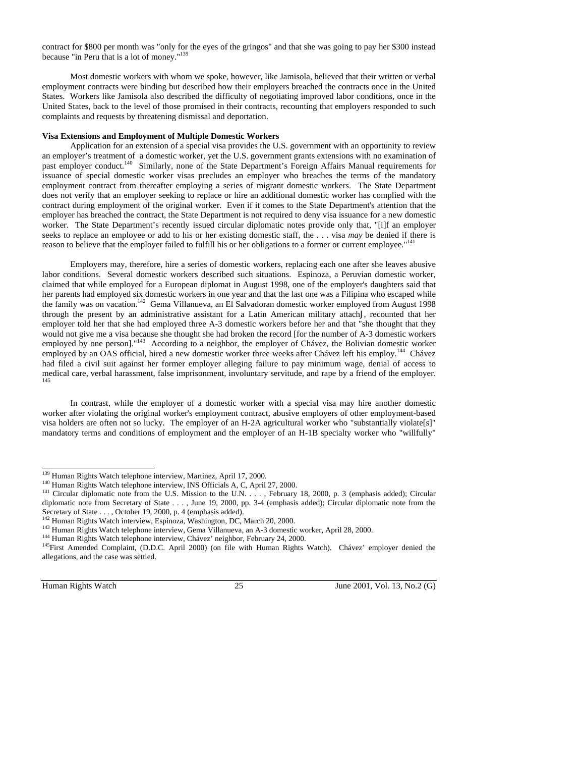contract for \$800 per month was "only for the eyes of the gringos" and that she was going to pay her \$300 instead because "in Peru that is a lot of money."<sup>13</sup>

Most domestic workers with whom we spoke, however, like Jamisola, believed that their written or verbal employment contracts were binding but described how their employers breached the contracts once in the United States. Workers like Jamisola also described the difficulty of negotiating improved labor conditions, once in the United States, back to the level of those promised in their contracts, recounting that employers responded to such complaints and requests by threatening dismissal and deportation.

### **Visa Extensions and Employment of Multiple Domestic Workers**

Application for an extension of a special visa provides the U.S. government with an opportunity to review an employer's treatment of a domestic worker, yet the U.S. government grants extensions with no examination of past employer conduct.<sup>140</sup> Similarly, none of the State Department's Foreign Affairs Manual requirements for issuance of special domestic worker visas precludes an employer who breaches the terms of the mandatory employment contract from thereafter employing a series of migrant domestic workers. The State Department does not verify that an employer seeking to replace or hire an additional domestic worker has complied with the contract during employment of the original worker. Even if it comes to the State Department's attention that the employer has breached the contract, the State Department is not required to deny visa issuance for a new domestic worker. The State Department's recently issued circular diplomatic notes provide only that, "[i]f an employer seeks to replace an employee or add to his or her existing domestic staff, the . . . visa *may* be denied if there is reason to believe that the employer failed to fulfill his or her obligations to a former or current employee."<sup>141</sup>

Employers may, therefore, hire a series of domestic workers, replacing each one after she leaves abusive labor conditions. Several domestic workers described such situations. Espinoza, a Peruvian domestic worker, claimed that while employed for a European diplomat in August 1998, one of the employer's daughters said that her parents had employed six domestic workers in one year and that the last one was a Filipina who escaped while the family was on vacation.<sup>142</sup> Gema Villanueva, an El Salvadoran domestic worker employed from August 1998 through the present by an administrative assistant for a Latin American military attachJ recounted that her employer told her that she had employed three A-3 domestic workers before her and that "she thought that they would not give me a visa because she thought she had broken the record [for the number of A-3 domestic workers employed by one person]."<sup>143</sup> According to a neighbor, the employer of Chávez, the Bolivian domestic worker employed by an OAS official, hired a new domestic worker three weeks after Chávez left his employ.<sup>144</sup> Chávez had filed a civil suit against her former employer alleging failure to pay minimum wage, denial of access to medical care, verbal harassment, false imprisonment, involuntary servitude, and rape by a friend of the employer. <sup>145</sup>

In contrast, while the employer of a domestic worker with a special visa may hire another domestic worker after violating the original worker's employment contract, abusive employers of other employment-based visa holders are often not so lucky. The employer of an H-2A agricultural worker who "substantially violate[s]" mandatory terms and conditions of employment and the employer of an H-1B specialty worker who "willfully"

Human Rights Watch 25 June 2001, Vol. 13, No.2 (G)

<sup>&</sup>lt;sup>139</sup> Human Rights Watch telephone interview, Martínez, April 17, 2000.

<sup>140</sup> Human Rights Watch telephone interview, INS Officials A, C, April 27, 2000.<br><sup>141</sup> Circular diplomatic note from the U.S. Mission to the U.N. . . . , February 18, 2000, p. 3 (emphasis added); Circular diplomatic note from Secretary of State . . . , June 19, 2000, pp. 3-4 (emphasis added); Circular diplomatic note from the Secretary of State . . . , October 19, 2000, p. 4 (emphasis added).<br>
<sup>142</sup> Human Rights Watch interview, Espinoza, Washington, DC, March 20, 2000.<br>
<sup>143</sup> Human Rights Watch telephone interview, Gema Villanueva, an A-3 dome

allegations, and the case was settled.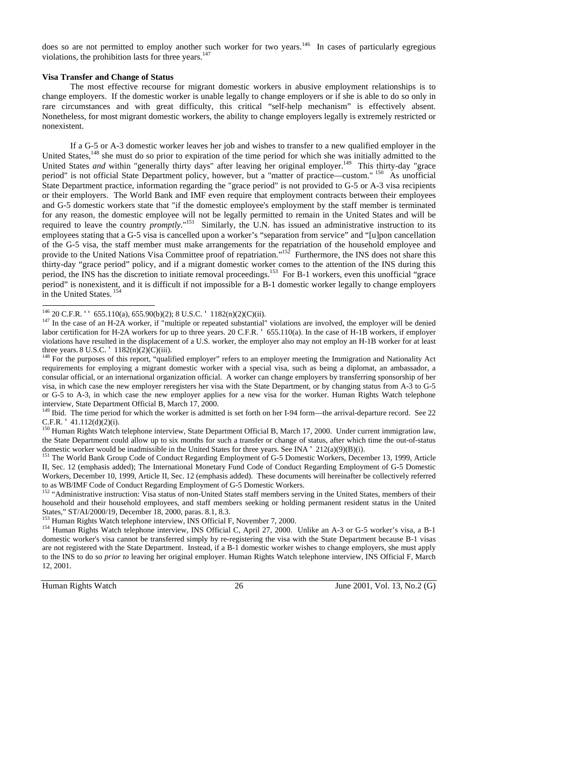does so are not permitted to employ another such worker for two years.<sup>146</sup> In cases of particularly egregious violations, the prohibition lasts for three years. $14$ 

### **Visa Transfer and Change of Status**

The most effective recourse for migrant domestic workers in abusive employment relationships is to change employers. If the domestic worker is unable legally to change employers or if she is able to do so only in rare circumstances and with great difficulty, this critical "self-help mechanism" is effectively absent. Nonetheless, for most migrant domestic workers, the ability to change employers legally is extremely restricted or nonexistent.

If a G-5 or A-3 domestic worker leaves her job and wishes to transfer to a new qualified employer in the United States,<sup>148</sup> she must do so prior to expiration of the time period for which she was initially admitted to the United States *and* within "generally thirty days" after leaving her original employer.<sup>149</sup> This thirty-day "grace period" is not official State Department policy, however, but a "matter of practice—custom." 150 As unofficial State Department practice, information regarding the "grace period" is not provided to G-5 or A-3 visa recipients or their employers. The World Bank and IMF even require that employment contracts between their employees and G-5 domestic workers state that "if the domestic employee's employment by the staff member is terminated for any reason, the domestic employee will not be legally permitted to remain in the United States and will be required to leave the country *promptly*."<sup>151</sup> Similarly, the U.N. has issued an administrative instruction to its employees stating that a G-5 visa is cancelled upon a worker's "separation from service" and "[u]pon cancellation of the G-5 visa, the staff member must make arrangements for the repatriation of the household employee and provide to the United Nations Visa Committee proof of repatriation."<sup>152</sup> Furthermore, the INS does not share this thirty-day "grace period" policy, and if a migrant domestic worker comes to the attention of the INS during this period, the INS has the discretion to initiate removal proceedings.<sup>153</sup> For B-1 workers, even this unofficial "grace period" is nonexistent, and it is difficult if not impossible for a B-1 domestic worker legally to change employers in the United States.<sup>15</sup>

Human Rights Watch 26 June 2001, Vol. 13, No.2 (G)

<sup>&</sup>lt;sup>146</sup> 20 C.F.R. <sup>11</sup> 655.110(a), 655.90(b)(2); 8 U.S.C. <sup>1</sup> 1182(n)(2)(C)(ii).

 $147$  In the case of an H-2A worker, if "multiple or repeated substantial" violations are involved, the employer will be denied labor certification for H-2A workers for up to three years. 20 C.F.R. ' 655.110(a). In the case of H-1B workers, if employer violations have resulted in the displacement of a U.S. worker, the employer also may not employ an H-1B worker for at least three years. 8 U.S.C. <sup>•</sup> 1182(n)(2)(C)(iii).<br><sup>148</sup> For the purposes of this report, "qualified employer" refers to an employer meeting the Immigration and Nationality Act

requirements for employing a migrant domestic worker with a special visa, such as being a diplomat, an ambassador, a consular official, or an international organization official. A worker can change employers by transferring sponsorship of her visa, in which case the new employer reregisters her visa with the State Department, or by changing status from A-3 to G-5 or G-5 to A-3, in which case the new employer applies for a new visa for the worker. Human Rights Watch telephone interview, State Department Official B, March 17, 2000.

<sup>&</sup>lt;sup>149</sup> Ibid. The time period for which the worker is admitted is set forth on her I-94 form—the arrival-departure record. See 22

C.F.R. ' 41.112(d)(2)(i). 150 Human Rights Watch telephone interview, State Department Official B, March 17, 2000. Under current immigration law, the State Department could allow up to six months for such a transfer or change of status, after which time the out-of-status domestic worker would be inadmissible in the United States for three years. See INA <sup>o</sup> 212(a)(9)(B)(i).<br><sup>151</sup> The World Bank Group Code of Conduct Regarding Employment of G-5 Domestic Workers, December 13, 1999, Article

II, Sec. 12 (emphasis added); The International Monetary Fund Code of Conduct Regarding Employment of G-5 Domestic Workers, December 10, 1999, Article II, Sec. 12 (emphasis added). These documents will hereinafter be collectively referred to as WB/IMF Code of Conduct Regarding Employment of G-5 Domestic Workers.

<sup>&</sup>lt;sup>152</sup> "Administrative instruction: Visa status of non-United States staff members serving in the United States, members of their household and their household employees, and staff members seeking or holding permanent resident status in the United States," ST/AI/2000/19, December 18, 2000, paras. 8.1, 8.3.<br><sup>153</sup> Human Rights Watch telephone interview, INS Official F, November 7, 2000.

<sup>&</sup>lt;sup>154</sup> Human Rights Watch telephone interview, INS Official C, April 27, 2000. Unlike an A-3 or G-5 worker's visa, a B-1 domestic worker's visa cannot be transferred simply by re-registering the visa with the State Department because B-1 visas are not registered with the State Department. Instead, if a B-1 domestic worker wishes to change employers, she must apply to the INS to do so *prior to* leaving her original employer. Human Rights Watch telephone interview, INS Official F, March 12, 2001.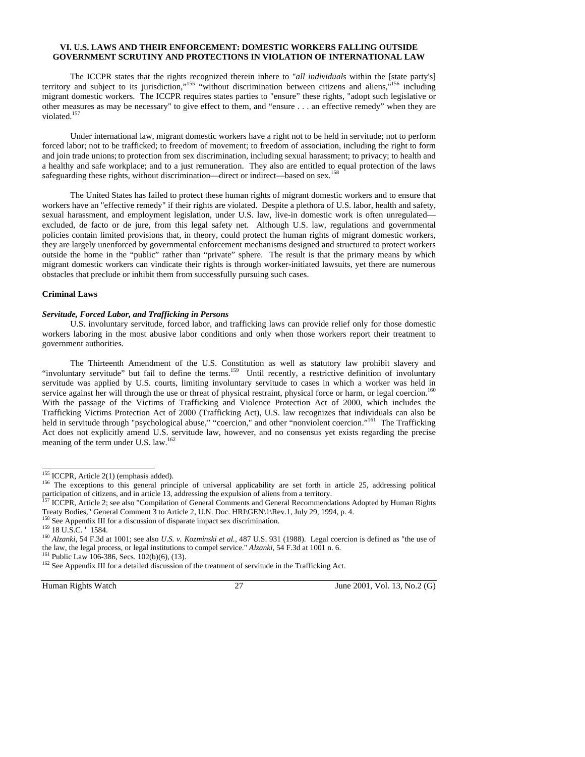### **VI. U.S. LAWS AND THEIR ENFORCEMENT: DOMESTIC WORKERS FALLING OUTSIDE GOVERNMENT SCRUTINY AND PROTECTIONS IN VIOLATION OF INTERNATIONAL LAW**

The ICCPR states that the rights recognized therein inhere to "*all individuals* within the [state party's] territory and subject to its jurisdiction,"<sup>155</sup> "without discrimination between citizens and aliens,"<sup>156</sup> including migrant domestic workers. The ICCPR requires states parties to "ensure" these rights, "adopt such legislative or other measures as may be necessary" to give effect to them, and "ensure . . . an effective remedy" when they are violated.<sup>157</sup>

Under international law, migrant domestic workers have a right not to be held in servitude; not to perform forced labor; not to be trafficked; to freedom of movement; to freedom of association, including the right to form and join trade unions; to protection from sex discrimination, including sexual harassment; to privacy; to health and a healthy and safe workplace; and to a just remuneration. They also are entitled to equal protection of the laws safeguarding these rights, without discrimination—direct or indirect—based on sex.<sup>158</sup>

The United States has failed to protect these human rights of migrant domestic workers and to ensure that workers have an "effective remedy" if their rights are violated. Despite a plethora of U.S. labor, health and safety, sexual harassment, and employment legislation, under U.S. law, live-in domestic work is often unregulated excluded, de facto or de jure, from this legal safety net. Although U.S. law, regulations and governmental policies contain limited provisions that, in theory, could protect the human rights of migrant domestic workers, they are largely unenforced by governmental enforcement mechanisms designed and structured to protect workers outside the home in the "public" rather than "private" sphere. The result is that the primary means by which migrant domestic workers can vindicate their rights is through worker-initiated lawsuits, yet there are numerous obstacles that preclude or inhibit them from successfully pursuing such cases.

### **Criminal Laws**

### *Servitude, Forced Labor, and Trafficking in Persons*

U.S. involuntary servitude, forced labor, and trafficking laws can provide relief only for those domestic workers laboring in the most abusive labor conditions and only when those workers report their treatment to government authorities.

The Thirteenth Amendment of the U.S. Constitution as well as statutory law prohibit slavery and "involuntary servitude" but fail to define the terms.159 Until recently, a restrictive definition of involuntary servitude was applied by U.S. courts, limiting involuntary servitude to cases in which a worker was held in service against her will through the use or threat of physical restraint, physical force or harm, or legal coercion.<sup>160</sup> With the passage of the Victims of Trafficking and Violence Protection Act of 2000, which includes the Trafficking Victims Protection Act of 2000 (Trafficking Act), U.S. law recognizes that individuals can also be held in servitude through "psychological abuse," "coercion," and other "nonviolent coercion."<sup>161</sup> The Trafficking Act does not explicitly amend U.S. servitude law, however, and no consensus yet exists regarding the precise meaning of the term under U.S. law.<sup>162</sup>

Human Rights Watch 27 June 2001, Vol. 13, No.2 (G)

<sup>&</sup>lt;sup>155</sup> ICCPR, Article 2(1) (emphasis added).

<sup>&</sup>lt;sup>156</sup> The exceptions to this general principle of universal applicability are set forth in article 25, addressing political

participation of citizens, and in article 13, addressing the expulsion of aliens from a territory.<br>
<sup>157</sup> ICCPR, Article 2; see also "Compilation of General Comments and General Recommendations Adopted by Human Rights<br>
Tre

<sup>&</sup>lt;sup>158</sup> See Appendix III for a discussion of disparate impact sex discrimination.<br><sup>159</sup> 18 U.S.C. <sup>■</sup> 1584.<br><sup>160</sup> Alzanki, 54 F.3d at 1001; see also *U.S. v. Kozminski et al.*, 487 U.S. 931 (1988). Legal coercion is defined

<sup>&</sup>lt;sup>161</sup> Public Law 106-386, Secs.  $102(b)(6)$ , (13).<br><sup>162</sup> See Appendix III for a detailed discussion of the treatment of servitude in the Trafficking Act.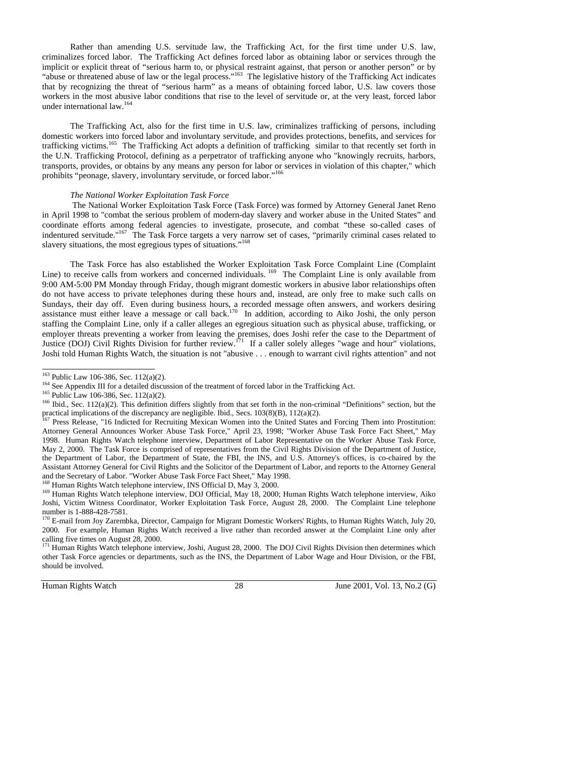Rather than amending U.S. servitude law, the Trafficking Act, for the first time under U.S. law, criminalizes forced labor. The Trafficking Act defines forced labor as obtaining labor or services through the implicit or explicit threat of "serious harm to, or physical restraint against, that person or another person" or by "abuse or threatened abuse of law or the legal process."<sup>163</sup> The legislative history of the Trafficking Act indicates that by recognizing the threat of "serious harm" as a means of obtaining forced labor, U.S. law covers those workers in the most abusive labor conditions that rise to the level of servitude or, at the very least, forced labor under international law.<sup>16</sup>

The Trafficking Act, also for the first time in U.S. law, criminalizes trafficking of persons, including domestic workers into forced labor and involuntary servitude, and provides protections, benefits, and services for trafficking victims.165 The Trafficking Act adopts a definition of trafficking similar to that recently set forth in the U.N. Trafficking Protocol, defining as a perpetrator of trafficking anyone who "knowingly recruits, harbors, transports, provides, or obtains by any means any person for labor or services in violation of this chapter," which prohibits "peonage, slavery, involuntary servitude, or forced labor."<sup>166</sup>

### *The National Worker Exploitation Task Force*

 The National Worker Exploitation Task Force (Task Force) was formed by Attorney General Janet Reno in April 1998 to "combat the serious problem of modern-day slavery and worker abuse in the United States" and coordinate efforts among federal agencies to investigate, prosecute, and combat "these so-called cases of indentured servitude."167 The Task Force targets a very narrow set of cases, "primarily criminal cases related to slavery situations, the most egregious types of situations."<sup>168</sup>

The Task Force has also established the Worker Exploitation Task Force Complaint Line (Complaint Line) to receive calls from workers and concerned individuals. <sup>169</sup> The Complaint Line is only available from 9:00 AM-5:00 PM Monday through Friday, though migrant domestic workers in abusive labor relationships often do not have access to private telephones during these hours and, instead, are only free to make such calls on Sundays, their day off. Even during business hours, a recorded message often answers, and workers desiring assistance must either leave a message or call back.<sup>170</sup> In addition, according to Aiko Joshi, the only person staffing the Complaint Line, only if a caller alleges an egregious situation such as physical abuse, trafficking, or employer threats preventing a worker from leaving the premises, does Joshi refer the case to the Department of Justice (DOJ) Civil Rights Division for further review.<sup>171</sup> If a caller solely alleges "wage and hour" violations, Joshi told Human Rights Watch, the situation is not "abusive . . . enough to warrant civil rights attention" and not

<sup>170</sup> E-mail from Joy Zarembka, Director, Campaign for Migrant Domestic Workers' Rights, to Human Rights Watch, July 20, 2000. For example, Human Rights Watch received a live rather than recorded answer at the Complaint Line only after calling five times on August 28, 2000.

Human Rights Watch 28 June 2001, Vol. 13, No.2 (G)

<sup>&</sup>lt;sup>163</sup> Public Law 106-386, Sec. 112(a)(2).

<sup>&</sup>lt;sup>164</sup> See Appendix III for a detailed discussion of the treatment of forced labor in the Trafficking Act.<br><sup>165</sup> Public Law 106-386, Sec. 112(a)(2).<br><sup>166</sup> Ibid., Sec. 112(a)(2). This definition differs slightly from that s practical implications of the discrepancy are negligible. Ibid., Secs. 103(8)(B), 112(a)(2). <sup>167</sup> Press Release, "16 Indicted for Recruiting Mexican Women into the United States and Forcing Them into Prostitution:

Attorney General Announces Worker Abuse Task Force," April 23, 1998; "Worker Abuse Task Force Fact Sheet," May 1998. Human Rights Watch telephone interview, Department of Labor Representative on the Worker Abuse Task Force, May 2, 2000. The Task Force is comprised of representatives from the Civil Rights Division of the Department of Justice, the Department of Labor, the Department of State, the FBI, the INS, and U.S. Attorney's offices, is co-chaired by the Assistant Attorney General for Civil Rights and the Solicitor of the Department of Labor, and reports to the Attorney General<br>and the Secretary of Labor. "Worker Abuse Task Force Fact Sheet," May 1998.

<sup>&</sup>lt;sup>168</sup> Human Rights Watch telephone interview, INS Official D, May 3, 2000.<br><sup>169</sup> Human Rights Watch telephone interview, DOJ Official, May 18, 2000; Human Rights Watch telephone interview, Aiko Joshi, Victim Witness Coordinator, Worker Exploitation Task Force, August 28, 2000. The Complaint Line telephone number is 1-888-428-7581.

<sup>&</sup>lt;sup>171</sup> Human Rights Watch telephone interview, Joshi, August 28, 2000. The DOJ Civil Rights Division then determines which other Task Force agencies or departments, such as the INS, the Department of Labor Wage and Hour Division, or the FBI, should be involved.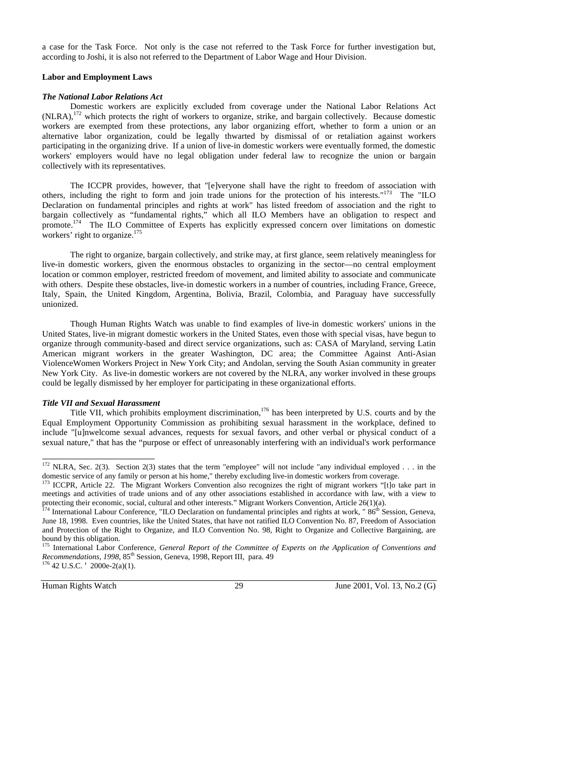a case for the Task Force. Not only is the case not referred to the Task Force for further investigation but, according to Joshi, it is also not referred to the Department of Labor Wage and Hour Division.

#### **Labor and Employment Laws**

#### *The National Labor Relations Act*

Domestic workers are explicitly excluded from coverage under the National Labor Relations Act (NLRA),172 which protects the right of workers to organize, strike, and bargain collectively. Because domestic workers are exempted from these protections, any labor organizing effort, whether to form a union or an alternative labor organization, could be legally thwarted by dismissal of or retaliation against workers participating in the organizing drive. If a union of live-in domestic workers were eventually formed, the domestic workers' employers would have no legal obligation under federal law to recognize the union or bargain collectively with its representatives.

The ICCPR provides, however, that "[e]veryone shall have the right to freedom of association with others, including the right to form and join trade unions for the protection of his interests."<sup>173</sup> The "ILO Declaration on fundamental principles and rights at work" has listed freedom of association and the right to bargain collectively as "fundamental rights," which all ILO Members have an obligation to respect and promote.174 The ILO Committee of Experts has explicitly expressed concern over limitations on domestic workers' right to organize.<sup>175</sup>

 The right to organize, bargain collectively, and strike may, at first glance, seem relatively meaningless for live-in domestic workers, given the enormous obstacles to organizing in the sector—no central employment location or common employer, restricted freedom of movement, and limited ability to associate and communicate with others. Despite these obstacles, live-in domestic workers in a number of countries, including France, Greece, Italy, Spain, the United Kingdom, Argentina, Bolivia, Brazil, Colombia, and Paraguay have successfully unionized.

Though Human Rights Watch was unable to find examples of live-in domestic workers' unions in the United States, live-in migrant domestic workers in the United States, even those with special visas, have begun to organize through community-based and direct service organizations, such as: CASA of Maryland, serving Latin American migrant workers in the greater Washington, DC area; the Committee Against Anti-Asian ViolenceWomen Workers Project in New York City; and Andolan, serving the South Asian community in greater New York City. As live-in domestic workers are not covered by the NLRA, any worker involved in these groups could be legally dismissed by her employer for participating in these organizational efforts.

#### *Title VII and Sexual Harassment*

Title VII, which prohibits employment discrimination,<sup>176</sup> has been interpreted by U.S. courts and by the Equal Employment Opportunity Commission as prohibiting sexual harassment in the workplace, defined to include "[u]nwelcome sexual advances, requests for sexual favors, and other verbal or physical conduct of a sexual nature," that has the "purpose or effect of unreasonably interfering with an individual's work performance

-

Human Rights Watch 29 June 2001, Vol. 13, No.2 (G)

<sup>&</sup>lt;sup>172</sup> NLRA, Sec. 2(3). Section 2(3) states that the term "employee" will not include "any individual employed . . . in the domestic service of any family or person at his home," thereby excluding live-in domestic workers from coverage.<br><sup>173</sup> ICCPR, Article 22. The Migrant Workers Convention also recognizes the right of migrant workers "[t]o ta

meetings and activities of trade unions and of any other associations established in accordance with law, with a view to protecting their economic, social, cultural and other interests." Migrant Workers Convention, Article 26(1)(a).<br><sup>174</sup> International Labour Conference, "ILO Declaration on fundamental principles and rights at work, " 86<sup>th</sup>

June 18, 1998. Even countries, like the United States, that have not ratified ILO Convention No. 87, Freedom of Association and Protection of the Right to Organize, and ILO Convention No. 98, Right to Organize and Collective Bargaining, are bound by this obligation.

<sup>175</sup> International Labor Conference, *General Report of the Committee of Experts on the Application of Conventions and Recommendations, 1998*, 85<sup>th</sup> Session, Geneva, 1998, Report III, para. 49<sup>176</sup> 42 U.S.C. <sup>1</sup> 2000e-2(a)(1).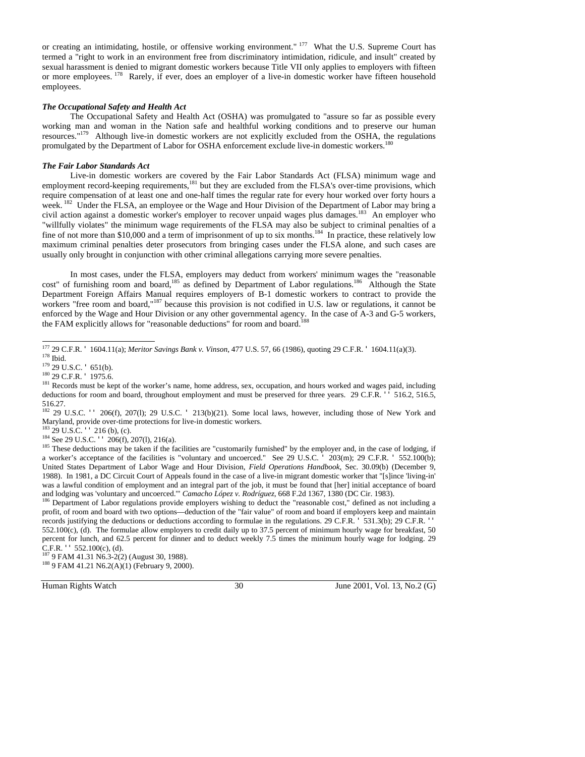or creating an intimidating, hostile, or offensive working environment." 177 What the U.S. Supreme Court has termed a "right to work in an environment free from discriminatory intimidation, ridicule, and insult" created by sexual harassment is denied to migrant domestic workers because Title VII only applies to employers with fifteen or more employees. 178 Rarely, if ever, does an employer of a live-in domestic worker have fifteen household employees.

### *The Occupational Safety and Health Act*

The Occupational Safety and Health Act (OSHA) was promulgated to "assure so far as possible every working man and woman in the Nation safe and healthful working conditions and to preserve our human resources."179 Although live-in domestic workers are not explicitly excluded from the OSHA, the regulations promulgated by the Department of Labor for OSHA enforcement exclude live-in domestic workers.<sup>180</sup>

#### *The Fair Labor Standards Act*

Live-in domestic workers are covered by the Fair Labor Standards Act (FLSA) minimum wage and employment record-keeping requirements,<sup>181</sup> but they are excluded from the FLSA's over-time provisions, which require compensation of at least one and one-half times the regular rate for every hour worked over forty hours a week. <sup>182</sup> Under the FLSA, an employee or the Wage and Hour Division of the Department of Labor may bring a civil action against a domestic worker's employer to recover unpaid wages plus damages.183 An employer who "willfully violates" the minimum wage requirements of the FLSA may also be subject to criminal penalties of a fine of not more than \$10,000 and a term of imprisonment of up to six months.<sup>184</sup> In practice, these relatively low maximum criminal penalties deter prosecutors from bringing cases under the FLSA alone, and such cases are usually only brought in conjunction with other criminal allegations carrying more severe penalties.

In most cases, under the FLSA, employers may deduct from workers' minimum wages the "reasonable cost" of furnishing room and board,<sup>185</sup> as defined by Department of Labor regulations.<sup>186</sup> Although the State Department Foreign Affairs Manual requires employers of B-1 domestic workers to contract to provide the workers "free room and board,"<sup>187</sup> because this provision is not codified in U.S. law or regulations, it cannot be enforced by the Wage and Hour Division or any other governmental agency. In the case of A-3 and G-5 workers, the FAM explicitly allows for "reasonable deductions" for room and board.

<sup>183</sup> 29 U.S.C. <sup>11</sup> 216 (b), (c).<br><sup>184</sup> See 29 U.S.C. <sup>11</sup> 206(f), 207(l), 216(a).<br><sup>184</sup> See 29 U.S.C. <sup>11</sup> 206(f), 207(l), 216(a).<br><sup>185</sup> These deductions may be taken if the facilities are "customarily furnished" by the a worker's acceptance of the facilities is "voluntary and uncoerced." See 29 U.S.C.  $\overline{203(m)}$ ; 29 C.F.R.  $\overline{552.100(b)}$ ; United States Department of Labor Wage and Hour Division, *Field Operations Handbook*, Sec. 30.09(b) (December 9, 1988). In 1981, a DC Circuit Court of Appeals found in the case of a live-in migrant domestic worker that "[s]ince 'living-in' was a lawful condition of employment and an integral part of the job, it must be found that [her] initial acceptance of board and lodging was 'voluntary and uncoerced." Camacho López v. Rodríguez, 668 F.2d 1367, 1380 (DC C

<sup>186</sup> Department of Labor regulations provide employers wishing to deduct the "reasonable cost," defined as not including a profit, of room and board with two options—deduction of the "fair value" of room and board if employers keep and maintain records justifying the deductions or deductions according to formulae in the regulations. 29 C.F.R. ' 531.3(b); 29 C.F.R. '' 552.100(c), (d). The formulae allow employers to credit daily up to 37.5 percent of minimum hourly wage for breakfast, 50 percent for lunch, and 62.5 percent for dinner and to deduct weekly 7.5 times the minimum hourly wage for lodging. 29 C.F.R.  $\cdot\cdot$  552.100(c), (d).

<sup>187</sup> 9 FAM 41.31 N6.3-2(2) (August 30, 1988). <sup>188</sup> 9 FAM 41.21 N6.2(A)(1) (February 9, 2000).

Human Rights Watch 30 June 2001, Vol. 13, No.2 (G)

<sup>&</sup>lt;sup>177</sup> 29 C.F.R. <sup>■</sup> 1604.11(a); Meritor Savings Bank v. Vinson, 477 U.S. 57, 66 (1986), quoting 29 C.F.R. <sup>■</sup> 1604.11(a)(3).

<sup>&</sup>lt;sup>178</sup> Ibid.<br><sup>179</sup> 29 U.S.C. <sup>1</sup> 651(b).<br><sup>180</sup> 29 C.F.R. <sup>1</sup> 1975.6.<br><sup>180</sup> 29 C.F.R. <sup>1</sup> 1975.6.<br><sup>181</sup> Records must be kept of the worker's name, home address, sex, occupation, and hours worked and wages paid, including deductions for room and board, throughout employment and must be preserved for three years. 29 C.F.R. <sup>\*</sup> 516.2, 516.5, 516.27.

<sup>&</sup>lt;sup>182</sup> 29 U.S.C. <sup>11</sup> 206(f), 207(l); 29 U.S.C. <sup>1</sup> 213(b)(21). Some local laws, however, including those of New York and Maryland, provide over-time protections for live-in domestic workers.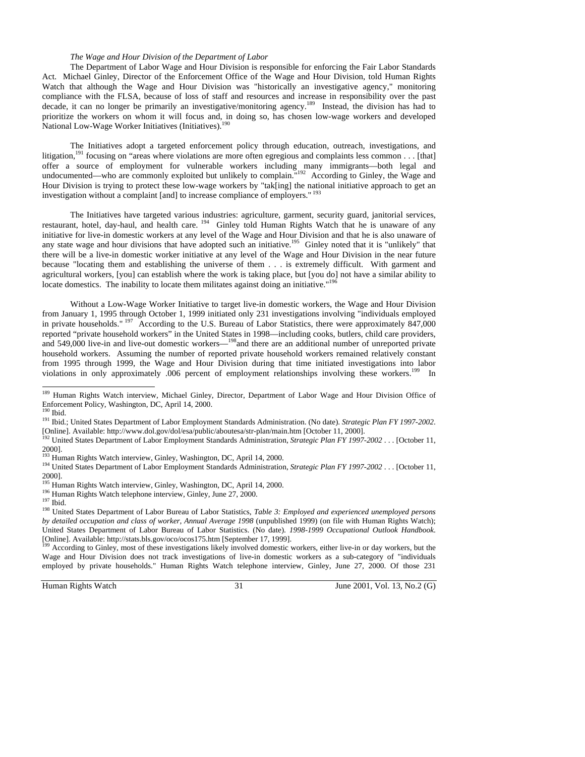#### *The Wage and Hour Division of the Department of Labor*

The Department of Labor Wage and Hour Division is responsible for enforcing the Fair Labor Standards Act. Michael Ginley, Director of the Enforcement Office of the Wage and Hour Division, told Human Rights Watch that although the Wage and Hour Division was "historically an investigative agency," monitoring compliance with the FLSA, because of loss of staff and resources and increase in responsibility over the past decade, it can no longer be primarily an investigative/monitoring agency.189 Instead, the division has had to prioritize the workers on whom it will focus and, in doing so, has chosen low-wage workers and developed National Low-Wage Worker Initiatives (Initiatives).<sup>190</sup>

The Initiatives adopt a targeted enforcement policy through education, outreach, investigations, and litigation,<sup>191</sup> focusing on "areas where violations are more often egregious and complaints less common . . . [that] offer a source of employment for vulnerable workers including many immigrants—both legal and undocumented—who are commonly exploited but unlikely to complain. $\frac{n^{192}}{2}$  According to Ginley, the Wage and Hour Division is trying to protect these low-wage workers by "tak[ing] the national initiative approach to get an investigation without a complaint [and] to increase compliance of employers."<sup>193</sup>

The Initiatives have targeted various industries: agriculture, garment, security guard, janitorial services, restaurant, hotel, day-haul, and health care. <sup>194</sup> Ginley told Human Rights Watch that he is unaware of any initiative for live-in domestic workers at any level of the Wage and Hour Division and that he is also unaware of any state wage and hour divisions that have adopted such an initiative.<sup>195</sup> Ginley noted that it is "unlikely" that there will be a live-in domestic worker initiative at any level of the Wage and Hour Division in the near future because "locating them and establishing the universe of them . . . is extremely difficult. With garment and agricultural workers, [you] can establish where the work is taking place, but [you do] not have a similar ability to locate domestics. The inability to locate them militates against doing an initiative. $"$ <sup>1</sup>

Without a Low-Wage Worker Initiative to target live-in domestic workers, the Wage and Hour Division from January 1, 1995 through October 1, 1999 initiated only 231 investigations involving "individuals employed in private households." <sup>197</sup> According to the U.S. Bureau of Labor Statistics, there were approximately 847,000 reported "private household workers" in the United States in 1998—including cooks, butlers, child care providers, and 549,000 live-in and live-out domestic workers—<sup>198</sup>and there are an additional number of unreported private household workers. Assuming the number of reported private household workers remained relatively constant from 1995 through 1999, the Wage and Hour Division during that time initiated investigations into labor violations in only approximately .006 percent of employment relationships involving these workers.<sup>199</sup> In

-

<sup>3</sup> According to Ginley, most of these investigations likely involved domestic workers, either live-in or day workers, but the Wage and Hour Division does not track investigations of live-in domestic workers as a sub-category of "individuals employed by private households." Human Rights Watch telephone interview, Ginley, June 27, 2000. Of those 231

Human Rights Watch 31 June 2001, Vol. 13, No.2 (G)

<sup>&</sup>lt;sup>189</sup> Human Rights Watch interview, Michael Ginley, Director, Department of Labor Wage and Hour Division Office of Enforcement Policy, Washington, DC, April 14, 2000.

<sup>&</sup>lt;sup>191</sup> Ibid.; United States Department of Labor Employment Standards Administration. (No date). *Strategic Plan FY 1997-2002*. [Online]. Available: http://www.dol.gov/dol/esa/public/aboutesa/str-plan/main.htm [October 11, 2000].<br><sup>192</sup> United States Department of Labor Employment Standards Administration, *Strategic Plan FY 1997-2002* . . . [Octobe

<sup>2000].&</sup>lt;br><sup>193</sup> Human Rights Watch interview, Ginley, Washington, DC, April 14, 2000.

<sup>&</sup>lt;sup>194</sup> United States Department of Labor Employment Standards Administration, *Strategic Plan FY 1997-2002* . . . [October 11, 2000].<br><sup>195</sup> Human Rights Watch interview, Ginley, Washington, DC, April 14, 2000.

<sup>195</sup> Human Rights Watch telephone interview, Ginley, June 27, 2000.<br>
<sup>197</sup> Ibid.<br>
<sup>198</sup> United States Department of Labor Bureau of Labor Statistics, *Table 3: Employed and experienced unemployed persons by detailed occupation and class of worker, Annual Average 1998* (unpublished 1999) (on file with Human Rights Watch); United States Department of Labor Bureau of Labor Statistics. (No date). *1998-1999 Occupational Outlook Handbook*. [Online]. Available: http://stats.bls.gov/oco/ocos175.htm [September 17, 1999].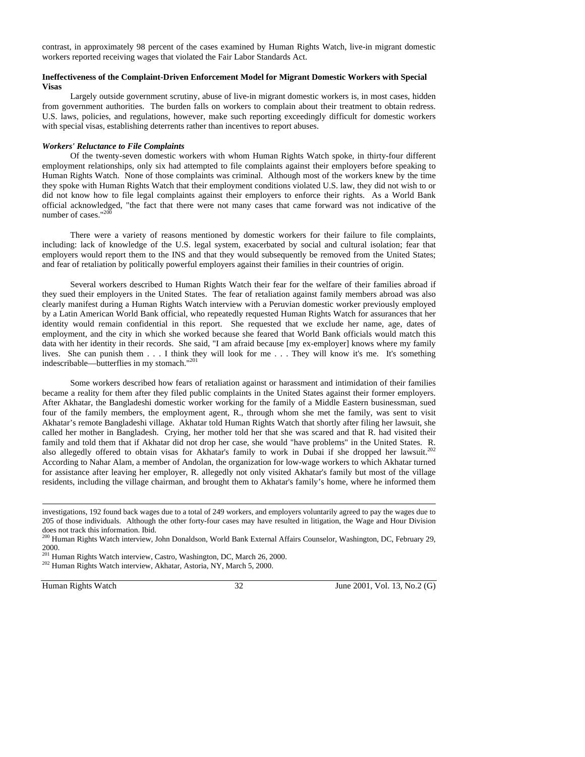contrast, in approximately 98 percent of the cases examined by Human Rights Watch, live-in migrant domestic workers reported receiving wages that violated the Fair Labor Standards Act.

# **Ineffectiveness of the Complaint-Driven Enforcement Model for Migrant Domestic Workers with Special Visas**

Largely outside government scrutiny, abuse of live-in migrant domestic workers is, in most cases, hidden from government authorities. The burden falls on workers to complain about their treatment to obtain redress. U.S. laws, policies, and regulations, however, make such reporting exceedingly difficult for domestic workers with special visas, establishing deterrents rather than incentives to report abuses.

#### *Workers' Reluctance to File Complaints*

Of the twenty-seven domestic workers with whom Human Rights Watch spoke, in thirty-four different employment relationships, only six had attempted to file complaints against their employers before speaking to Human Rights Watch. None of those complaints was criminal. Although most of the workers knew by the time they spoke with Human Rights Watch that their employment conditions violated U.S. law, they did not wish to or did not know how to file legal complaints against their employers to enforce their rights. As a World Bank official acknowledged, "the fact that there were not many cases that came forward was not indicative of the number of cases." $200$ 

There were a variety of reasons mentioned by domestic workers for their failure to file complaints, including: lack of knowledge of the U.S. legal system, exacerbated by social and cultural isolation; fear that employers would report them to the INS and that they would subsequently be removed from the United States; and fear of retaliation by politically powerful employers against their families in their countries of origin.

Several workers described to Human Rights Watch their fear for the welfare of their families abroad if they sued their employers in the United States. The fear of retaliation against family members abroad was also clearly manifest during a Human Rights Watch interview with a Peruvian domestic worker previously employed by a Latin American World Bank official, who repeatedly requested Human Rights Watch for assurances that her identity would remain confidential in this report. She requested that we exclude her name, age, dates of employment, and the city in which she worked because she feared that World Bank officials would match this data with her identity in their records. She said, "I am afraid because [my ex-employer] knows where my family lives. She can punish them . . . I think they will look for me . . . They will know it's me. It's something indescribable—butterflies in my stomach."201

Some workers described how fears of retaliation against or harassment and intimidation of their families became a reality for them after they filed public complaints in the United States against their former employers. After Akhatar, the Bangladeshi domestic worker working for the family of a Middle Eastern businessman, sued four of the family members, the employment agent, R., through whom she met the family, was sent to visit Akhatar's remote Bangladeshi village. Akhatar told Human Rights Watch that shortly after filing her lawsuit, she called her mother in Bangladesh. Crying, her mother told her that she was scared and that R. had visited their family and told them that if Akhatar did not drop her case, she would "have problems" in the United States. R. also allegedly offered to obtain visas for Akhatar's family to work in Dubai if she dropped her lawsuit.<sup>202</sup> According to Nahar Alam, a member of Andolan, the organization for low-wage workers to which Akhatar turned for assistance after leaving her employer, R. allegedly not only visited Akhatar's family but most of the village residents, including the village chairman, and brought them to Akhatar's family's home, where he informed them

<sup>202</sup> Human Rights Watch interview, Akhatar, Astoria, NY, March 5, 2000.

1

Human Rights Watch 32 June 2001, Vol. 13, No.2 (G)

investigations, 192 found back wages due to a total of 249 workers, and employers voluntarily agreed to pay the wages due to 205 of those individuals. Although the other forty-four cases may have resulted in litigation, the Wage and Hour Division does not track this information. Ibid.

<sup>&</sup>lt;sup>200</sup> Human Rights Watch interview, John Donaldson, World Bank External Affairs Counselor, Washington, DC, February 29, 2000.<br><sup>201</sup> Human Rights Watch interview, Castro, Washington, DC, March 26, 2000.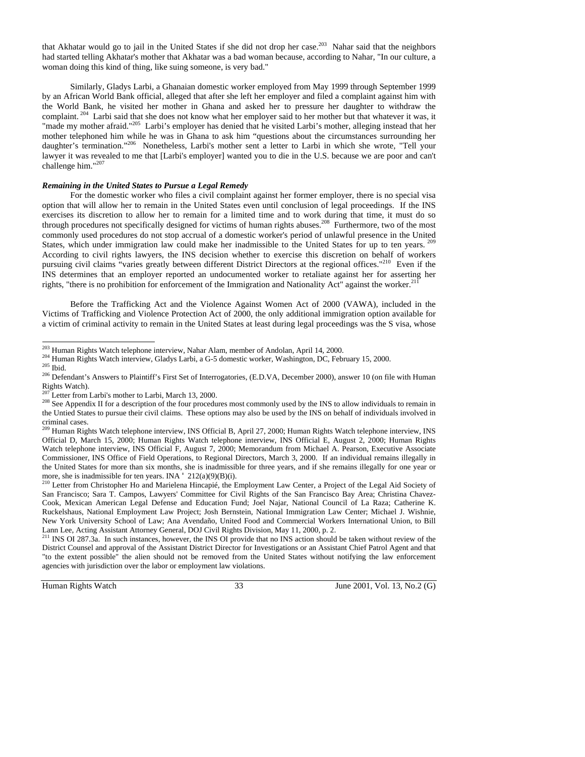that Akhatar would go to jail in the United States if she did not drop her case.<sup>203</sup> Nahar said that the neighbors had started telling Akhatar's mother that Akhatar was a bad woman because, according to Nahar, "In our culture, a woman doing this kind of thing, like suing someone, is very bad."

Similarly, Gladys Larbi, a Ghanaian domestic worker employed from May 1999 through September 1999 by an African World Bank official, alleged that after she left her employer and filed a complaint against him with the World Bank, he visited her mother in Ghana and asked her to pressure her daughter to withdraw the complaint.<sup>204</sup> Larbi said that she does not know what her employer said to her mother but that whatever it was, it "made my mother afraid."<sup>205</sup> Larbi's employer has denied that he visited Larbi's mother, alleging instead that her mother telephoned him while he was in Ghana to ask him "questions about the circumstances surrounding her daughter's termination."206 Nonetheless, Larbi's mother sent a letter to Larbi in which she wrote, "Tell your lawyer it was revealed to me that [Larbi's employer] wanted you to die in the U.S. because we are poor and can't challenge him."207

#### *Remaining in the United States to Pursue a Legal Remedy*

For the domestic worker who files a civil complaint against her former employer, there is no special visa option that will allow her to remain in the United States even until conclusion of legal proceedings. If the INS exercises its discretion to allow her to remain for a limited time and to work during that time, it must do so through procedures not specifically designed for victims of human rights abuses.<sup>208</sup> Furthermore, two of the most commonly used procedures do not stop accrual of a domestic worker's period of unlawful presence in the United States, which under immigration law could make her inadmissible to the United States for up to ten years. 209 According to civil rights lawyers, the INS decision whether to exercise this discretion on behalf of workers pursuing civil claims "varies greatly between different District Directors at the regional offices."<sup>210</sup> Even if the INS determines that an employer reported an undocumented worker to retaliate against her for asserting her rights, "there is no prohibition for enforcement of the Immigration and Nationality Act" against the worker.<sup>2</sup>

Before the Trafficking Act and the Violence Against Women Act of 2000 (VAWA), included in the Victims of Trafficking and Violence Protection Act of 2000, the only additional immigration option available for a victim of criminal activity to remain in the United States at least during legal proceedings was the S visa, whose

 $211$  INS OI 287.3a. In such instances, however, the INS OI provide that no INS action should be taken without review of the District Counsel and approval of the Assistant District Director for Investigations or an Assistant Chief Patrol Agent and that "to the extent possible" the alien should not be removed from the United States without notifying the law enforcement agencies with jurisdiction over the labor or employment law violations.

Human Rights Watch 33 June 2001, Vol. 13, No.2 (G)

<sup>&</sup>lt;sup>203</sup> Human Rights Watch telephone interview, Nahar Alam, member of Andolan, April 14, 2000.

 $^{204}$  Human Rights Watch interview, Gladys Larbi, a G-5 domestic worker, Washington, DC, February 15, 2000.<br><sup>205</sup> Ibid.<br><sup>206</sup> Defendant's Answers to Plaintiff's First Set of Interrogatories, (E.D.VA, December 2000), ans

Rights Watch).

<sup>&</sup>lt;sup>207</sup> Letter from Larbi's mother to Larbi, March 13, 2000.<br><sup>208</sup> See Appendix II for a description of the four procedures most commonly used by the INS to allow individuals to remain in the Untied States to pursue their civil claims. These options may also be used by the INS on behalf of individuals involved in criminal cases.

<sup>&</sup>lt;sup>209</sup> Human Rights Watch telephone interview, INS Official B, April 27, 2000; Human Rights Watch telephone interview, INS Official D, March 15, 2000; Human Rights Watch telephone interview, INS Official E, August 2, 2000; Human Rights Watch telephone interview, INS Official F, August 7, 2000; Memorandum from Michael A. Pearson, Executive Associate Commissioner, INS Office of Field Operations, to Regional Directors, March 3, 2000. If an individual remains illegally in the United States for more than six months, she is inadmissible for three years, and if she remains illegally for one year or more, she is inadmissible for ten years. INA <sup>n</sup> 212(a)(9)(B)(i).<br><sup>210</sup> Letter from Christopher Ho and Marielena Hincapié, the Employment Law Center, a Project of the Legal Aid Society of

San Francisco; Sara T. Campos, Lawyers' Committee for Civil Rights of the San Francisco Bay Area; Christina Chavez-Cook, Mexican American Legal Defense and Education Fund; Joel Najar, National Council of La Raza; Catherine K. Ruckelshaus, National Employment Law Project; Josh Bernstein, National Immigration Law Center; Michael J. Wishnie, New York University School of Law; Ana Avendaño, United Food and Commercial Workers International Union, to Bill Lann Lee, Acting Assistant Attorney General, DOJ Civil Rights Division, May 11, 2000, p. 2.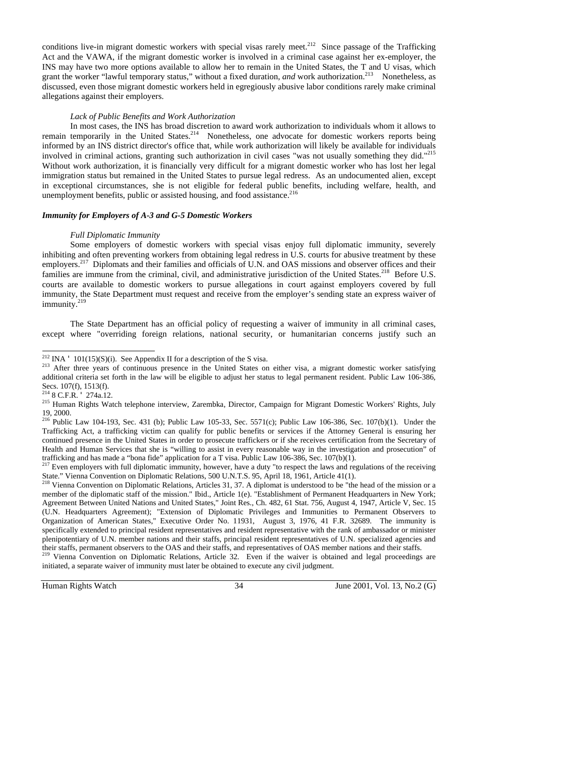conditions live-in migrant domestic workers with special visas rarely meet.<sup>212</sup> Since passage of the Trafficking Act and the VAWA, if the migrant domestic worker is involved in a criminal case against her ex-employer, the INS may have two more options available to allow her to remain in the United States, the T and U visas, which grant the worker "lawful temporary status," without a fixed duration, *and* work authorization.<sup>213</sup> Nonetheless, as discussed, even those migrant domestic workers held in egregiously abusive labor conditions rarely make criminal allegations against their employers.

# *Lack of Public Benefits and Work Authorization*

In most cases, the INS has broad discretion to award work authorization to individuals whom it allows to remain temporarily in the United States.<sup>214</sup> Nonetheless, one advocate for domestic workers reports being informed by an INS district director's office that, while work authorization will likely be available for individuals involved in criminal actions, granting such authorization in civil cases "was not usually something they did."215 Without work authorization, it is financially very difficult for a migrant domestic worker who has lost her legal immigration status but remained in the United States to pursue legal redress. As an undocumented alien, except in exceptional circumstances, she is not eligible for federal public benefits, including welfare, health, and unemployment benefits, public or assisted housing, and food assistance.<sup>216</sup>

#### *Immunity for Employers of A-3 and G-5 Domestic Workers*

#### *Full Diplomatic Immunity*

Some employers of domestic workers with special visas enjoy full diplomatic immunity, severely inhibiting and often preventing workers from obtaining legal redress in U.S. courts for abusive treatment by these employers.<sup>217</sup> Diplomats and their families and officials of U.N. and OAS missions and observer offices and their families are immune from the criminal, civil, and administrative jurisdiction of the United States.<sup>218</sup> Before U.S. courts are available to domestic workers to pursue allegations in court against employers covered by full immunity, the State Department must request and receive from the employer's sending state an express waiver of immunity.<sup>219</sup>

The State Department has an official policy of requesting a waiver of immunity in all criminal cases, except where "overriding foreign relations, national security, or humanitarian concerns justify such an

 $\delta$  Vienna Convention on Diplomatic Relations, Articles 31, 37. A diplomat is understood to be "the head of the mission or a member of the diplomatic staff of the mission." Ibid., Article 1(e). "Establishment of Permanent Headquarters in New York; Agreement Between United Nations and United States," Joint Res., Ch. 482, 61 Stat. 756, August 4, 1947, Article V, Sec. 15 (U.N. Headquarters Agreement); "Extension of Diplomatic Privileges and Immunities to Permanent Observers to Organization of American States," Executive Order No. 11931, August 3, 1976, 41 F.R. 32689. The immunity is specifically extended to principal resident representatives and resident representative with the rank of ambassador or minister plenipotentiary of U.N. member nations and their staffs, principal resident representatives of U.N. specialized agencies and their staffs, permanent observers to the OAS and their staffs, and representatives of OAS member nations and their staffs.

<sup>219</sup> Vienna Convention on Diplomatic Relations, Article 32. Even if the waiver is obtained and legal proceedings are initiated, a separate waiver of immunity must later be obtained to execute any civil judgment.

Human Rights Watch 34 June 2001, Vol. 13, No.2 (G)

<sup>&</sup>lt;sup>212</sup> INA <sup> $\blacksquare$ </sup> 101(15)(S)(i). See Appendix II for a description of the S visa.

<sup>&</sup>lt;sup>213</sup> After three years of continuous presence in the United States on either visa, a migrant domestic worker satisfying additional criteria set forth in the law will be eligible to adjust her status to legal permanent resident. Public Law 106-386, Secs. 107(f), 1513(f).<br><sup>214</sup> 8 C.F.R. <sup>•</sup> 274a.12.

<sup>&</sup>lt;sup>215</sup> Human Rights Watch telephone interview, Zarembka, Director, Campaign for Migrant Domestic Workers' Rights, July 19, 2000.

<sup>&</sup>lt;sup>216</sup> Public Law 104-193, Sec. 431 (b); Public Law 105-33, Sec. 5571(c); Public Law 106-386, Sec. 107(b)(1). Under the Trafficking Act, a trafficking victim can qualify for public benefits or services if the Attorney General is ensuring her continued presence in the United States in order to prosecute traffickers or if she receives certification from the Secretary of Health and Human Services that she is "willing to assist in every reasonable way in the investigation and prosecution" of trafficking and has made a "bona fide" application for a T visa. Public Law 106-386, Sec. 107(b)(1).

<sup>&</sup>lt;sup>217</sup> Even employers with full diplomatic immunity, however, have a duty "to respect the laws and regulations of the receiving State." Vienna Convention on Diplomatic Relations, 500 U.N.T.S. 95, April 18, 1961, Article 41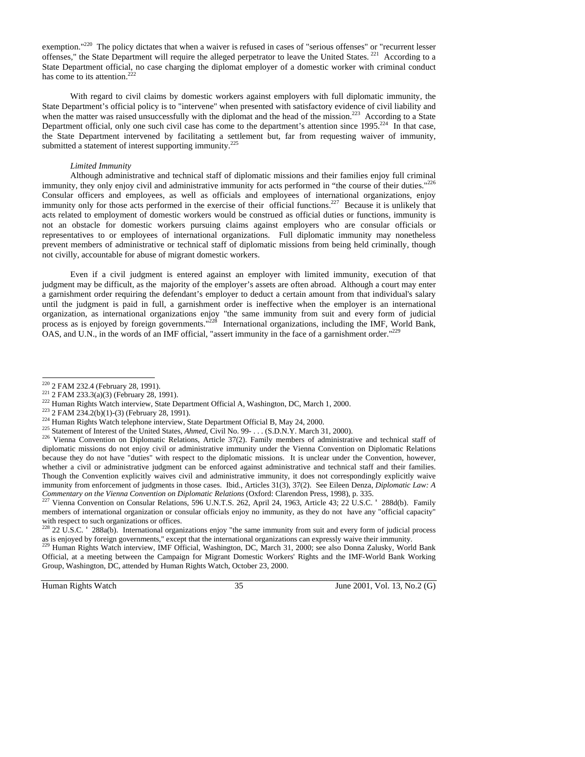exemption."<sup>220</sup> The policy dictates that when a waiver is refused in cases of "serious offenses" or "recurrent lesser offenses," the State Department will require the alleged perpetrator to leave the United States.<sup>221</sup> According to a State Department official, no case charging the diplomat employer of a domestic worker with criminal conduct has come to its attention.<sup>222</sup>

With regard to civil claims by domestic workers against employers with full diplomatic immunity, the State Department's official policy is to "intervene" when presented with satisfactory evidence of civil liability and when the matter was raised unsuccessfully with the diplomat and the head of the mission.<sup>223</sup> According to a State Department official, only one such civil case has come to the department's attention since  $1995$ .<sup>224</sup> In that case, the State Department intervened by facilitating a settlement but, far from requesting waiver of immunity, submitted a statement of interest supporting immunity.<sup>225</sup>

#### *Limited Immunity*

Although administrative and technical staff of diplomatic missions and their families enjoy full criminal immunity, they only enjoy civil and administrative immunity for acts performed in "the course of their duties."<sup>226</sup> Consular officers and employees, as well as officials and employees of international organizations, enjoy immunity only for those acts performed in the exercise of their official functions.<sup>227</sup> Because it is unlikely that acts related to employment of domestic workers would be construed as official duties or functions, immunity is not an obstacle for domestic workers pursuing claims against employers who are consular officials or representatives to or employees of international organizations. Full diplomatic immunity may nonetheless prevent members of administrative or technical staff of diplomatic missions from being held criminally, though not civilly, accountable for abuse of migrant domestic workers.

Even if a civil judgment is entered against an employer with limited immunity, execution of that judgment may be difficult, as the majority of the employer's assets are often abroad. Although a court may enter a garnishment order requiring the defendant's employer to deduct a certain amount from that individual's salary until the judgment is paid in full, a garnishment order is ineffective when the employer is an international organization, as international organizations enjoy "the same immunity from suit and every form of judicial process as is enjoyed by foreign governments."<sup>228</sup> International organizations, including the IMF, World Bank, OAS, and U.N., in the words of an IMF official, "assert immunity in the face of a garnishment order."

Official, at a meeting between the Campaign for Migrant Domestic Workers' Rights and the IMF-World Bank Working Group, Washington, DC, attended by Human Rights Watch, October 23, 2000.

Human Rights Watch 35 June 2001, Vol. 13, No.2 (G)

<sup>&</sup>lt;sup>220</sup> 2 FAM 232.4 (February 28, 1991).

<sup>221 2</sup> FAM 233.3(a)(3) (February 28, 1991).<br>
222 Human Rights Watch interview, State Department Official A, Washington, DC, March 1, 2000.<br>
223 2 FAM 233.3(a)(3) (February 28, 1991).<br>
224 Human Rights Watch telephone inter diplomatic missions do not enjoy civil or administrative immunity under the Vienna Convention on Diplomatic Relations because they do not have "duties" with respect to the diplomatic missions. It is unclear under the Convention, however, whether a civil or administrative judgment can be enforced against administrative and technical staff and their families. Though the Convention explicitly waives civil and administrative immunity, it does not correspondingly explicitly waive immunity from enforcement of judgments in those cases. Ibid., Articles 31(3), 37(2). See Eileen Denza, *Diplomatic Law: A*  Commentary on the Vienna Convention on Diplomatic Relations (Oxford: Clarendon Press, 1998), p. 335.<br><sup>227</sup> Vienna Convention on Consular Relations, 596 U.N.T.S. 262, April 24, 1963, Article 43; 22 U.S.C. <sup>■</sup> 288d(b). Famil

members of international organization or consular officials enjoy no immunity, as they do not have any "official capacity" with respect to such organizations or offices.

<sup>&</sup>lt;sup>228</sup> 22 U.S.C. <sup>2</sup> 288a(b). International organizations enjoy "the same immunity from suit and every form of judicial process as is enjoyed by foreign governments," except that the international organizations can expressly waive their immunity.<br><sup>229</sup> Human Rights Watch interview, IMF Official, Washington, DC, March 31, 2000; see also Donna Zalusk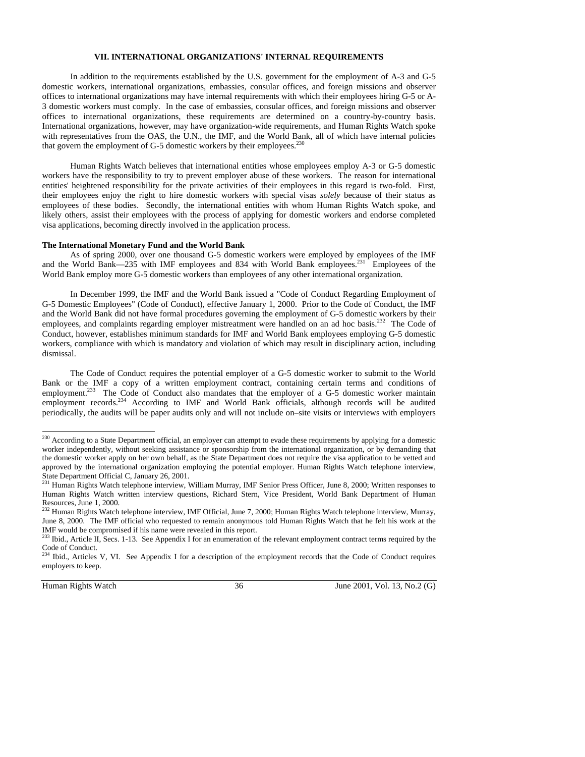### **VII. INTERNATIONAL ORGANIZATIONS' INTERNAL REQUIREMENTS**

In addition to the requirements established by the U.S. government for the employment of A-3 and G-5 domestic workers, international organizations, embassies, consular offices, and foreign missions and observer offices to international organizations may have internal requirements with which their employees hiring G-5 or A-3 domestic workers must comply. In the case of embassies, consular offices, and foreign missions and observer offices to international organizations, these requirements are determined on a country-by-country basis. International organizations, however, may have organization-wide requirements, and Human Rights Watch spoke with representatives from the OAS, the U.N., the IMF, and the World Bank, all of which have internal policies that govern the employment of G-5 domestic workers by their employees. $^{230}$ 

Human Rights Watch believes that international entities whose employees employ A-3 or G-5 domestic workers have the responsibility to try to prevent employer abuse of these workers. The reason for international entities' heightened responsibility for the private activities of their employees in this regard is two-fold. First, their employees enjoy the right to hire domestic workers with special visas *solely* because of their status as employees of these bodies. Secondly, the international entities with whom Human Rights Watch spoke, and likely others, assist their employees with the process of applying for domestic workers and endorse completed visa applications, becoming directly involved in the application process.

#### **The International Monetary Fund and the World Bank**

As of spring 2000, over one thousand G-5 domestic workers were employed by employees of the IMF and the World Bank—235 with IMF employees and 834 with World Bank employees.<sup>231</sup> Employees of the World Bank employ more G-5 domestic workers than employees of any other international organization.

In December 1999, the IMF and the World Bank issued a "Code of Conduct Regarding Employment of G-5 Domestic Employees" (Code of Conduct), effective January 1, 2000. Prior to the Code of Conduct, the IMF and the World Bank did not have formal procedures governing the employment of G-5 domestic workers by their employees, and complaints regarding employer mistreatment were handled on an ad hoc basis.<sup>232</sup> The Code of Conduct, however, establishes minimum standards for IMF and World Bank employees employing G-5 domestic workers, compliance with which is mandatory and violation of which may result in disciplinary action, including dismissal.

 The Code of Conduct requires the potential employer of a G-5 domestic worker to submit to the World Bank or the IMF a copy of a written employment contract, containing certain terms and conditions of employment.<sup>233</sup> The Code of Conduct also mandates that the employer of a G-5 domestic worker maintain employment records.<sup>234</sup> According to IMF and World Bank officials, although records will be audited periodically, the audits will be paper audits only and will not include on–site visits or interviews with employers

-

Human Rights Watch 36 June 2001, Vol. 13, No.2 (G)

<sup>&</sup>lt;sup>230</sup> According to a State Department official, an employer can attempt to evade these requirements by applying for a domestic worker independently, without seeking assistance or sponsorship from the international organization, or by demanding that the domestic worker apply on her own behalf, as the State Department does not require the visa application to be vetted and approved by the international organization employing the potential employer. Human Rights Watch telephone interview, State Department Official C, January 26, 2001.

 $^{231}$  Human Rights Watch telephone interview, William Murray, IMF Senior Press Officer, June 8, 2000; Written responses to Human Rights Watch written interview questions, Richard Stern, Vice President, World Bank Department of Human Resources, June 1, 2000.

<sup>232</sup> Human Rights Watch telephone interview, IMF Official, June 7, 2000; Human Rights Watch telephone interview, Murray, June 8, 2000. The IMF official who requested to remain anonymous told Human Rights Watch that he felt his work at the IMF would be compromised if his name were revealed in this report.

 $233$  Ibid., Article II, Secs. 1-13. See Appendix I for an enumeration of the relevant employment contract terms required by the Code of Conduct.

<sup>&</sup>lt;sup>234</sup> Ibid., Articles V, VI. See Appendix I for a description of the employment records that the Code of Conduct requires employers to keep.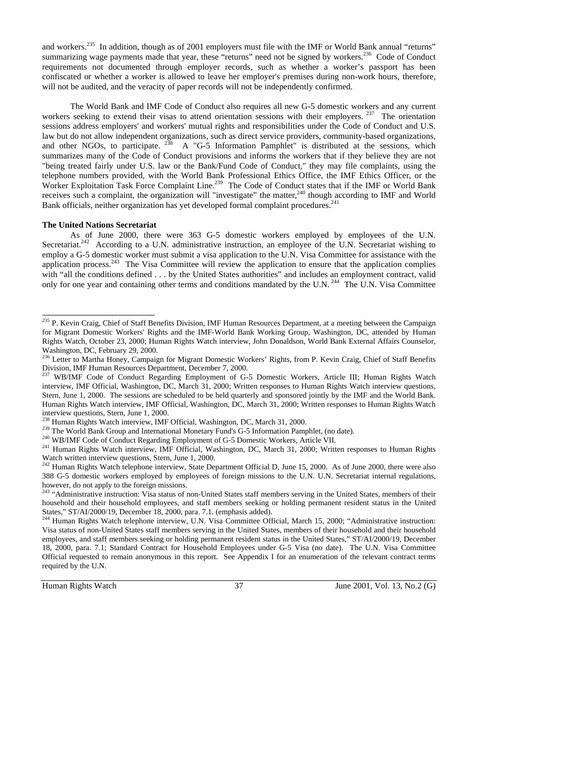and workers.<sup>235</sup> In addition, though as of 2001 employers must file with the IMF or World Bank annual "returns" summarizing wage payments made that year, these "returns" need not be signed by workers.<sup>236</sup> Code of Conduct requirements not documented through employer records, such as whether a worker's passport has been confiscated or whether a worker is allowed to leave her employer's premises during non-work hours, therefore, will not be audited, and the veracity of paper records will not be independently confirmed.

The World Bank and IMF Code of Conduct also requires all new G-5 domestic workers and any current workers seeking to extend their visas to attend orientation sessions with their employers. <sup>237</sup> The orientation sessions address employers' and workers' mutual rights and responsibilities under the Code of Conduct and U.S. law but do not allow independent organizations, such as direct service providers, community-based organizations, and other NGOs, to participate.  $238$  A "G-5 Information Pamphlet" is distributed at the sessions, which summarizes many of the Code of Conduct provisions and informs the workers that if they believe they are not "being treated fairly under U.S. law or the Bank/Fund Code of Conduct," they may file complaints, using the telephone numbers provided, with the World Bank Professional Ethics Office, the IMF Ethics Officer, or the Worker Exploitation Task Force Complaint Line.<sup>239</sup> The Code of Conduct states that if the IMF or World Bank receives such a complaint, the organization will "investigate" the matter, <sup>240</sup> though according to IMF and World Bank officials, neither organization has yet developed formal complaint procedures.<sup>241</sup>

#### **The United Nations Secretariat**

-

As of June 2000, there were 363 G-5 domestic workers employed by employees of the U.N. Secretariat.<sup>242</sup> According to a U.N. administrative instruction, an employee of the U.N. Secretariat wishing to employ a G-5 domestic worker must submit a visa application to the U.N. Visa Committee for assistance with the application process.<sup>243</sup> The Visa Committee will review the application to ensure that the application complies with "all the conditions defined . . . by the United States authorities" and includes an employment contract, valid only for one year and containing other terms and conditions mandated by the U.N. <sup>244</sup> The U.N. Visa Committee

<sup>&</sup>lt;sup>235</sup> P. Kevin Craig, Chief of Staff Benefits Division, IMF Human Resources Department, at a meeting between the Campaign for Migrant Domestic Workers' Rights and the IMF-World Bank Working Group, Washington, DC, attended by Human Rights Watch, October 23, 2000; Human Rights Watch interview, John Donaldson, World Bank External Affairs Counselor, Washington, DC, February 29, 2000.

<sup>&</sup>lt;sup>236</sup> Letter to Martha Honey, Campaign for Migrant Domestic Workers' Rights, from P. Kevin Craig, Chief of Staff Benefits Division, IMF Human Resources Department, December 7, 2000. 237 WB/IMF Code of Conduct Regarding Employment of G-5 Domestic Workers, Article III; Human Rights Watch

interview, IMF Official, Washington, DC, March 31, 2000; Written responses to Human Rights Watch interview questions, Stern, June 1, 2000. The sessions are scheduled to be held quarterly and sponsored jointly by the IMF and the World Bank. Human Rights Watch interview, IMF Official, Washington, DC, March 31, 2000; Written responses to Human Rights Watch interview questions, Stern, June 1, 2000.<br><sup>238</sup> Human Rights Watch interview, IMF Official, Washington, DC, March 31, 2000.

<sup>&</sup>lt;sup>239</sup> The World Bank Group and International Monetary Fund's G-5 Information Pamphlet, (no date).<br><sup>240</sup> WB/IMF Code of Conduct Regarding Employment of G-5 Domestic Workers, Article VII.<br><sup>241</sup> Human Rights Watch interview,

Watch written interview questions, State Department Official D, June 15, 2000. As of June 2000, there were also 388 G-5 domestic workers employed by employees of foreign missions to the U.N. U.N. Secretariat internal regulations, however, do not apply to the foreign missions.

<sup>&</sup>lt;sup>243</sup> "Administrative instruction: Visa status of non-United States staff members serving in the United States, members of their household and their household employees, and staff members seeking or holding permanent resident status in the United States," ST/AI/2000/19, December 18, 2000, para. 7.1. (emphasis added).<br><sup>244</sup> Human Rights Watch telephone interview, U.N. Visa Committee Official, March 15, 2000; "Administrative instruction:

Visa status of non-United States staff members serving in the United States, members of their household and their household employees, and staff members seeking or holding permanent resident status in the United States," ST/AI/2000/19, December 18, 2000, para. 7.1; Standard Contract for Household Employees under G-5 Visa (no date). The U.N. Visa Committee Official requested to remain anonymous in this report. See Appendix I for an enumeration of the relevant contract terms required by the U.N.

Human Rights Watch 37 June 2001, Vol. 13, No.2 (G)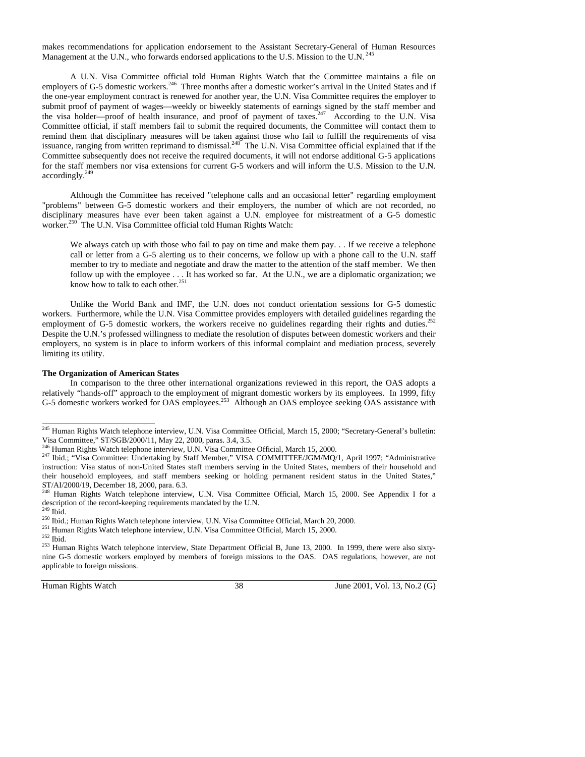makes recommendations for application endorsement to the Assistant Secretary-General of Human Resources Management at the U.N., who forwards endorsed applications to the U.S. Mission to the U.N.<sup>24</sup>

A U.N. Visa Committee official told Human Rights Watch that the Committee maintains a file on employers of G-5 domestic workers.<sup>246</sup> Three months after a domestic worker's arrival in the United States and if the one-year employment contract is renewed for another year, the U.N. Visa Committee requires the employer to submit proof of payment of wages—weekly or biweekly statements of earnings signed by the staff member and the visa holder—proof of health insurance, and proof of payment of taxes.<sup>247</sup> According to the U.N. Visa Committee official, if staff members fail to submit the required documents, the Committee will contact them to remind them that disciplinary measures will be taken against those who fail to fulfill the requirements of visa issuance, ranging from written reprimand to dismissal.<sup>248</sup> The U.N. Visa Committee official explained that if the Committee subsequently does not receive the required documents, it will not endorse additional G-5 applications for the staff members nor visa extensions for current G-5 workers and will inform the U.S. Mission to the U.N. accordingly.249

Although the Committee has received "telephone calls and an occasional letter" regarding employment "problems" between G-5 domestic workers and their employers, the number of which are not recorded, no disciplinary measures have ever been taken against a U.N. employee for mistreatment of a G-5 domestic worker.<sup>250</sup> The U.N. Visa Committee official told Human Rights Watch:

We always catch up with those who fail to pay on time and make them pay. . . If we receive a telephone call or letter from a G-5 alerting us to their concerns, we follow up with a phone call to the U.N. staff member to try to mediate and negotiate and draw the matter to the attention of the staff member. We then follow up with the employee . . . It has worked so far. At the U.N., we are a diplomatic organization; we know how to talk to each other.<sup>251</sup>

Unlike the World Bank and IMF, the U.N. does not conduct orientation sessions for G-5 domestic workers. Furthermore, while the U.N. Visa Committee provides employers with detailed guidelines regarding the employment of G-5 domestic workers, the workers receive no guidelines regarding their rights and duties.<sup>2</sup> Despite the U.N.'s professed willingness to mediate the resolution of disputes between domestic workers and their employers, no system is in place to inform workers of this informal complaint and mediation process, severely limiting its utility.

#### **The Organization of American States**

In comparison to the three other international organizations reviewed in this report, the OAS adopts a relatively "hands-off" approach to the employment of migrant domestic workers by its employees. In 1999, fifty G-5 domestic workers worked for OAS employees.<sup>253</sup> Although an OAS employee seeking OAS assistance with

-

Human Rights Watch 38 June 2001, Vol. 13, No.2 (G)

<sup>245</sup> Human Rights Watch telephone interview, U.N. Visa Committee Official, March 15, 2000; "Secretary-General's bulletin: Visa Committee," ST/SGB/2000/11, May 22, 2000, paras. 3.4, 3.5.<br><sup>246</sup> Human Rights Watch telephone interview, U.N. Visa Committee Official, March 15, 2000.<br><sup>247</sup> Ibid.; "Visa Committee: Undertaking by Staff Member," VISA C

instruction: Visa status of non-United States staff members serving in the United States, members of their household and their household employees, and staff members seeking or holding permanent resident status in the United States," ST/AI/2000/19, December 18, 2000, para. 6.3.

<sup>&</sup>lt;sup>248</sup> Human Rights Watch telephone interview, U.N. Visa Committee Official, March 15, 2000. See Appendix I for a description of the record-keeping requirements mandated by the U.N.

<sup>249</sup> Ibid.<br>
250 Ibid.; Human Rights Watch telephone interview, U.N. Visa Committee Official, March 20, 2000.<br>
251 Human Rights Watch telephone interview, U.N. Visa Committee Official, March 15, 2000.<br>
252 Ibid.<br>
253 Human R nine G-5 domestic workers employed by members of foreign missions to the OAS. OAS regulations, however, are not applicable to foreign missions.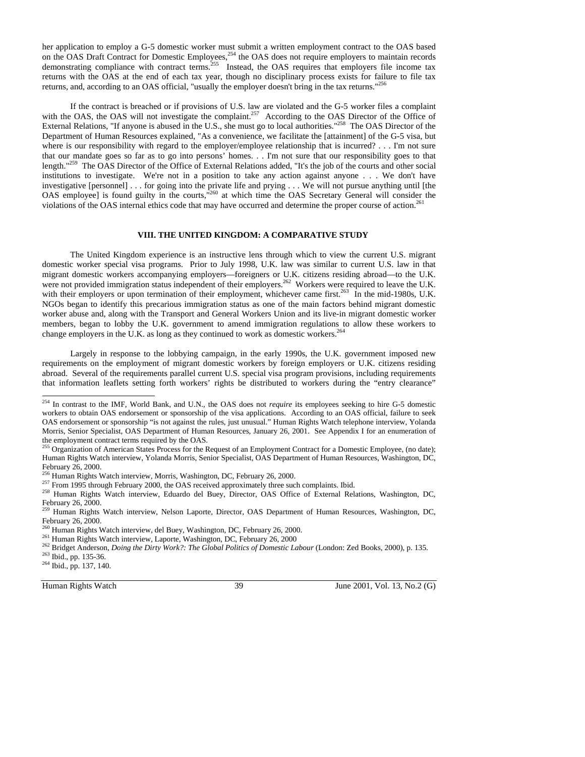her application to employ a G-5 domestic worker must submit a written employment contract to the OAS based on the OAS Draft Contract for Domestic Employees,<sup>254</sup> the OAS does not require employers to maintain records demonstrating compliance with contract terms. $^{255}$  Instead, the OAS requires that employers file income tax returns with the OAS at the end of each tax year, though no disciplinary process exists for failure to file tax returns, and, according to an OAS official, "usually the employer doesn't bring in the tax returns."

If the contract is breached or if provisions of U.S. law are violated and the G-5 worker files a complaint with the OAS, the OAS will not investigate the complaint.<sup>257</sup> According to the OAS Director of the Office of External Relations, "If anyone is abused in the U.S., she must go to local authorities."<sup>258</sup> The OAS Director of the Department of Human Resources explained, "As a convenience, we facilitate the [attainment] of the G-5 visa, but where is our responsibility with regard to the employer/employee relationship that is incurred? . . . I'm not sure that our mandate goes so far as to go into persons' homes. . . I'm not sure that our responsibility goes to that length."259 The OAS Director of the Office of External Relations added, "It's the job of the courts and other social institutions to investigate. We're not in a position to take any action against anyone . . . We don't have investigative [personnel] . . . for going into the private life and prying . . . We will not pursue anything until [the OAS employee] is found guilty in the courts,<sup>"260</sup> at which time the OAS Secretary General will consider the violations of the OAS internal ethics code that may have occurred and determine the proper course of action.261

#### **VIII. THE UNITED KINGDOM: A COMPARATIVE STUDY**

The United Kingdom experience is an instructive lens through which to view the current U.S. migrant domestic worker special visa programs. Prior to July 1998, U.K. law was similar to current U.S. law in that migrant domestic workers accompanying employers—foreigners or U.K. citizens residing abroad—to the U.K. were not provided immigration status independent of their employers.<sup>262</sup> Workers were required to leave the U.K. with their employers or upon termination of their employment, whichever came first.<sup>263</sup> In the mid-1980s, U.K. NGOs began to identify this precarious immigration status as one of the main factors behind migrant domestic worker abuse and, along with the Transport and General Workers Union and its live-in migrant domestic worker members, began to lobby the U.K. government to amend immigration regulations to allow these workers to change employers in the U.K. as long as they continued to work as domestic workers.<sup>2</sup>

Largely in response to the lobbying campaign, in the early 1990s, the U.K. government imposed new requirements on the employment of migrant domestic workers by foreign employers or U.K. citizens residing abroad. Several of the requirements parallel current U.S. special visa program provisions, including requirements that information leaflets setting forth workers' rights be distributed to workers during the "entry clearance"

<sup>261</sup> Human Rights Watch interview, Laporte, Washington, DC, February 26, 2000<br><sup>262</sup> Bridget Anderson, *Doing the Dirty Work?: The Global Politics of Domestic Labour* (London: Zed Books, 2000), p. 135.<br><sup>263</sup> Ibid., pp. 13

-

Human Rights Watch 39 June 2001, Vol. 13, No.2 (G)

<sup>&</sup>lt;sup>254</sup> In contrast to the IMF, World Bank, and U.N., the OAS does not *require* its employees seeking to hire G-5 domestic workers to obtain OAS endorsement or sponsorship of the visa applications. According to an OAS official, failure to seek OAS endorsement or sponsorship "is not against the rules, just unusual." Human Rights Watch telephone interview, Yolanda Morris, Senior Specialist, OAS Department of Human Resources, January 26, 2001. See Appendix I for an enumeration of the employment contract terms required by the OAS.

<sup>255</sup> Organization of American States Process for the Request of an Employment Contract for a Domestic Employee, (no date); Human Rights Watch interview, Yolanda Morris, Senior Specialist, OAS Department of Human Resources, Washington, DC, February 26, 2000.<br><sup>256</sup> Human Rights Watch interview, Morris, Washington, DC, February 26, 2000.

<sup>257</sup> From 1995 through February 2000, the OAS received approximately three such complaints. Ibid.<br><sup>257</sup> From 1995 through February 2000, the OAS received approximately three such complaints. Ibid.<br><sup>258</sup> Human Rights Watch i February 26, 2000.

<sup>259</sup> Human Rights Watch interview, Nelson Laporte, Director, OAS Department of Human Resources, Washington, DC, February 26, 2000.<br><sup>260</sup> Human Rights Watch interview, del Buey, Washington, DC, February 26, 2000.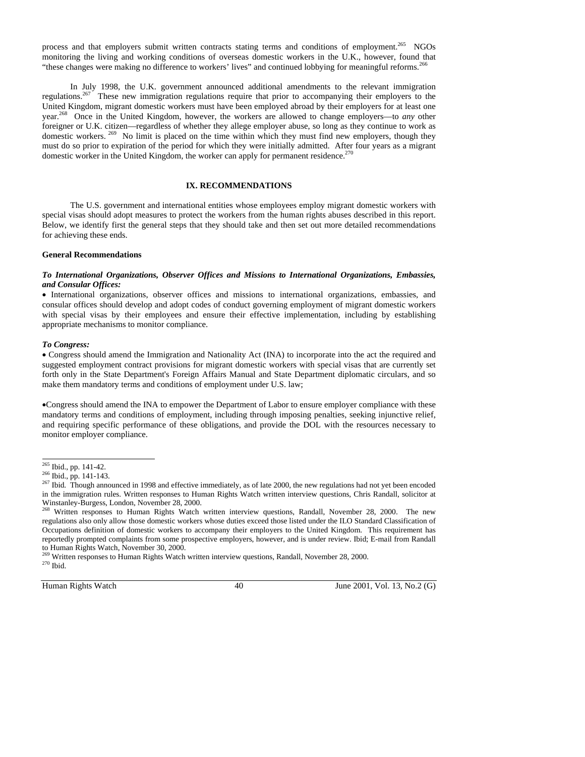process and that employers submit written contracts stating terms and conditions of employment.<sup>265</sup> NGOs monitoring the living and working conditions of overseas domestic workers in the U.K., however, found that "these changes were making no difference to workers' lives" and continued lobbying for meaningful reforms.<sup>266</sup>

In July 1998, the U.K. government announced additional amendments to the relevant immigration regulations.<sup>267</sup> These new immigration regulations require that prior to accompanying their employers to the United Kingdom, migrant domestic workers must have been employed abroad by their employers for at least one year.268 Once in the United Kingdom, however, the workers are allowed to change employers—to *any* other foreigner or U.K. citizen—regardless of whether they allege employer abuse, so long as they continue to work as domestic workers. <sup>269</sup> No limit is placed on the time within which they must find new employers, though they must do so prior to expiration of the period for which they were initially admitted. After four years as a migrant domestic worker in the United Kingdom, the worker can apply for permanent residence.<sup>270</sup>

# **IX. RECOMMENDATIONS**

The U.S. government and international entities whose employees employ migrant domestic workers with special visas should adopt measures to protect the workers from the human rights abuses described in this report. Below, we identify first the general steps that they should take and then set out more detailed recommendations for achieving these ends.

#### **General Recommendations**

### *To International Organizations, Observer Offices and Missions to International Organizations, Embassies, and Consular Offices:*

• International organizations, observer offices and missions to international organizations, embassies, and consular offices should develop and adopt codes of conduct governing employment of migrant domestic workers with special visas by their employees and ensure their effective implementation, including by establishing appropriate mechanisms to monitor compliance.

#### *To Congress:*

• Congress should amend the Immigration and Nationality Act (INA) to incorporate into the act the required and suggested employment contract provisions for migrant domestic workers with special visas that are currently set forth only in the State Department's Foreign Affairs Manual and State Department diplomatic circulars, and so make them mandatory terms and conditions of employment under U.S. law;

•Congress should amend the INA to empower the Department of Labor to ensure employer compliance with these mandatory terms and conditions of employment, including through imposing penalties, seeking injunctive relief, and requiring specific performance of these obligations, and provide the DOL with the resources necessary to monitor employer compliance.

<sup>269</sup> Written responses to Human Rights Watch written interview questions, Randall, November 28, 2000.<br><sup>270</sup> Ibid.

Human Rights Watch 40 June 2001, Vol. 13, No.2 (G)

<sup>&</sup>lt;sup>265</sup> Ibid., pp. 141-42.

<sup>&</sup>lt;sup>266</sup> Ibid., pp. 141-143.<br><sup>266</sup> Ibid., pp. 141-143.<br><sup>267</sup> Ibid. Though announced in 1998 and effective immediately, as of late 2000, the new regulations had not yet been encoded in the immigration rules. Written responses to Human Rights Watch written interview questions, Chris Randall, solicitor at Winstanley-Burgess, London, November 28, 2000.

<sup>&</sup>lt;sup>268</sup> Written responses to Human Rights Watch written interview questions, Randall, November 28, 2000. The new regulations also only allow those domestic workers whose duties exceed those listed under the ILO Standard Classification of Occupations definition of domestic workers to accompany their employers to the United Kingdom. This requirement has reportedly prompted complaints from some prospective employers, however, and is under review. Ibid; E-mail from Randall to Human Rights Watch, November 30, 2000.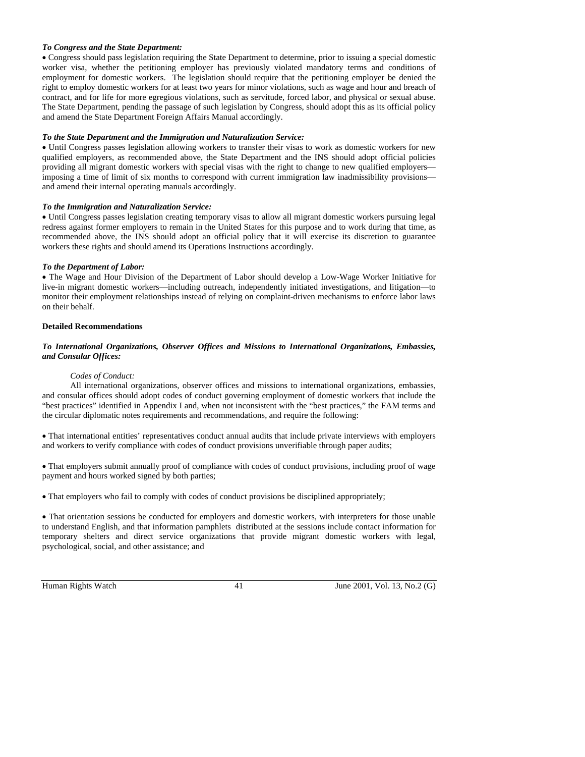# *To Congress and the State Department:*

• Congress should pass legislation requiring the State Department to determine, prior to issuing a special domestic worker visa, whether the petitioning employer has previously violated mandatory terms and conditions of employment for domestic workers. The legislation should require that the petitioning employer be denied the right to employ domestic workers for at least two years for minor violations, such as wage and hour and breach of contract, and for life for more egregious violations, such as servitude, forced labor, and physical or sexual abuse. The State Department, pending the passage of such legislation by Congress, should adopt this as its official policy and amend the State Department Foreign Affairs Manual accordingly.

# *To the State Department and the Immigration and Naturalization Service:*

• Until Congress passes legislation allowing workers to transfer their visas to work as domestic workers for new qualified employers, as recommended above, the State Department and the INS should adopt official policies providing all migrant domestic workers with special visas with the right to change to new qualified employers imposing a time of limit of six months to correspond with current immigration law inadmissibility provisions and amend their internal operating manuals accordingly.

# *To the Immigration and Naturalization Service:*

• Until Congress passes legislation creating temporary visas to allow all migrant domestic workers pursuing legal redress against former employers to remain in the United States for this purpose and to work during that time, as recommended above, the INS should adopt an official policy that it will exercise its discretion to guarantee workers these rights and should amend its Operations Instructions accordingly.

# *To the Department of Labor:*

• The Wage and Hour Division of the Department of Labor should develop a Low-Wage Worker Initiative for live-in migrant domestic workers—including outreach, independently initiated investigations, and litigation—to monitor their employment relationships instead of relying on complaint-driven mechanisms to enforce labor laws on their behalf.

# **Detailed Recommendations**

# *To International Organizations, Observer Offices and Missions to International Organizations, Embassies, and Consular Offices:*

### *Codes of Conduct:*

All international organizations, observer offices and missions to international organizations, embassies, and consular offices should adopt codes of conduct governing employment of domestic workers that include the "best practices" identified in Appendix I and, when not inconsistent with the "best practices," the FAM terms and the circular diplomatic notes requirements and recommendations, and require the following:

• That international entities' representatives conduct annual audits that include private interviews with employers and workers to verify compliance with codes of conduct provisions unverifiable through paper audits;

• That employers submit annually proof of compliance with codes of conduct provisions, including proof of wage payment and hours worked signed by both parties;

• That employers who fail to comply with codes of conduct provisions be disciplined appropriately;

• That orientation sessions be conducted for employers and domestic workers, with interpreters for those unable to understand English, and that information pamphlets distributed at the sessions include contact information for temporary shelters and direct service organizations that provide migrant domestic workers with legal, psychological, social, and other assistance; and

Human Rights Watch 41 June 2001, Vol. 13, No.2 (G)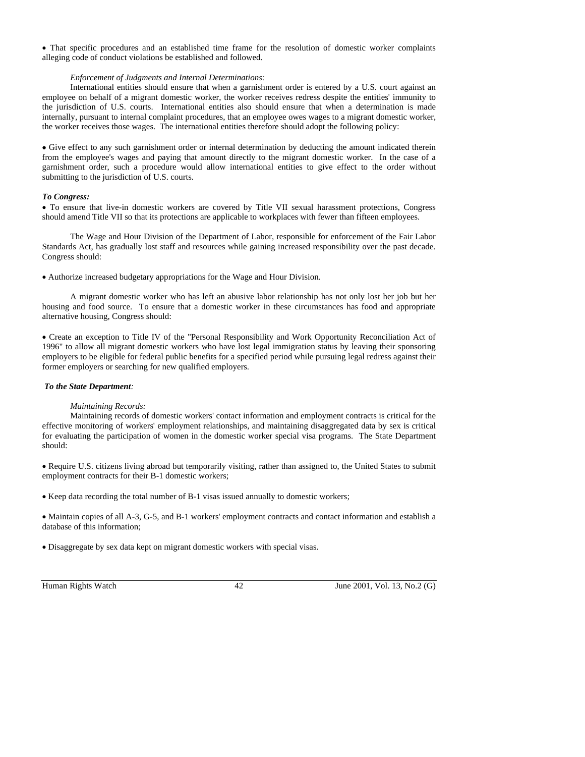• That specific procedures and an established time frame for the resolution of domestic worker complaints alleging code of conduct violations be established and followed.

### *Enforcement of Judgments and Internal Determinations:*

International entities should ensure that when a garnishment order is entered by a U.S. court against an employee on behalf of a migrant domestic worker, the worker receives redress despite the entities' immunity to the jurisdiction of U.S. courts. International entities also should ensure that when a determination is made internally, pursuant to internal complaint procedures, that an employee owes wages to a migrant domestic worker, the worker receives those wages. The international entities therefore should adopt the following policy:

• Give effect to any such garnishment order or internal determination by deducting the amount indicated therein from the employee's wages and paying that amount directly to the migrant domestic worker. In the case of a garnishment order, such a procedure would allow international entities to give effect to the order without submitting to the jurisdiction of U.S. courts.

#### *To Congress:*

• To ensure that live-in domestic workers are covered by Title VII sexual harassment protections, Congress should amend Title VII so that its protections are applicable to workplaces with fewer than fifteen employees.

The Wage and Hour Division of the Department of Labor, responsible for enforcement of the Fair Labor Standards Act, has gradually lost staff and resources while gaining increased responsibility over the past decade. Congress should:

• Authorize increased budgetary appropriations for the Wage and Hour Division.

 A migrant domestic worker who has left an abusive labor relationship has not only lost her job but her housing and food source. To ensure that a domestic worker in these circumstances has food and appropriate alternative housing, Congress should:

• Create an exception to Title IV of the "Personal Responsibility and Work Opportunity Reconciliation Act of 1996" to allow all migrant domestic workers who have lost legal immigration status by leaving their sponsoring employers to be eligible for federal public benefits for a specified period while pursuing legal redress against their former employers or searching for new qualified employers.

### *To the State Department:*

#### *Maintaining Records:*

Maintaining records of domestic workers' contact information and employment contracts is critical for the effective monitoring of workers' employment relationships, and maintaining disaggregated data by sex is critical for evaluating the participation of women in the domestic worker special visa programs. The State Department should:

• Require U.S. citizens living abroad but temporarily visiting, rather than assigned to, the United States to submit employment contracts for their B-1 domestic workers;

• Keep data recording the total number of B-1 visas issued annually to domestic workers;

• Maintain copies of all A-3, G-5, and B-1 workers' employment contracts and contact information and establish a database of this information;

• Disaggregate by sex data kept on migrant domestic workers with special visas.

Human Rights Watch 42 June 2001, Vol. 13, No.2 (G)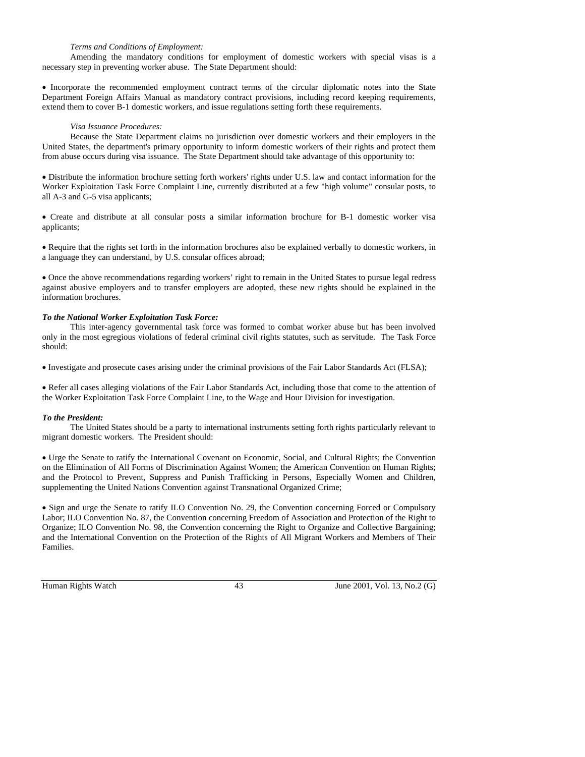# *Terms and Conditions of Employment:*

Amending the mandatory conditions for employment of domestic workers with special visas is a necessary step in preventing worker abuse. The State Department should:

• Incorporate the recommended employment contract terms of the circular diplomatic notes into the State Department Foreign Affairs Manual as mandatory contract provisions, including record keeping requirements, extend them to cover B-1 domestic workers, and issue regulations setting forth these requirements.

### *Visa Issuance Procedures:*

Because the State Department claims no jurisdiction over domestic workers and their employers in the United States, the department's primary opportunity to inform domestic workers of their rights and protect them from abuse occurs during visa issuance. The State Department should take advantage of this opportunity to:

• Distribute the information brochure setting forth workers' rights under U.S. law and contact information for the Worker Exploitation Task Force Complaint Line, currently distributed at a few "high volume" consular posts, to all A-3 and G-5 visa applicants;

• Create and distribute at all consular posts a similar information brochure for B-1 domestic worker visa applicants;

• Require that the rights set forth in the information brochures also be explained verbally to domestic workers, in a language they can understand, by U.S. consular offices abroad;

• Once the above recommendations regarding workers' right to remain in the United States to pursue legal redress against abusive employers and to transfer employers are adopted, these new rights should be explained in the information brochures.

### *To the National Worker Exploitation Task Force:*

This inter-agency governmental task force was formed to combat worker abuse but has been involved only in the most egregious violations of federal criminal civil rights statutes, such as servitude. The Task Force should:

• Investigate and prosecute cases arising under the criminal provisions of the Fair Labor Standards Act (FLSA);

• Refer all cases alleging violations of the Fair Labor Standards Act, including those that come to the attention of the Worker Exploitation Task Force Complaint Line, to the Wage and Hour Division for investigation.

### *To the President:*

The United States should be a party to international instruments setting forth rights particularly relevant to migrant domestic workers. The President should:

• Urge the Senate to ratify the International Covenant on Economic, Social, and Cultural Rights; the Convention on the Elimination of All Forms of Discrimination Against Women; the American Convention on Human Rights; and the Protocol to Prevent, Suppress and Punish Trafficking in Persons, Especially Women and Children, supplementing the United Nations Convention against Transnational Organized Crime;

• Sign and urge the Senate to ratify ILO Convention No. 29, the Convention concerning Forced or Compulsory Labor; ILO Convention No. 87, the Convention concerning Freedom of Association and Protection of the Right to Organize; ILO Convention No. 98, the Convention concerning the Right to Organize and Collective Bargaining; and the International Convention on the Protection of the Rights of All Migrant Workers and Members of Their Families.

Human Rights Watch 43 June 2001, Vol. 13, No.2 (G)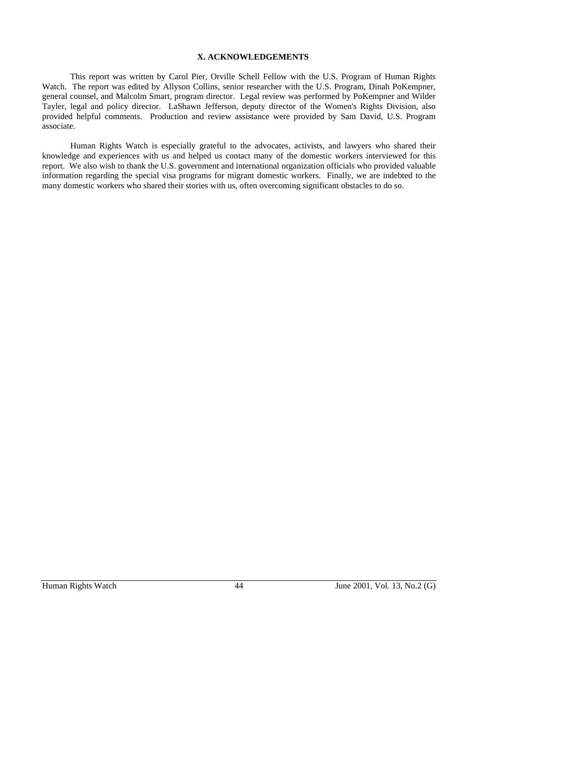### **X. ACKNOWLEDGEMENTS**

This report was written by Carol Pier, Orville Schell Fellow with the U.S. Program of Human Rights Watch. The report was edited by Allyson Collins, senior researcher with the U.S. Program, Dinah PoKempner, general counsel, and Malcolm Smart, program director. Legal review was performed by PoKempner and Wilder Tayler, legal and policy director. LaShawn Jefferson, deputy director of the Women's Rights Division, also provided helpful comments. Production and review assistance were provided by Sam David, U.S. Program associate.

Human Rights Watch is especially grateful to the advocates, activists, and lawyers who shared their knowledge and experiences with us and helped us contact many of the domestic workers interviewed for this report. We also wish to thank the U.S. government and international organization officials who provided valuable information regarding the special visa programs for migrant domestic workers. Finally, we are indebted to the many domestic workers who shared their stories with us, often overcoming significant obstacles to do so.

Human Rights Watch 44 June 2001, Vol. 13, No.2 (G)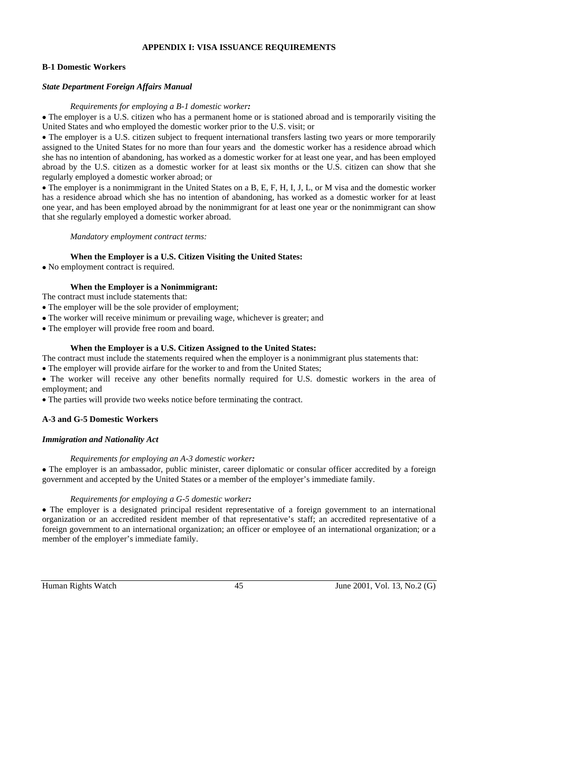## **APPENDIX I: VISA ISSUANCE REQUIREMENTS**

### **B-1 Domestic Workers**

#### *State Department Foreign Affairs Manual*

### *Requirements for employing a B-1 domestic worker:*

• The employer is a U.S. citizen who has a permanent home or is stationed abroad and is temporarily visiting the United States and who employed the domestic worker prior to the U.S. visit; or

• The employer is a U.S. citizen subject to frequent international transfers lasting two years or more temporarily assigned to the United States for no more than four years and the domestic worker has a residence abroad which she has no intention of abandoning, has worked as a domestic worker for at least one year, and has been employed abroad by the U.S. citizen as a domestic worker for at least six months or the U.S. citizen can show that she regularly employed a domestic worker abroad; or

• The employer is a nonimmigrant in the United States on a B, E, F, H, I, J, L, or M visa and the domestic worker has a residence abroad which she has no intention of abandoning, has worked as a domestic worker for at least one year, and has been employed abroad by the nonimmigrant for at least one year or the nonimmigrant can show that she regularly employed a domestic worker abroad.

*Mandatory employment contract terms:* 

#### **When the Employer is a U.S. Citizen Visiting the United States:**

• No employment contract is required.

#### **When the Employer is a Nonimmigrant:**

The contract must include statements that:

- The employer will be the sole provider of employment;
- The worker will receive minimum or prevailing wage, whichever is greater; and
- The employer will provide free room and board.

#### **When the Employer is a U.S. Citizen Assigned to the United States:**

The contract must include the statements required when the employer is a nonimmigrant plus statements that:

• The employer will provide airfare for the worker to and from the United States;

• The worker will receive any other benefits normally required for U.S. domestic workers in the area of employment; and

• The parties will provide two weeks notice before terminating the contract.

### **A-3 and G-5 Domestic Workers**

#### *Immigration and Nationality Act*

#### *Requirements for employing an A-3 domestic worker:*

• The employer is an ambassador, public minister, career diplomatic or consular officer accredited by a foreign government and accepted by the United States or a member of the employer's immediate family.

#### *Requirements for employing a G-5 domestic worker:*

• The employer is a designated principal resident representative of a foreign government to an international organization or an accredited resident member of that representative's staff; an accredited representative of a foreign government to an international organization; an officer or employee of an international organization; or a member of the employer's immediate family.

Human Rights Watch 45 June 2001, Vol. 13, No.2 (G)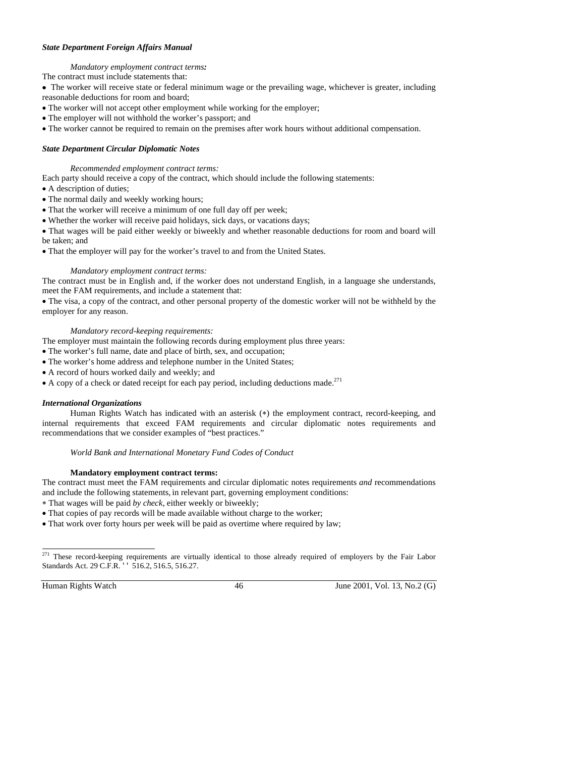# *State Department Foreign Affairs Manual*

# *Mandatory employment contract terms:*

The contract must include statements that:

• The worker will receive state or federal minimum wage or the prevailing wage, whichever is greater, including

reasonable deductions for room and board;

• The worker will not accept other employment while working for the employer;

- The employer will not withhold the worker's passport; and
- The worker cannot be required to remain on the premises after work hours without additional compensation.

# *State Department Circular Diplomatic Notes*

### *Recommended employment contract terms:*

Each party should receive a copy of the contract, which should include the following statements:

- A description of duties;
- The normal daily and weekly working hours;
- That the worker will receive a minimum of one full day off per week;
- Whether the worker will receive paid holidays, sick days, or vacations days;

• That wages will be paid either weekly or biweekly and whether reasonable deductions for room and board will be taken; and

• That the employer will pay for the worker's travel to and from the United States.

# *Mandatory employment contract terms:*

The contract must be in English and, if the worker does not understand English, in a language she understands, meet the FAM requirements, and include a statement that:

• The visa, a copy of the contract, and other personal property of the domestic worker will not be withheld by the employer for any reason.

*Mandatory record-keeping requirements:* 

The employer must maintain the following records during employment plus three years:

- The worker's full name, date and place of birth, sex, and occupation;
- The worker's home address and telephone number in the United States;
- A record of hours worked daily and weekly; and
- $\bullet$  A copy of a check or dated receipt for each pay period, including deductions made.<sup>271</sup>

### *International Organizations*

Human Rights Watch has indicated with an asterisk (∗) the employment contract, record-keeping, and internal requirements that exceed FAM requirements and circular diplomatic notes requirements and recommendations that we consider examples of "best practices."

*World Bank and International Monetary Fund Codes of Conduct* 

### **Mandatory employment contract terms:**

The contract must meet the FAM requirements and circular diplomatic notes requirements *and* recommendations and include the following statements, in relevant part, governing employment conditions:

- ∗ That wages will be paid *by check*, either weekly or biweekly;
- That copies of pay records will be made available without charge to the worker;
- That work over forty hours per week will be paid as overtime where required by law;

-

Human Rights Watch 46 June 2001, Vol. 13, No.2 (G)

 $271$  These record-keeping requirements are virtually identical to those already required of employers by the Fair Labor Standards Act. 29 C.F.R. '' 516.2, 516.5, 516.27.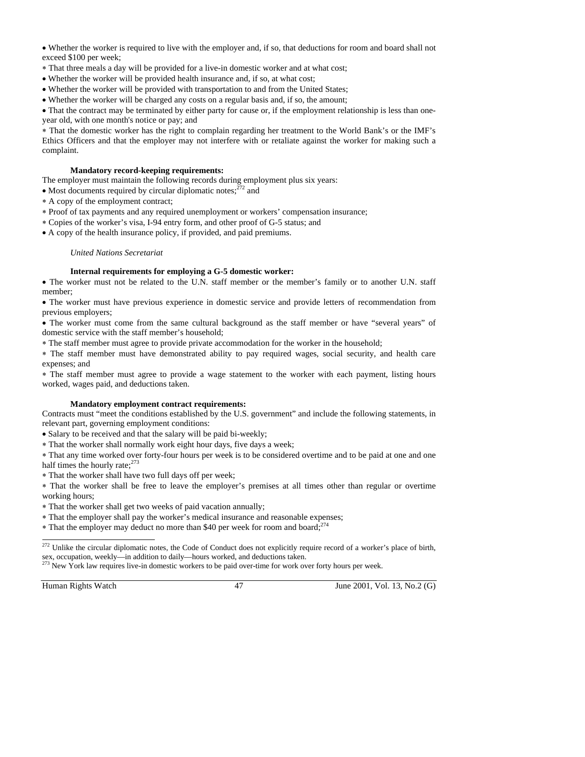• Whether the worker is required to live with the employer and, if so, that deductions for room and board shall not exceed \$100 per week;

- ∗ That three meals a day will be provided for a live-in domestic worker and at what cost;
- Whether the worker will be provided health insurance and, if so, at what cost;
- Whether the worker will be provided with transportation to and from the United States;
- Whether the worker will be charged any costs on a regular basis and, if so, the amount;

• That the contract may be terminated by either party for cause or, if the employment relationship is less than oneyear old, with one month's notice or pay; and

∗ That the domestic worker has the right to complain regarding her treatment to the World Bank's or the IMF's Ethics Officers and that the employer may not interfere with or retaliate against the worker for making such a complaint.

# **Mandatory record-keeping requirements:**

The employer must maintain the following records during employment plus six years:

- Most documents required by circular diplomatic notes; $272$  and
- ∗ A copy of the employment contract;
- ∗ Proof of tax payments and any required unemployment or workers' compensation insurance;
- ∗ Copies of the worker's visa, I-94 entry form, and other proof of G-5 status; and
- A copy of the health insurance policy, if provided, and paid premiums.

# *United Nations Secretariat*

# **Internal requirements for employing a G-5 domestic worker:**

• The worker must not be related to the U.N. staff member or the member's family or to another U.N. staff member;

• The worker must have previous experience in domestic service and provide letters of recommendation from previous employers;

• The worker must come from the same cultural background as the staff member or have "several years" of domestic service with the staff member's household;

∗ The staff member must agree to provide private accommodation for the worker in the household;

∗ The staff member must have demonstrated ability to pay required wages, social security, and health care expenses; and

∗ The staff member must agree to provide a wage statement to the worker with each payment, listing hours worked, wages paid, and deductions taken.

### **Mandatory employment contract requirements:**

Contracts must "meet the conditions established by the U.S. government" and include the following statements, in relevant part, governing employment conditions:

• Salary to be received and that the salary will be paid bi-weekly;

∗ That the worker shall normally work eight hour days, five days a week;

∗ That any time worked over forty-four hours per week is to be considered overtime and to be paid at one and one half times the hourly rate; $^{27}$ 

∗ That the worker shall have two full days off per week;

∗ That the worker shall be free to leave the employer's premises at all times other than regular or overtime working hours;

- ∗ That the worker shall get two weeks of paid vacation annually;
- ∗ That the employer shall pay the worker's medical insurance and reasonable expenses;
- \* That the employer may deduct no more than \$40 per week for room and board;<sup>274</sup>

-

Human Rights Watch 47 June 2001, Vol. 13, No.2 (G)

 $272$  Unlike the circular diplomatic notes, the Code of Conduct does not explicitly require record of a worker's place of birth, sex, occupation, weekly—in addition to daily—hours worked, and deductions taken. <sup>273</sup> New York law requires live-in domestic workers to be paid over-time for work over forty hours per week.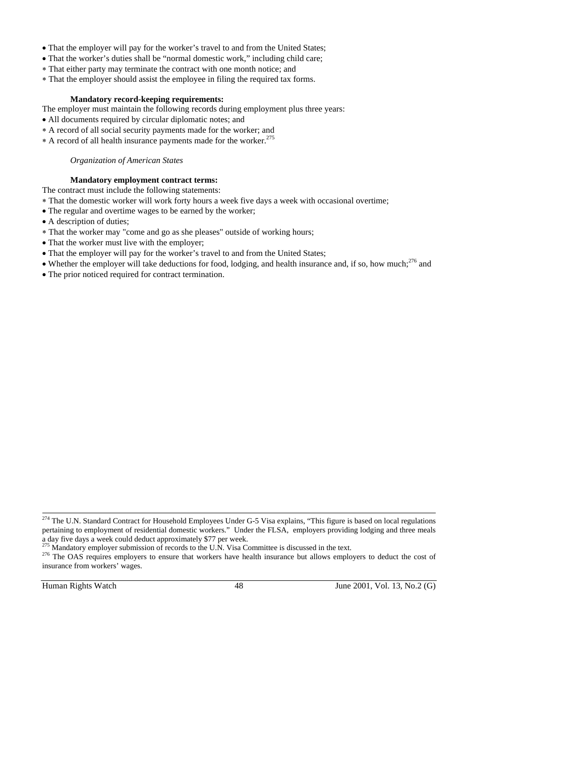- That the employer will pay for the worker's travel to and from the United States;
- That the worker's duties shall be "normal domestic work," including child care;
- ∗ That either party may terminate the contract with one month notice; and
- ∗ That the employer should assist the employee in filing the required tax forms.

# **Mandatory record-keeping requirements:**

The employer must maintain the following records during employment plus three years:

- All documents required by circular diplomatic notes; and
- ∗ A record of all social security payments made for the worker; and
- ∗ A record of all health insurance payments made for the worker.275

### *Organization of American States*

# **Mandatory employment contract terms:**

The contract must include the following statements:

- ∗ That the domestic worker will work forty hours a week five days a week with occasional overtime;
- The regular and overtime wages to be earned by the worker;
- A description of duties;
- ∗ That the worker may "come and go as she pleases" outside of working hours;
- That the worker must live with the employer;
- That the employer will pay for the worker's travel to and from the United States;
- Whether the employer will take deductions for food, lodging, and health insurance and, if so, how much;<sup>276</sup> and
- The prior noticed required for contract termination.

Human Rights Watch 48 June 2001, Vol. 13, No.2 (G)

<sup>&</sup>lt;sup>274</sup> The U.N. Standard Contract for Household Employees Under G-5 Visa explains, "This figure is based on local regulations pertaining to employment of residential domestic workers." Under the FLSA, employers providing lodging and three meals a day five days a week could deduct approximately \$77 per week.

<sup>&</sup>lt;sup>275</sup> Mandatory employer submission of records to the U.N. Visa Committee is discussed in the text.<br><sup>276</sup> The OAS requires employers to ensure that workers have health insurance but allows employers to deduct the cost of insurance from workers' wages.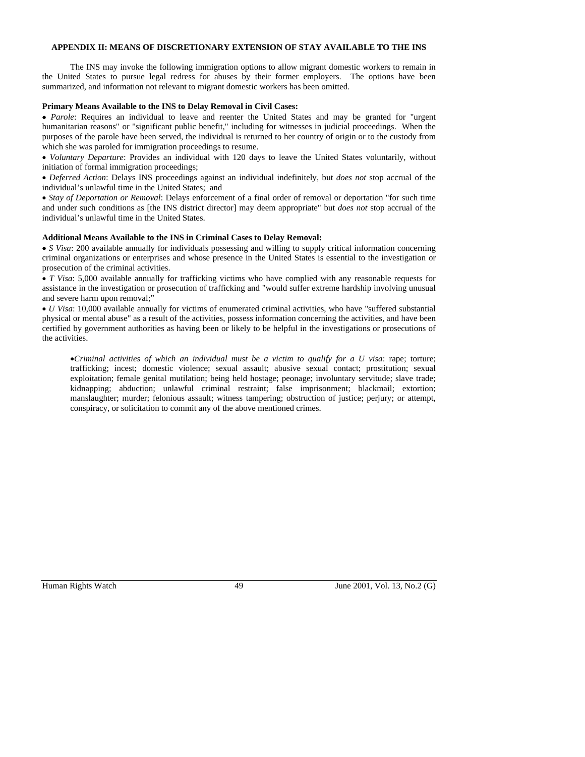### **APPENDIX II: MEANS OF DISCRETIONARY EXTENSION OF STAY AVAILABLE TO THE INS**

 The INS may invoke the following immigration options to allow migrant domestic workers to remain in the United States to pursue legal redress for abuses by their former employers. The options have been summarized, and information not relevant to migrant domestic workers has been omitted.

### **Primary Means Available to the INS to Delay Removal in Civil Cases:**

• *Parole*: Requires an individual to leave and reenter the United States and may be granted for "urgent humanitarian reasons" or "significant public benefit," including for witnesses in judicial proceedings. When the purposes of the parole have been served, the individual is returned to her country of origin or to the custody from which she was paroled for immigration proceedings to resume.

• *Voluntary Departure*: Provides an individual with 120 days to leave the United States voluntarily, without initiation of formal immigration proceedings;

• *Deferred Action*: Delays INS proceedings against an individual indefinitely, but *does not* stop accrual of the individual's unlawful time in the United States; and

• *Stay of Deportation or Removal*: Delays enforcement of a final order of removal or deportation "for such time and under such conditions as [the INS district director] may deem appropriate" but *does not* stop accrual of the individual's unlawful time in the United States.

### **Additional Means Available to the INS in Criminal Cases to Delay Removal:**

• *S Visa*: 200 available annually for individuals possessing and willing to supply critical information concerning criminal organizations or enterprises and whose presence in the United States is essential to the investigation or prosecution of the criminal activities.

• *T Visa*: 5,000 available annually for trafficking victims who have complied with any reasonable requests for assistance in the investigation or prosecution of trafficking and "would suffer extreme hardship involving unusual and severe harm upon removal;"

• *U Visa*: 10,000 available annually for victims of enumerated criminal activities, who have "suffered substantial physical or mental abuse" as a result of the activities, possess information concerning the activities, and have been certified by government authorities as having been or likely to be helpful in the investigations or prosecutions of the activities.

•*Criminal activities of which an individual must be a victim to qualify for a U visa*: rape; torture; trafficking; incest; domestic violence; sexual assault; abusive sexual contact; prostitution; sexual exploitation; female genital mutilation; being held hostage; peonage; involuntary servitude; slave trade; kidnapping; abduction; unlawful criminal restraint; false imprisonment; blackmail; extortion; manslaughter; murder; felonious assault; witness tampering; obstruction of justice; perjury; or attempt, conspiracy, or solicitation to commit any of the above mentioned crimes.

Human Rights Watch 49 June 2001, Vol. 13, No.2 (G)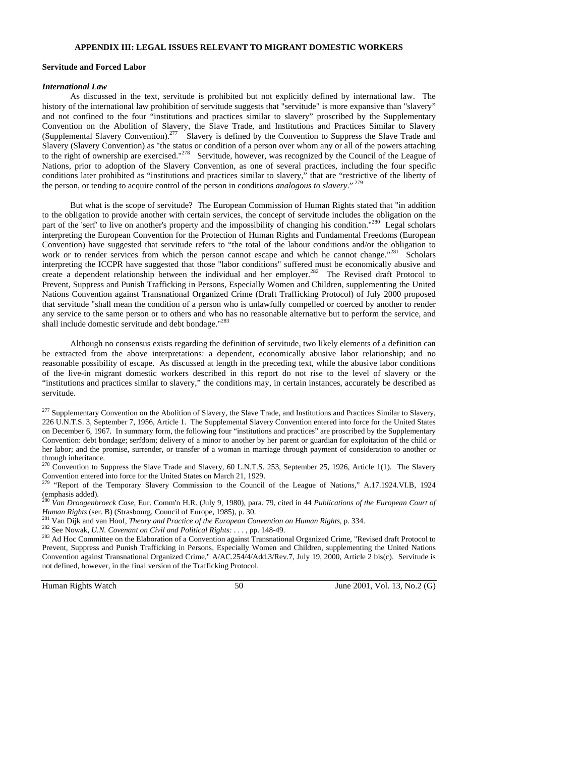### **APPENDIX III: LEGAL ISSUES RELEVANT TO MIGRANT DOMESTIC WORKERS**

#### **Servitude and Forced Labor**

#### *International Law*

As discussed in the text, servitude is prohibited but not explicitly defined by international law. The history of the international law prohibition of servitude suggests that "servitude" is more expansive than "slavery" and not confined to the four "institutions and practices similar to slavery" proscribed by the Supplementary Convention on the Abolition of Slavery, the Slave Trade, and Institutions and Practices Similar to Slavery (Supplemental Slavery Convention).<sup>277</sup> Slavery is defined by the Convention to Suppress the Slave Trade and (Supplemental Slavery Convention).<sup>277</sup> Slavery (Slavery Convention) as "the status or condition of a person over whom any or all of the powers attaching to the right of ownership are exercised." $278$  Servitude, however, was recognized by the Council of the League of Nations, prior to adoption of the Slavery Convention, as one of several practices, including the four specific conditions later prohibited as "institutions and practices similar to slavery," that are "restrictive of the liberty of the person, or tending to acquire control of the person in conditions *analogous to slavery*."<sup>279</sup>

But what is the scope of servitude? The European Commission of Human Rights stated that "in addition to the obligation to provide another with certain services, the concept of servitude includes the obligation on the part of the 'serf' to live on another's property and the impossibility of changing his condition."280 Legal scholars interpreting the European Convention for the Protection of Human Rights and Fundamental Freedoms (European Convention) have suggested that servitude refers to "the total of the labour conditions and/or the obligation to work or to render services from which the person cannot escape and which he cannot change."<sup>281</sup> Scholars interpreting the ICCPR have suggested that those "labor conditions" suffered must be economically abusive and create a dependent relationship between the individual and her employer.<sup>282</sup> The Revised draft Protocol to Prevent, Suppress and Punish Trafficking in Persons, Especially Women and Children, supplementing the United Nations Convention against Transnational Organized Crime (Draft Trafficking Protocol) of July 2000 proposed that servitude "shall mean the condition of a person who is unlawfully compelled or coerced by another to render any service to the same person or to others and who has no reasonable alternative but to perform the service, and shall include domestic servitude and debt bondage." $^{28}$ 

Although no consensus exists regarding the definition of servitude, two likely elements of a definition can be extracted from the above interpretations: a dependent, economically abusive labor relationship; and no reasonable possibility of escape. As discussed at length in the preceding text, while the abusive labor conditions of the live-in migrant domestic workers described in this report do not rise to the level of slavery or the "institutions and practices similar to slavery," the conditions may, in certain instances, accurately be described as servitude.

-

Human Rights Watch 50 June 2001, Vol. 13, No.2 (G)

<sup>&</sup>lt;sup>277</sup> Supplementary Convention on the Abolition of Slavery, the Slave Trade, and Institutions and Practices Similar to Slavery, 226 U.N.T.S. 3, September 7, 1956, Article 1. The Supplemental Slavery Convention entered into force for the United States on December 6, 1967. In summary form, the following four "institutions and practices" are proscribed by the Supplementary Convention: debt bondage; serfdom; delivery of a minor to another by her parent or guardian for exploitation of the child or her labor; and the promise, surrender, or transfer of a woman in marriage through payment of consideration to another or through inheritance.

 $^{278}$  Convention to Suppress the Slave Trade and Slavery, 60 L.N.T.S. 253, September 25, 1926, Article 1(1). The Slavery Convention entered into force for the United States on March 21, 1929.

<sup>&</sup>quot;Report of the Temporary Slavery Commission to the Council of the League of Nations," A.17.1924.VI.B, 1924 (emphasis added).

<sup>280</sup> *Van Droogenbroeck Case*, Eur. Comm'n H.R. (July 9, 1980), para. 79, cited in 44 *Publications of the European Court of*  Human Rights (ser. B) (Strasbourg, Council of Europe, 1985), p. 30.<br><sup>281</sup> Van Dijk and van Hoof, *Theory and Practice of the European Convention on Human Rights*, p. 334.<br><sup>282</sup> See Nowak, *U.N. Covenant on Civil and Politi* 

Prevent, Suppress and Punish Trafficking in Persons, Especially Women and Children, supplementing the United Nations Convention against Transnational Organized Crime," A/AC.254/4/Add.3/Rev.7, July 19, 2000, Article 2 bis(c). Servitude is not defined, however, in the final version of the Trafficking Protocol.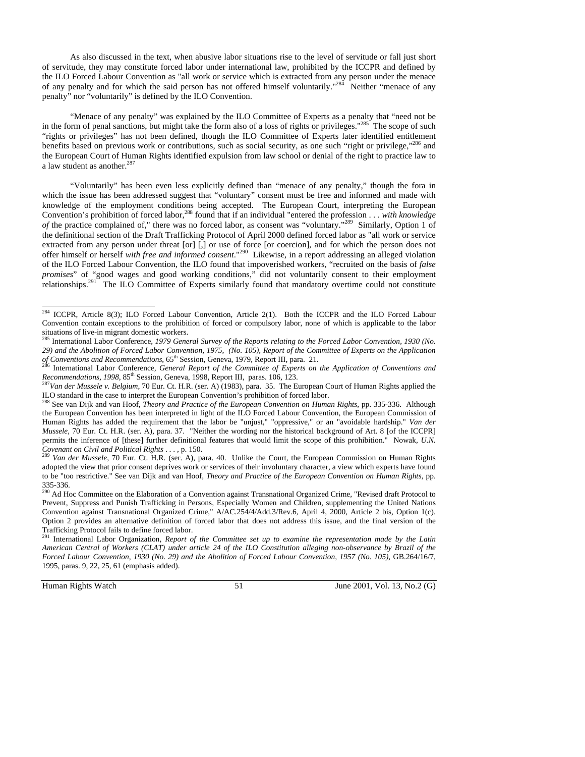As also discussed in the text, when abusive labor situations rise to the level of servitude or fall just short of servitude, they may constitute forced labor under international law, prohibited by the ICCPR and defined by the ILO Forced Labour Convention as "all work or service which is extracted from any person under the menace of any penalty and for which the said person has not offered himself voluntarily."<sup>284</sup> Neither "menace of any penalty" nor "voluntarily" is defined by the ILO Convention.

"Menace of any penalty" was explained by the ILO Committee of Experts as a penalty that "need not be in the form of penal sanctions, but might take the form also of a loss of rights or privileges."<sup>285</sup> The scope of such "rights or privileges" has not been defined, though the ILO Committee of Experts later identified entitlement benefits based on previous work or contributions, such as social security, as one such "right or privilege,"286 and the European Court of Human Rights identified expulsion from law school or denial of the right to practice law to a law student as another.<sup>287</sup>

"Voluntarily" has been even less explicitly defined than "menace of any penalty," though the fora in which the issue has been addressed suggest that "voluntary" consent must be free and informed and made with knowledge of the employment conditions being accepted. The European Court, interpreting the European Convention's prohibition of forced labor,288 found that if an individual "entered the profession . . . *with knowledge of* the practice complained of," there was no forced labor, as consent was "voluntary."<sup>289</sup> Similarly, Option 1 of the definitional section of the Draft Trafficking Protocol of April 2000 defined forced labor as "all work or service extracted from any person under threat [or] [,] or use of force [or coercion], and for which the person does not offer himself or herself *with free and informed consent*."290 Likewise, in a report addressing an alleged violation of the ILO Forced Labour Convention, the ILO found that impoverished workers, "recruited on the basis of *false promises*" of "good wages and good working conditions," did not voluntarily consent to their employment relationships.<sup>291</sup> The ILO Committee of Experts similarly found that mandatory overtime could not constitute

adopted the view that prior consent deprives work or services of their involuntary character, a view which experts have found to be "too restrictive." See van Dijk and van Hoof, *Theory and Practice of the European Convention on Human Rights*, pp. 335-336.

<sup>290</sup> Ad Hoc Committee on the Elaboration of a Convention against Transnational Organized Crime, "Revised draft Protocol to Prevent, Suppress and Punish Trafficking in Persons, Especially Women and Children, supplementing the United Nations Convention against Transnational Organized Crime," A/AC.254/4/Add.3/Rev.6, April 4, 2000, Article 2 bis, Option 1(c). Option 2 provides an alternative definition of forced labor that does not address this issue, and the final version of the Trafficking Protocol fails to define forced labor.

<sup>291</sup> International Labor Organization, *Report of the Committee set up to examine the representation made by the Latin American Central of Workers (CLAT) under article 24 of the ILO Constitution alleging non-observance by Brazil of the Forced Labour Convention, 1930 (No. 29) and the Abolition of Forced Labour Convention, 1957 (No. 105)*, GB.264/16/7, 1995, paras. 9, 22, 25, 61 (emphasis added).

-

Human Rights Watch 51 June 2001, Vol. 13, No.2 (G)

<sup>284</sup> ICCPR, Article 8(3); ILO Forced Labour Convention, Article 2(1). Both the ICCPR and the ILO Forced Labour Convention contain exceptions to the prohibition of forced or compulsory labor, none of which is applicable to the labor situations of live-in migrant domestic workers.

<sup>285</sup> International Labor Conference, *1979 General Survey of the Reports relating to the Forced Labor Convention, 1930 (No. 29) and the Abolition of Forced Labor Convention, 1975, (No. 105), Report of the Committee of Experts on the Application* 

*of Conventions and Recommendations*, 65<sup>th</sup> Session, Geneva, 1979, Report III, para. 21.<br><sup>286</sup> International Labor Conference, *General Report of the Committee of Experts on the Application of Conventions and Recommendati* 

<sup>&</sup>lt;sup>287</sup>Van der Mussele v. Belgium, 70 Eur. Ct. H.R. (ser. A) (1983), para. 35. The European Court of Human Rights applied the ILO standard in the case to interpret the European Convention's prohibition of forced labor.

<sup>288</sup> See van Dijk and van Hoof, *Theory and Practice of the European Convention on Human Rights*, pp. 335-336. Although the European Convention has been interpreted in light of the ILO Forced Labour Convention, the European Commission of Human Rights has added the requirement that the labor be "unjust," "oppressive," or an "avoidable hardship." *Van der Mussele*, 70 Eur. Ct. H.R. (ser. A), para. 37. "Neither the wording nor the historical background of Art. 8 [of the ICCPR] permits the inference of [these] further definitional features that would limit the scope of this prohibition." Nowak, *U.N. Covenant on Civil and Political Rights* . . . , p. 150.<br><sup>289</sup> Van der Mussele, 70 Eur. Ct. H.R. (ser. A), para. 40. Unlike the Court, the European Commission on Human Rights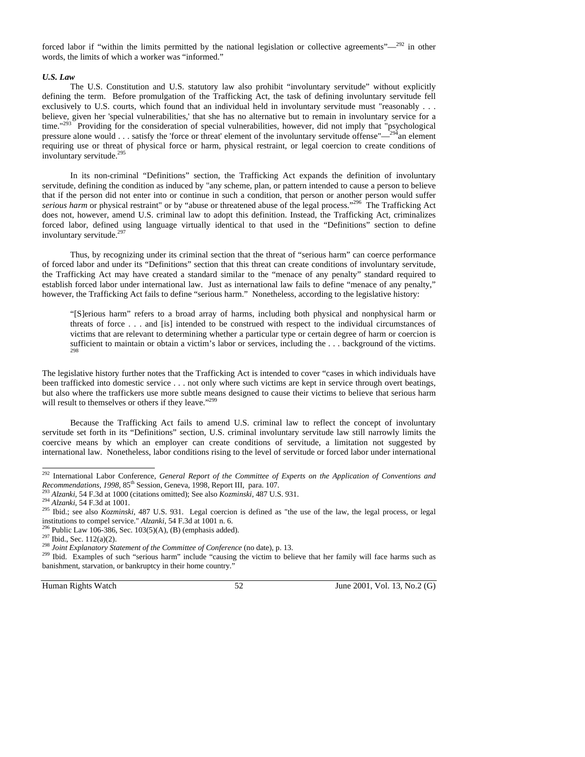forced labor if "within the limits permitted by the national legislation or collective agreements"—292 in other words, the limits of which a worker was "informed."

#### *U.S. Law*

The U.S. Constitution and U.S. statutory law also prohibit "involuntary servitude" without explicitly defining the term. Before promulgation of the Trafficking Act, the task of defining involuntary servitude fell exclusively to U.S. courts, which found that an individual held in involuntary servitude must "reasonably . . . believe, given her 'special vulnerabilities,' that she has no alternative but to remain in involuntary service for a time."<sup>293</sup> Providing for the consideration of special vulnerabilities, however, did not imply that "psychological pressure alone would  $\dots$  satisfy the 'force or threat' element of the involuntary servitude offense"— $^{294}$ an element requiring use or threat of physical force or harm, physical restraint, or legal coercion to create conditions of involuntary servitude.<sup>295</sup>

In its non-criminal "Definitions" section, the Trafficking Act expands the definition of involuntary servitude, defining the condition as induced by "any scheme, plan, or pattern intended to cause a person to believe that if the person did not enter into or continue in such a condition, that person or another person would suffer *serious harm* or physical restraint" or by "abuse or threatened abuse of the legal process."296 The Trafficking Act does not, however, amend U.S. criminal law to adopt this definition. Instead, the Trafficking Act, criminalizes forced labor, defined using language virtually identical to that used in the "Definitions" section to define involuntary servitude. $297$ 

Thus, by recognizing under its criminal section that the threat of "serious harm" can coerce performance of forced labor and under its "Definitions" section that this threat can create conditions of involuntary servitude, the Trafficking Act may have created a standard similar to the "menace of any penalty" standard required to establish forced labor under international law. Just as international law fails to define "menace of any penalty," however, the Trafficking Act fails to define "serious harm." Nonetheless, according to the legislative history:

"[S]erious harm" refers to a broad array of harms, including both physical and nonphysical harm or threats of force . . . and [is] intended to be construed with respect to the individual circumstances of victims that are relevant to determining whether a particular type or certain degree of harm or coercion is sufficient to maintain or obtain a victim's labor or services, including the . . . background of the victims. 298

The legislative history further notes that the Trafficking Act is intended to cover "cases in which individuals have been trafficked into domestic service . . . not only where such victims are kept in service through overt beatings, but also where the traffickers use more subtle means designed to cause their victims to believe that serious harm will result to themselves or others if they leave."<sup>299</sup>

Because the Trafficking Act fails to amend U.S. criminal law to reflect the concept of involuntary servitude set forth in its "Definitions" section, U.S. criminal involuntary servitude law still narrowly limits the coercive means by which an employer can create conditions of servitude, a limitation not suggested by international law. Nonetheless, labor conditions rising to the level of servitude or forced labor under international

Human Rights Watch 52 June 2001, Vol. 13, No.2 (G)

 292 International Labor Conference, *General Report of the Committee of Experts on the Application of Conventions and* 

Recommendations, 1998, 85<sup>th</sup> Session, Geneva, 1998, Report III, para. 107.<br><sup>293</sup> Alzanki, 54 F.3d at 1000 (citations omitted); See also *Kozminski*, 487 U.S. 931.<br><sup>294</sup> Alzanki, 54 F.3d at 1001.<br><sup>295</sup> Ibid.; see also *Ko* 

<sup>&</sup>lt;sup>296</sup> Public Law 106-386, Sec. 103(5)(A), (B) (emphasis added).<br><sup>297</sup> Ibid., Sec. 112(a)(2).<br><sup>298</sup> Joint Explanatory Statement of the Committee of Conference (no date), p. 13.<br><sup>298</sup> Ibid. Examples of such "serious harm" i banishment, starvation, or bankruptcy in their home country.'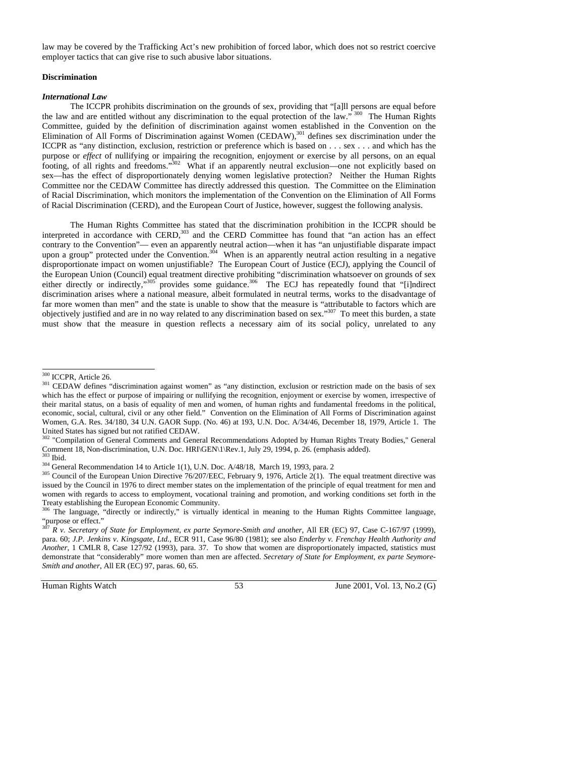law may be covered by the Trafficking Act's new prohibition of forced labor, which does not so restrict coercive employer tactics that can give rise to such abusive labor situations.

#### **Discrimination**

#### *International Law*

The ICCPR prohibits discrimination on the grounds of sex, providing that "[a]ll persons are equal before the law and are entitled without any discrimination to the equal protection of the law." 300 The Human Rights Committee, guided by the definition of discrimination against women established in the Convention on the Elimination of All Forms of Discrimination against Women (CEDAW),<sup>301</sup> defines sex discrimination under the ICCPR as "any distinction, exclusion, restriction or preference which is based on . . . sex . . . and which has the purpose or *effect* of nullifying or impairing the recognition, enjoyment or exercise by all persons, on an equal footing, of all rights and freedoms."302 What if an apparently neutral exclusion—one not explicitly based on sex—has the effect of disproportionately denying women legislative protection? Neither the Human Rights Committee nor the CEDAW Committee has directly addressed this question. The Committee on the Elimination of Racial Discrimination, which monitors the implementation of the Convention on the Elimination of All Forms of Racial Discrimination (CERD), and the European Court of Justice, however, suggest the following analysis.

The Human Rights Committee has stated that the discrimination prohibition in the ICCPR should be interpreted in accordance with CERD,<sup>303</sup> and the CERD Committee has found that "an action has an effect contrary to the Convention"— even an apparently neutral action—when it has "an unjustifiable disparate impact upon a group" protected under the Convention.<sup>304</sup> When is an apparently neutral action resulting in a negative disproportionate impact on women unjustifiable? The European Court of Justice (ECJ), applying the Council of the European Union (Council) equal treatment directive prohibiting "discrimination whatsoever on grounds of sex either directly or indirectly,<sup>5305</sup> provides some guidance.<sup>306</sup> The ECJ has repeatedly found that "[i]ndirect discrimination arises where a national measure, albeit formulated in neutral terms, works to the disadvantage of far more women than men" and the state is unable to show that the measure is "attributable to factors which are objectively justified and are in no way related to any discrimination based on sex."307 To meet this burden, a state must show that the measure in question reflects a necessary aim of its social policy, unrelated to any

Human Rights Watch 53 June 2001, Vol. 13, No.2 (G)

<sup>&</sup>lt;sup>300</sup> ICCPR, Article 26.

<sup>&</sup>lt;sup>301</sup> CEDAW defines "discrimination against women" as "any distinction, exclusion or restriction made on the basis of sex which has the effect or purpose of impairing or nullifying the recognition, enjoyment or exercise by women, irrespective of their marital status, on a basis of equality of men and women, of human rights and fundamental freedoms in the political, economic, social, cultural, civil or any other field." Convention on the Elimination of All Forms of Discrimination against Women, G.A. Res. 34/180, 34 U.N. GAOR Supp. (No. 46) at 193, U.N. Doc. A/34/46, December 18, 1979, Article 1. The United States has signed but not ratified CEDAW.

<sup>&</sup>lt;sup>302</sup> "Compilation of General Comments and General Recommendations Adopted by Human Rights Treaty Bodies," General Comment 18, Non-discrimination, U.N. Doc. HRI\GEN\1\Rev.1, July 29, 1994, p. 26. (emphasis added).<br><sup>303</sup> Ibid.<br><sup>304</sup> General Recommendation 14 to Article 1(1), U.N. Doc. A/48/18, March 19, 1993, para. 2<br><sup>305</sup> Council of th

issued by the Council in 1976 to direct member states on the implementation of the principle of equal treatment for men and women with regards to access to employment, vocational training and promotion, and working conditions set forth in the Treaty establishing the European Economic Community.

<sup>&</sup>lt;sup>306</sup> The language, "directly or indirectly," is virtually identical in meaning to the Human Rights Committee language, "purpose or effect."

<sup>307</sup> *R v. Secretary of State for Employment, ex parte Seymore-Smith and another*, All ER (EC) 97, Case C-167/97 (1999), para. 60; *J.P. Jenkins v. Kingsgate, Ltd.*, ECR 911, Case 96/80 (1981); see also *Enderby v. Frenchay Health Authority and Another*, 1 CMLR 8, Case 127/92 (1993), para. 37. To show that women are disproportionately impacted, statistics must demonstrate that "considerably" more women than men are affected. *Secretary of State for Employment, ex parte Seymore-Smith and another*, All ER (EC) 97, paras. 60, 65.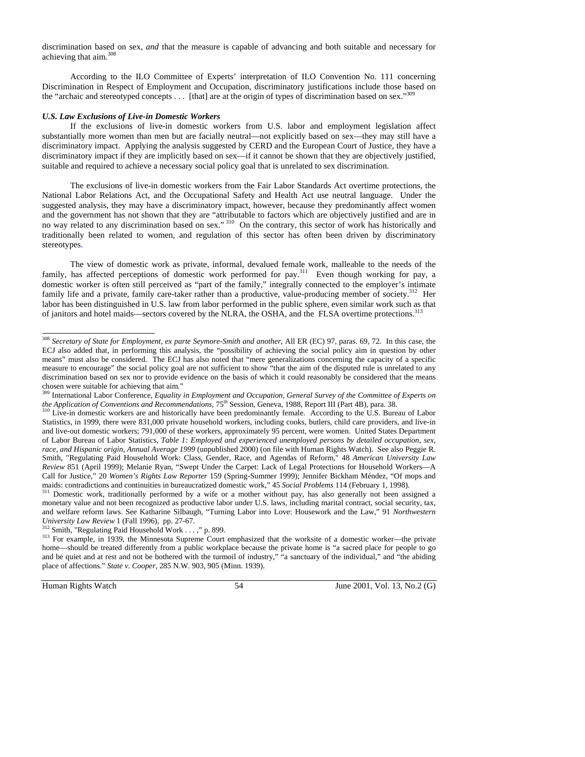discrimination based on sex, *and* that the measure is capable of advancing and both suitable and necessary for achieving that aim. $308$ 

According to the ILO Committee of Experts' interpretation of ILO Convention No. 111 concerning Discrimination in Respect of Employment and Occupation, discriminatory justifications include those based on the "archaic and stereotyped concepts  $\dots$  [that] are at the origin of types of discrimination based on sex."

#### *U.S. Law Exclusions of Live-in Domestic Workers*

If the exclusions of live-in domestic workers from U.S. labor and employment legislation affect substantially more women than men but are facially neutral—not explicitly based on sex—they may still have a discriminatory impact. Applying the analysis suggested by CERD and the European Court of Justice, they have a discriminatory impact if they are implicitly based on sex—if it cannot be shown that they are objectively justified, suitable and required to achieve a necessary social policy goal that is unrelated to sex discrimination.

The exclusions of live-in domestic workers from the Fair Labor Standards Act overtime protections, the National Labor Relations Act, and the Occupational Safety and Health Act use neutral language. Under the suggested analysis, they may have a discriminatory impact, however, because they predominantly affect women and the government has not shown that they are "attributable to factors which are objectively justified and are in no way related to any discrimination based on sex." <sup>310</sup> On the contrary, this sector of work has historically and traditionally been related to women, and regulation of this sector has often been driven by discriminatory stereotypes.

The view of domestic work as private, informal, devalued female work, malleable to the needs of the family, has affected perceptions of domestic work performed for pay.<sup>311</sup> Even though working for pay, a domestic worker is often still perceived as "part of the family," integrally connected to the employer's intimate family life and a private, family care-taker rather than a productive, value-producing member of society.<sup>312</sup> Her labor has been distinguished in U.S. law from labor performed in the public sphere, even similar work such as that of janitors and hotel maids—sectors covered by the NLRA, the OSHA, and the FLSA overtime protections.<sup>31</sup>

-

Human Rights Watch 54 June 2001, Vol. 13, No.2 (G)

<sup>308</sup> *Secretary of State for Employment, ex parte Seymore-Smith and another*, All ER (EC) 97, paras. 69, 72. In this case, the ECJ also added that, in performing this analysis, the "possibility of achieving the social policy aim in question by other means" must also be considered. The ECJ has also noted that "mere generalizations concerning the capacity of a specific measure to encourage" the social policy goal are not sufficient to show "that the aim of the disputed rule is unrelated to any discrimination based on sex nor to provide evidence on the basis of which it could reasonably be considered that the means chosen were suitable for achieving that aim."

<sup>&</sup>lt;sup>309</sup> International Labor Conference, *Equality in Employment and Occupation, General Survey of the Committee of Experts on*<br>*the Application of Conventions and Recommendations,* 75<sup>th</sup> Session, Geneva, 1988, Report III (P

<sup>&</sup>lt;sup>310</sup> Live-in domestic workers are and historically have been predominantly female. According to the U.S. Bureau of Labor Statistics, in 1999, there were 831,000 private household workers, including cooks, butlers, child care providers, and live-in and live-out domestic workers; 791,000 of these workers, approximately 95 percent, were women. United States Department of Labor Bureau of Labor Statistics, *Table 1: Employed and experienced unemployed persons by detailed occupation, sex, race, and Hispanic origin, Annual Average 1999* (unpublished 2000) (on file with Human Rights Watch). See also Peggie R. Smith, "Regulating Paid Household Work: Class, Gender, Race, and Agendas of Reform," 48 *American University Law Review* 851 (April 1999); Melanie Ryan, "Swept Under the Carpet: Lack of Legal Protections for Household Workers—A Call for Justice," 20 *Women's Rights Law Reporter* 159 (Spring-Summer 1999); Jennifer Bickham Méndez, "Of mops and

<sup>&</sup>lt;sup>311</sup> Domestic work, traditionally performed by a wife or a mother without pay, has also generally not been assigned a monetary value and not been recognized as productive labor under U.S. laws, including marital contract, social security, tax, and welfare reform laws. See Katharine Silbaugh, "Turning Labor into Love: Housework and the Law," 91 *Northwestern* 

 $\frac{312}{312}$  Smith, "Regulating Paid Household Work ...," p. 899.<br><sup>312</sup> Smith, "Regulating Paid Household Work ...," p. 899. home—should be treated differently from a public workplace because the private home is "a sacred place for people to go and be quiet and at rest and not be bothered with the turmoil of industry," "a sanctuary of the individual," and "the abiding place of affections." *State v. Cooper*, 285 N.W. 903, 905 (Minn. 1939).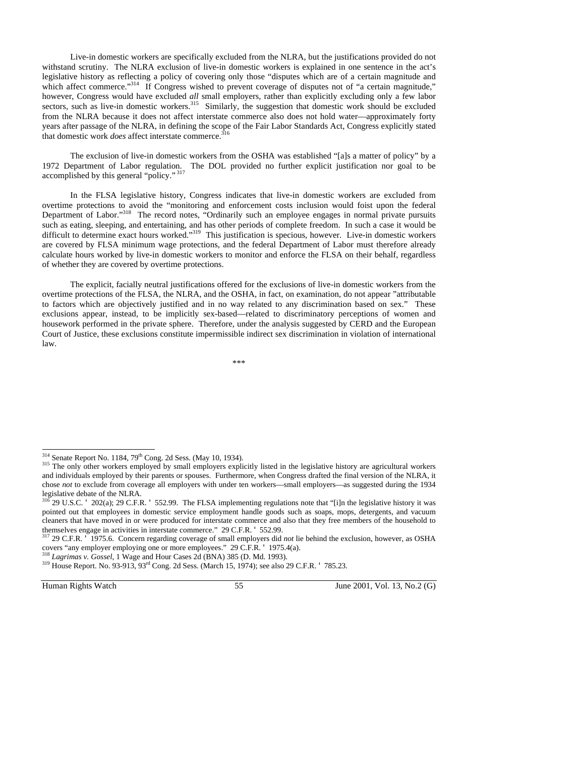Live-in domestic workers are specifically excluded from the NLRA, but the justifications provided do not withstand scrutiny. The NLRA exclusion of live-in domestic workers is explained in one sentence in the act's legislative history as reflecting a policy of covering only those "disputes which are of a certain magnitude and which affect commerce."<sup>314</sup> If Congress wished to prevent coverage of disputes not of "a certain magnitude," however, Congress would have excluded *all* small employers, rather than explicitly excluding only a few labor sectors, such as live-in domestic workers.<sup>315</sup> Similarly, the suggestion that domestic work should be excluded from the NLRA because it does not affect interstate commerce also does not hold water—approximately forty years after passage of the NLRA, in defining the scope of the Fair Labor Standards Act, Congress explicitly stated that domestic work *does* affect interstate commerce.<sup>3</sup>

The exclusion of live-in domestic workers from the OSHA was established "[a]s a matter of policy" by a 1972 Department of Labor regulation. The DOL provided no further explicit justification nor goal to be accomplished by this general "policy." 317

In the FLSA legislative history, Congress indicates that live-in domestic workers are excluded from overtime protections to avoid the "monitoring and enforcement costs inclusion would foist upon the federal Department of Labor."<sup>318</sup> The record notes, "Ordinarily such an employee engages in normal private pursuits such as eating, sleeping, and entertaining, and has other periods of complete freedom. In such a case it would be difficult to determine exact hours worked."<sup>319</sup> This justification is specious, however. Live-in domestic workers are covered by FLSA minimum wage protections, and the federal Department of Labor must therefore already calculate hours worked by live-in domestic workers to monitor and enforce the FLSA on their behalf, regardless of whether they are covered by overtime protections.

The explicit, facially neutral justifications offered for the exclusions of live-in domestic workers from the overtime protections of the FLSA, the NLRA, and the OSHA, in fact, on examination, do not appear "attributable to factors which are objectively justified and in no way related to any discrimination based on sex." These exclusions appear, instead, to be implicitly sex-based—related to discriminatory perceptions of women and housework performed in the private sphere. Therefore, under the analysis suggested by CERD and the European Court of Justice, these exclusions constitute impermissible indirect sex discrimination in violation of international law.

\*\*\*

Human Rights Watch 55 June 2001, Vol. 13, No.2 (G)

<sup>&</sup>lt;sup>314</sup> Senate Report No. 1184, 79<sup>th</sup> Cong. 2d Sess. (May 10, 1934).

<sup>&</sup>lt;sup>315</sup> The only other workers employed by small employers explicitly listed in the legislative history are agricultural workers and individuals employed by their parents or spouses. Furthermore, when Congress drafted the final version of the NLRA, it chose *not* to exclude from coverage all employers with under ten workers—small employers—as suggested during the 1934 legislative debate of the NLRA.

 $316$  29 U.S.C. " 202(a); 29 C.F.R. " 552.99. The FLSA implementing regulations note that "[i]n the legislative history it was pointed out that employees in domestic service employment handle goods such as soaps, mops, detergents, and vacuum cleaners that have moved in or were produced for interstate commerce and also that they free members of the household to themselves engage in activities in interstate commerce." 29 C.F.R. " 552.99.

<sup>&</sup>lt;sup>317</sup> 29 C.F.R.  $\blacksquare$  1975.6. Concern regarding coverage of small employers did *not* lie behind the exclusion, however, as OSHA covers "any employer employing one or more employees." 29 C.F.R.  $\blacksquare$  1975.4(a).

<sup>&</sup>lt;sup>318</sup> *Lagrimas v. Gossel*, 1 Wage and Hour Cases 2d (BNA) 385 (D. Md. 1993).<br><sup>319</sup> House Report. No. 93-913, 93<sup>rd</sup> Cong. 2d Sess. (March 15, 1974); see also 29 C.F.R. <sup>■</sup> 785.23.